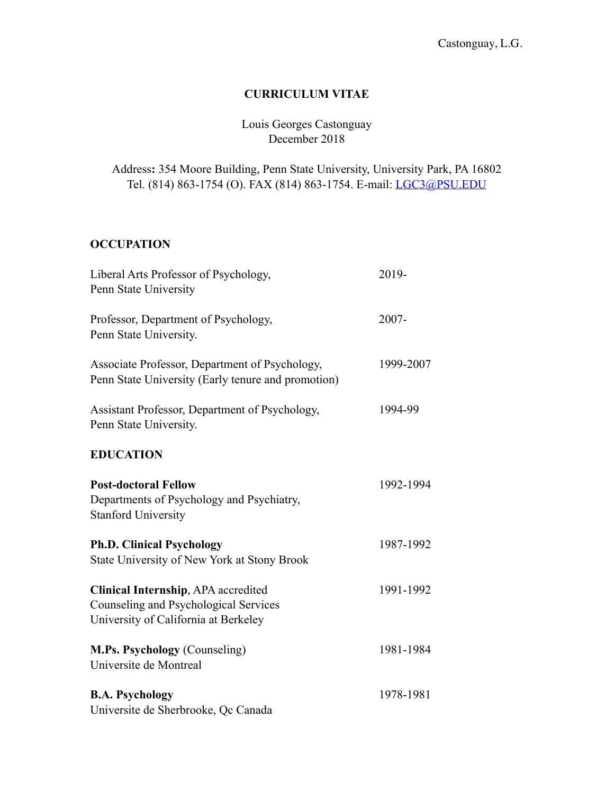#### **CURRICULUM VITAE**

## Louis Georges Castonguay December 2018

## Address**:** 354 Moore Building, Penn State University, University Park, PA 16802 Tel. (814) 863-1754 (O). FAX (814) 863-1754. E-mail: [LGC3@PSU.EDU](mailto:LGC3@PSU.EDU)

# **OCCUPATION**

| Liberal Arts Professor of Psychology,<br>Penn State University                                                       | 2019-     |
|----------------------------------------------------------------------------------------------------------------------|-----------|
| Professor, Department of Psychology,<br>Penn State University.                                                       | 2007-     |
| Associate Professor, Department of Psychology,<br>Penn State University (Early tenure and promotion)                 | 1999-2007 |
| Assistant Professor, Department of Psychology,<br>Penn State University.                                             | 1994-99   |
| <b>EDUCATION</b>                                                                                                     |           |
| <b>Post-doctoral Fellow</b><br>Departments of Psychology and Psychiatry,<br><b>Stanford University</b>               | 1992-1994 |
| <b>Ph.D. Clinical Psychology</b><br>State University of New York at Stony Brook                                      | 1987-1992 |
| Clinical Internship, APA accredited<br>Counseling and Psychological Services<br>University of California at Berkeley | 1991-1992 |
| M.Ps. Psychology (Counseling)<br>Universite de Montreal                                                              | 1981-1984 |
| <b>B.A. Psychology</b><br>Universite de Sherbrooke, Qc Canada                                                        | 1978-1981 |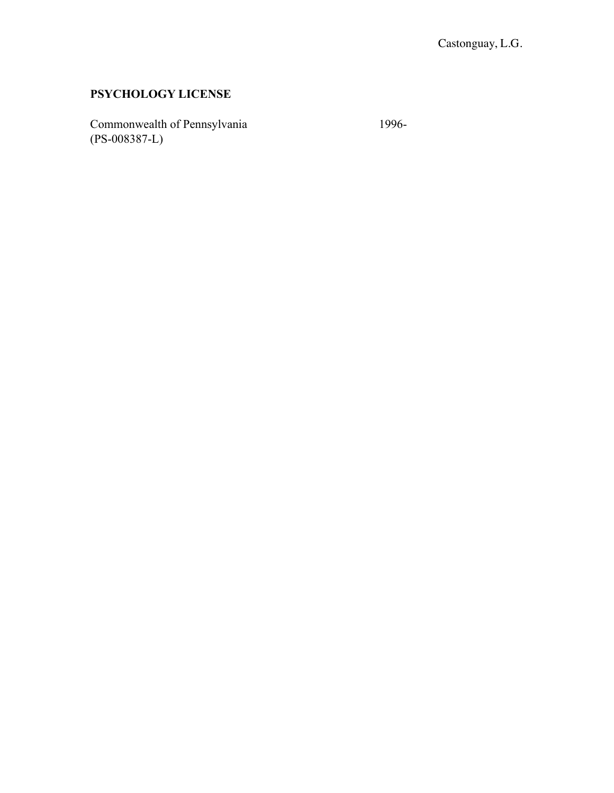## **PSYCHOLOGY LICENSE**

Commonwealth of Pennsylvania 1996-(PS-008387-L)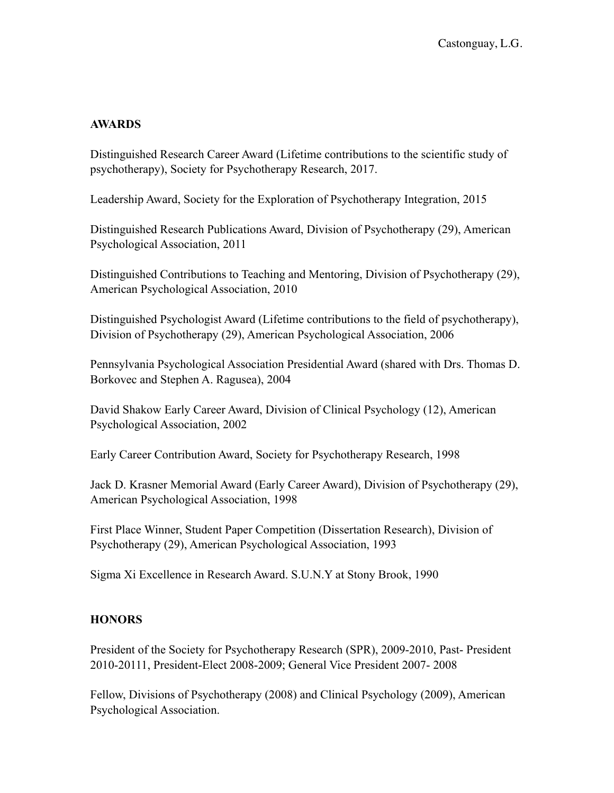#### **AWARDS**

Distinguished Research Career Award (Lifetime contributions to the scientific study of psychotherapy), Society for Psychotherapy Research, 2017.

Leadership Award, Society for the Exploration of Psychotherapy Integration, 2015

Distinguished Research Publications Award, Division of Psychotherapy (29), American Psychological Association, 2011

Distinguished Contributions to Teaching and Mentoring, Division of Psychotherapy (29), American Psychological Association, 2010

Distinguished Psychologist Award (Lifetime contributions to the field of psychotherapy), Division of Psychotherapy (29), American Psychological Association, 2006

Pennsylvania Psychological Association Presidential Award (shared with Drs. Thomas D. Borkovec and Stephen A. Ragusea), 2004

David Shakow Early Career Award, Division of Clinical Psychology (12), American Psychological Association, 2002

Early Career Contribution Award, Society for Psychotherapy Research, 1998

Jack D. Krasner Memorial Award (Early Career Award), Division of Psychotherapy (29), American Psychological Association, 1998

First Place Winner, Student Paper Competition (Dissertation Research), Division of Psychotherapy (29), American Psychological Association, 1993

Sigma Xi Excellence in Research Award. S.U.N.Y at Stony Brook, 1990

## **HONORS**

President of the Society for Psychotherapy Research (SPR), 2009-2010, Past- President 2010-20111, President-Elect 2008-2009; General Vice President 2007- 2008

Fellow, Divisions of Psychotherapy (2008) and Clinical Psychology (2009), American Psychological Association.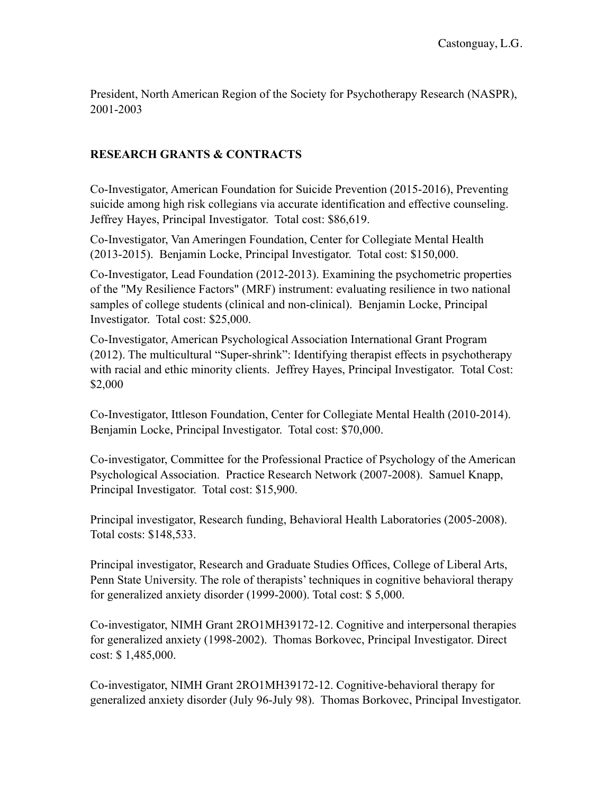President, North American Region of the Society for Psychotherapy Research (NASPR), 2001-2003

## **RESEARCH GRANTS & CONTRACTS**

Co-Investigator, American Foundation for Suicide Prevention (2015-2016), Preventing suicide among high risk collegians via accurate identification and effective counseling. Jeffrey Hayes, Principal Investigator. Total cost: \$86,619.

Co-Investigator, Van Ameringen Foundation, Center for Collegiate Mental Health (2013-2015). Benjamin Locke, Principal Investigator. Total cost: \$150,000.

Co-Investigator, Lead Foundation (2012-2013). Examining the psychometric properties of the "My Resilience Factors" (MRF) instrument: evaluating resilience in two national samples of college students (clinical and non-clinical). Benjamin Locke, Principal Investigator. Total cost: \$25,000.

Co-Investigator, American Psychological Association International Grant Program (2012). The multicultural "Super-shrink": Identifying therapist effects in psychotherapy with racial and ethic minority clients. Jeffrey Hayes, Principal Investigator. Total Cost: \$2,000

Co-Investigator, Ittleson Foundation, Center for Collegiate Mental Health (2010-2014). Benjamin Locke, Principal Investigator. Total cost: \$70,000.

Co-investigator, Committee for the Professional Practice of Psychology of the American Psychological Association. Practice Research Network (2007-2008). Samuel Knapp, Principal Investigator. Total cost: \$15,900.

Principal investigator, Research funding, Behavioral Health Laboratories (2005-2008). Total costs: \$148,533.

Principal investigator, Research and Graduate Studies Offices, College of Liberal Arts, Penn State University. The role of therapists' techniques in cognitive behavioral therapy for generalized anxiety disorder (1999-2000). Total cost: \$ 5,000.

Co-investigator, NIMH Grant 2RO1MH39172-12. Cognitive and interpersonal therapies for generalized anxiety (1998-2002). Thomas Borkovec, Principal Investigator. Direct cost: \$ 1,485,000.

Co-investigator, NIMH Grant 2RO1MH39172-12. Cognitive-behavioral therapy for generalized anxiety disorder (July 96-July 98). Thomas Borkovec, Principal Investigator.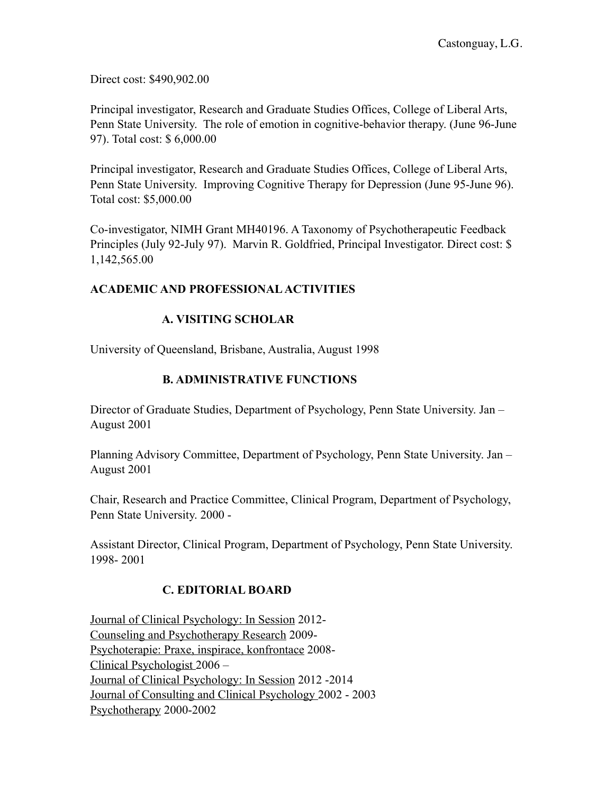Direct cost: \$490,902.00

Principal investigator, Research and Graduate Studies Offices, College of Liberal Arts, Penn State University. The role of emotion in cognitive-behavior therapy. (June 96-June 97). Total cost: \$ 6,000.00

Principal investigator, Research and Graduate Studies Offices, College of Liberal Arts, Penn State University. Improving Cognitive Therapy for Depression (June 95-June 96). Total cost: \$5,000.00

Co-investigator, NIMH Grant MH40196. A Taxonomy of Psychotherapeutic Feedback Principles (July 92-July 97). Marvin R. Goldfried, Principal Investigator. Direct cost: \$ 1,142,565.00

#### **ACADEMIC AND PROFESSIONAL ACTIVITIES**

#### **A. VISITING SCHOLAR**

University of Queensland, Brisbane, Australia, August 1998

#### **B. ADMINISTRATIVE FUNCTIONS**

Director of Graduate Studies, Department of Psychology, Penn State University. Jan – August 2001

Planning Advisory Committee, Department of Psychology, Penn State University. Jan – August 2001

Chair, Research and Practice Committee, Clinical Program, Department of Psychology, Penn State University. 2000 -

Assistant Director, Clinical Program, Department of Psychology, Penn State University. 1998- 2001

## **C. EDITORIAL BOARD**

Journal of Clinical Psychology: In Session 2012- Counseling and Psychotherapy Research 2009- Psychoterapie: Praxe, inspirace, konfrontace 2008- Clinical Psychologist 2006 – Journal of Clinical Psychology: In Session 2012 -2014 Journal of Consulting and Clinical Psychology 2002 - 2003 Psychotherapy 2000-2002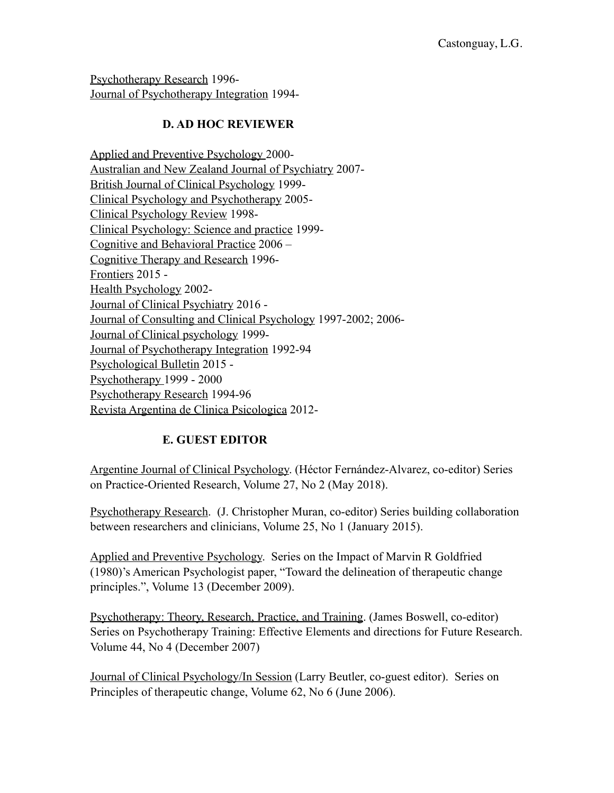Psychotherapy Research 1996- Journal of Psychotherapy Integration 1994-

## **D. AD HOC REVIEWER**

Applied and Preventive Psychology 2000- Australian and New Zealand Journal of Psychiatry 2007- British Journal of Clinical Psychology 1999- Clinical Psychology and Psychotherapy 2005- Clinical Psychology Review 1998- Clinical Psychology: Science and practice 1999- Cognitive and Behavioral Practice 2006 – Cognitive Therapy and Research 1996- Frontiers 2015 - Health Psychology 2002- Journal of Clinical Psychiatry 2016 - Journal of Consulting and Clinical Psychology 1997-2002; 2006- Journal of Clinical psychology 1999- Journal of Psychotherapy Integration 1992-94 Psychological Bulletin 2015 - Psychotherapy 1999 - 2000 Psychotherapy Research 1994-96 Revista Argentina de Clinica Psicologica 2012-

## **E. GUEST EDITOR**

Argentine Journal of Clinical Psychology. (Héctor Fernández-Alvarez, co-editor) Series on Practice-Oriented Research, Volume 27, No 2 (May 2018).

Psychotherapy Research. (J. Christopher Muran, co-editor) Series building collaboration between researchers and clinicians, Volume 25, No 1 (January 2015).

Applied and Preventive Psychology. Series on the Impact of Marvin R Goldfried (1980)'s American Psychologist paper, "Toward the delineation of therapeutic change principles.", Volume 13 (December 2009).

Psychotherapy: Theory, Research, Practice, and Training. (James Boswell, co-editor) Series on Psychotherapy Training: Effective Elements and directions for Future Research. Volume 44, No 4 (December 2007)

Journal of Clinical Psychology/In Session (Larry Beutler, co-guest editor). Series on Principles of therapeutic change, Volume 62, No 6 (June 2006).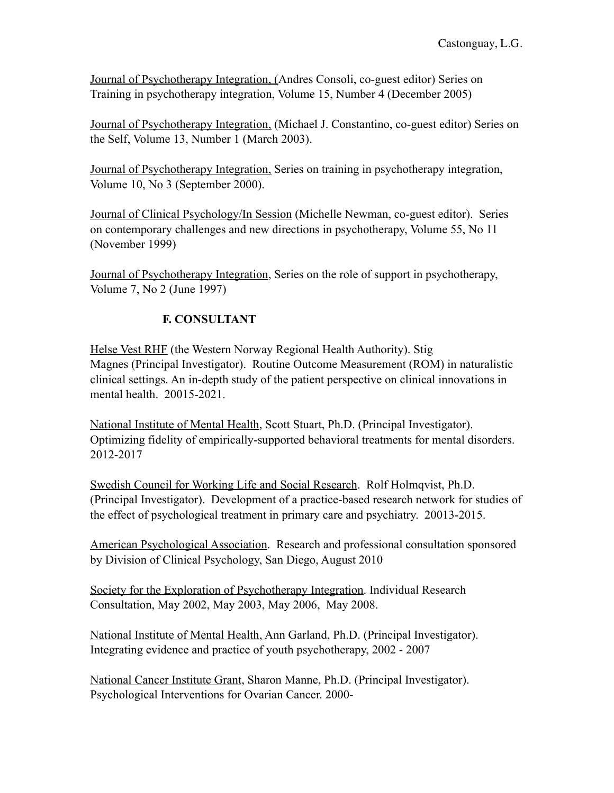Journal of Psychotherapy Integration, (Andres Consoli, co-guest editor) Series on Training in psychotherapy integration, Volume 15, Number 4 (December 2005)

Journal of Psychotherapy Integration, (Michael J. Constantino, co-guest editor) Series on the Self, Volume 13, Number 1 (March 2003).

Journal of Psychotherapy Integration, Series on training in psychotherapy integration, Volume 10, No 3 (September 2000).

Journal of Clinical Psychology/In Session (Michelle Newman, co-guest editor). Series on contemporary challenges and new directions in psychotherapy, Volume 55, No 11 (November 1999)

Journal of Psychotherapy Integration, Series on the role of support in psychotherapy, Volume 7, No 2 (June 1997)

## **F. CONSULTANT**

Helse Vest RHF (the Western Norway Regional Health Authority). Stig Magnes (Principal Investigator). Routine Outcome Measurement (ROM) in naturalistic clinical settings. An in-depth study of the patient perspective on clinical innovations in mental health. 20015-2021.

National Institute of Mental Health, Scott Stuart, Ph.D. (Principal Investigator). Optimizing fidelity of empirically-supported behavioral treatments for mental disorders. 2012-2017

Swedish Council for Working Life and Social Research. Rolf Holmqvist, Ph.D. (Principal Investigator). Development of a practice-based research network for studies of the effect of psychological treatment in primary care and psychiatry. 20013-2015.

American Psychological Association. Research and professional consultation sponsored by Division of Clinical Psychology, San Diego, August 2010

Society for the Exploration of Psychotherapy Integration. Individual Research Consultation, May 2002, May 2003, May 2006, May 2008.

National Institute of Mental Health, Ann Garland, Ph.D. (Principal Investigator). Integrating evidence and practice of youth psychotherapy, 2002 - 2007

National Cancer Institute Grant, Sharon Manne, Ph.D. (Principal Investigator). Psychological Interventions for Ovarian Cancer. 2000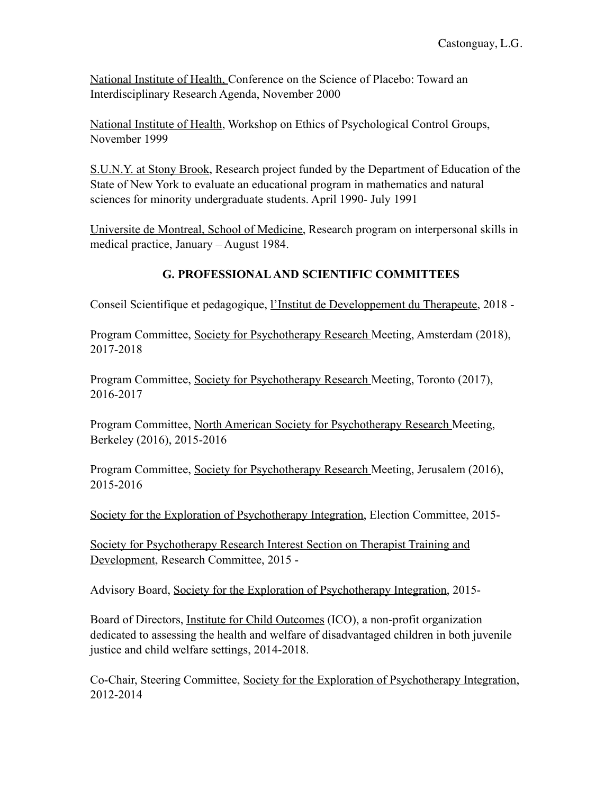National Institute of Health, Conference on the Science of Placebo: Toward an Interdisciplinary Research Agenda, November 2000

National Institute of Health, Workshop on Ethics of Psychological Control Groups, November 1999

S.U.N.Y. at Stony Brook, Research project funded by the Department of Education of the State of New York to evaluate an educational program in mathematics and natural sciences for minority undergraduate students. April 1990- July 1991

Universite de Montreal, School of Medicine, Research program on interpersonal skills in medical practice, January – August 1984.

#### **G. PROFESSIONAL AND SCIENTIFIC COMMITTEES**

Conseil Scientifique et pedagogique, l'Institut de Developpement du Therapeute, 2018 -

Program Committee, Society for Psychotherapy Research Meeting, Amsterdam (2018), 2017-2018

Program Committee, Society for Psychotherapy Research Meeting, Toronto (2017), 2016-2017

Program Committee, North American Society for Psychotherapy Research Meeting, Berkeley (2016), 2015-2016

Program Committee, Society for Psychotherapy Research Meeting, Jerusalem (2016), 2015-2016

Society for the Exploration of Psychotherapy Integration, Election Committee, 2015-

Society for Psychotherapy Research Interest Section on Therapist Training and Development, Research Committee, 2015 -

Advisory Board, Society for the Exploration of Psychotherapy Integration, 2015-

Board of Directors, Institute for Child Outcomes (ICO), a non-profit organization dedicated to assessing the health and welfare of disadvantaged children in both juvenile justice and child welfare settings, 2014-2018.

Co-Chair, Steering Committee, Society for the Exploration of Psychotherapy Integration, 2012-2014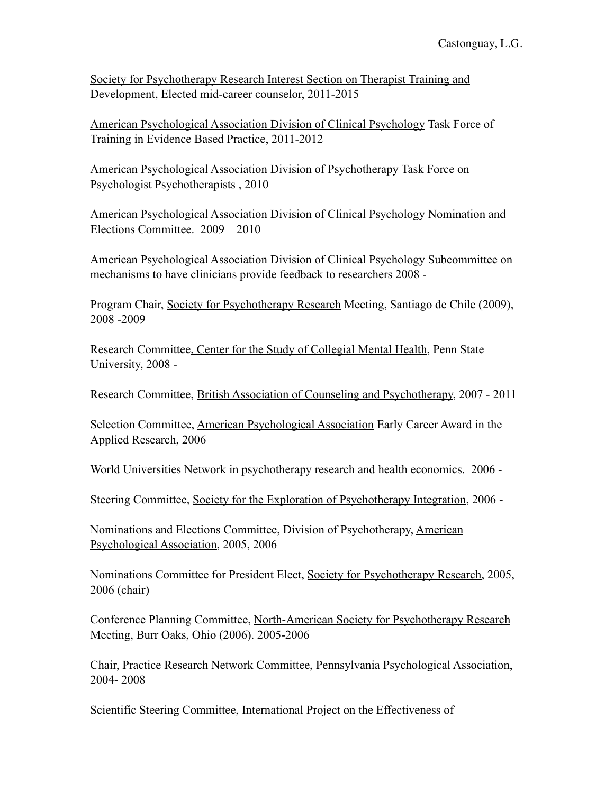Society for Psychotherapy Research Interest Section on Therapist Training and Development, Elected mid-career counselor, 2011-2015

American Psychological Association Division of Clinical Psychology Task Force of Training in Evidence Based Practice, 2011-2012

American Psychological Association Division of Psychotherapy Task Force on Psychologist Psychotherapists , 2010

American Psychological Association Division of Clinical Psychology Nomination and Elections Committee. 2009 – 2010

American Psychological Association Division of Clinical Psychology Subcommittee on mechanisms to have clinicians provide feedback to researchers 2008 -

Program Chair, Society for Psychotherapy Research Meeting, Santiago de Chile (2009), 2008 -2009

Research Committee, Center for the Study of Collegial Mental Health, Penn State University, 2008 -

Research Committee, British Association of Counseling and Psychotherapy, 2007 - 2011

Selection Committee, American Psychological Association Early Career Award in the Applied Research, 2006

World Universities Network in psychotherapy research and health economics. 2006 -

Steering Committee, Society for the Exploration of Psychotherapy Integration, 2006 -

Nominations and Elections Committee, Division of Psychotherapy, American Psychological Association, 2005, 2006

Nominations Committee for President Elect, Society for Psychotherapy Research, 2005, 2006 (chair)

Conference Planning Committee, North-American Society for Psychotherapy Research Meeting, Burr Oaks, Ohio (2006). 2005-2006

Chair, Practice Research Network Committee, Pennsylvania Psychological Association, 2004- 2008

Scientific Steering Committee, International Project on the Effectiveness of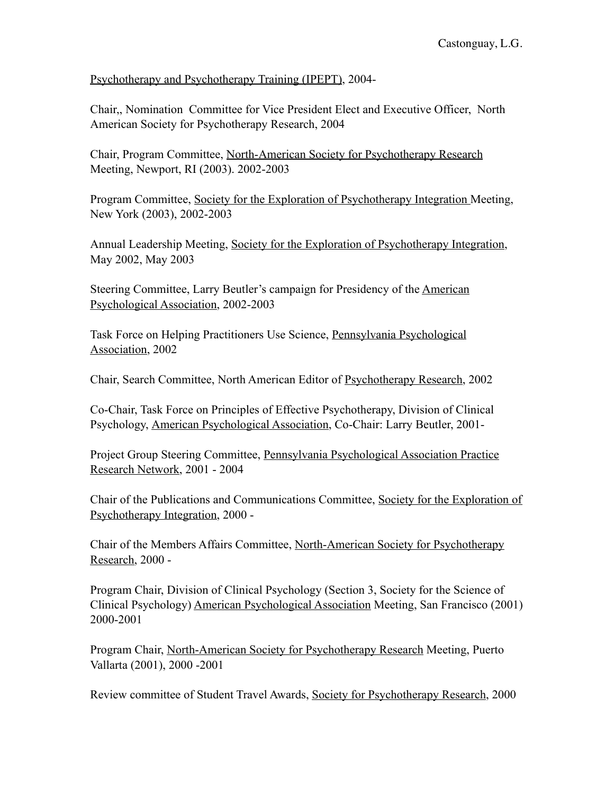Psychotherapy and Psychotherapy Training (IPEPT), 2004-

Chair,, Nomination Committee for Vice President Elect and Executive Officer, North American Society for Psychotherapy Research, 2004

Chair, Program Committee, North-American Society for Psychotherapy Research Meeting, Newport, RI (2003). 2002-2003

Program Committee, Society for the Exploration of Psychotherapy Integration Meeting, New York (2003), 2002-2003

Annual Leadership Meeting, Society for the Exploration of Psychotherapy Integration, May 2002, May 2003

Steering Committee, Larry Beutler's campaign for Presidency of the American Psychological Association, 2002-2003

Task Force on Helping Practitioners Use Science, Pennsylvania Psychological Association, 2002

Chair, Search Committee, North American Editor of Psychotherapy Research, 2002

Co-Chair, Task Force on Principles of Effective Psychotherapy, Division of Clinical Psychology, American Psychological Association, Co-Chair: Larry Beutler, 2001-

Project Group Steering Committee, Pennsylvania Psychological Association Practice Research Network, 2001 - 2004

Chair of the Publications and Communications Committee, Society for the Exploration of Psychotherapy Integration, 2000 -

Chair of the Members Affairs Committee, North-American Society for Psychotherapy Research, 2000 -

Program Chair, Division of Clinical Psychology (Section 3, Society for the Science of Clinical Psychology) American Psychological Association Meeting, San Francisco (2001) 2000-2001

Program Chair, North-American Society for Psychotherapy Research Meeting, Puerto Vallarta (2001), 2000 -2001

Review committee of Student Travel Awards, Society for Psychotherapy Research, 2000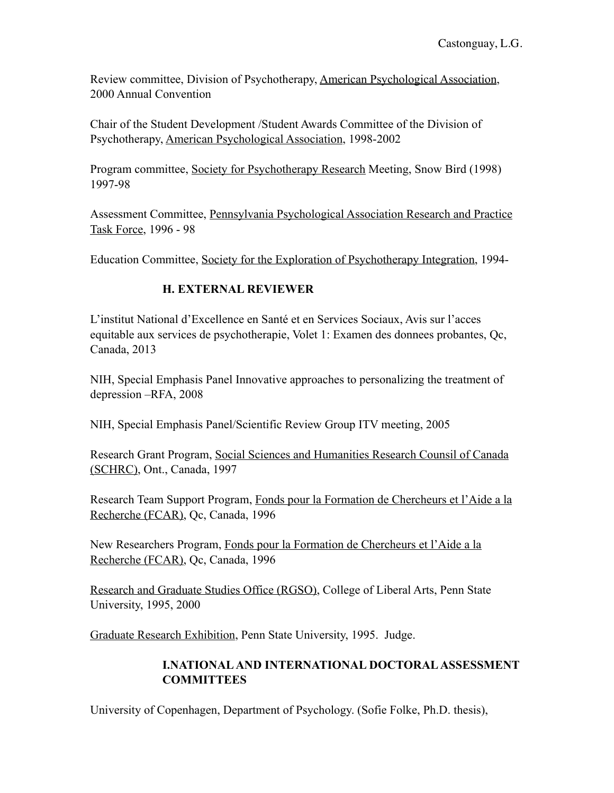Review committee, Division of Psychotherapy, American Psychological Association, 2000 Annual Convention

Chair of the Student Development /Student Awards Committee of the Division of Psychotherapy, American Psychological Association, 1998-2002

Program committee, Society for Psychotherapy Research Meeting, Snow Bird (1998) 1997-98

Assessment Committee, Pennsylvania Psychological Association Research and Practice Task Force, 1996 - 98

Education Committee, Society for the Exploration of Psychotherapy Integration, 1994-

## **H. EXTERNAL REVIEWER**

L'institut National d'Excellence en Santé et en Services Sociaux, Avis sur l'acces equitable aux services de psychotherapie, Volet 1: Examen des donnees probantes, Qc, Canada, 2013

NIH, Special Emphasis Panel Innovative approaches to personalizing the treatment of depression –RFA, 2008

NIH, Special Emphasis Panel/Scientific Review Group ITV meeting, 2005

Research Grant Program, Social Sciences and Humanities Research Counsil of Canada (SCHRC), Ont., Canada, 1997

Research Team Support Program, Fonds pour la Formation de Chercheurs et l'Aide a la Recherche (FCAR), Qc, Canada, 1996

New Researchers Program, Fonds pour la Formation de Chercheurs et l'Aide a la Recherche (FCAR), Qc, Canada, 1996

Research and Graduate Studies Office (RGSO), College of Liberal Arts, Penn State University, 1995, 2000

Graduate Research Exhibition, Penn State University, 1995. Judge.

# **I.NATIONAL AND INTERNATIONAL DOCTORAL ASSESSMENT COMMITTEES**

University of Copenhagen, Department of Psychology. (Sofie Folke, Ph.D. thesis),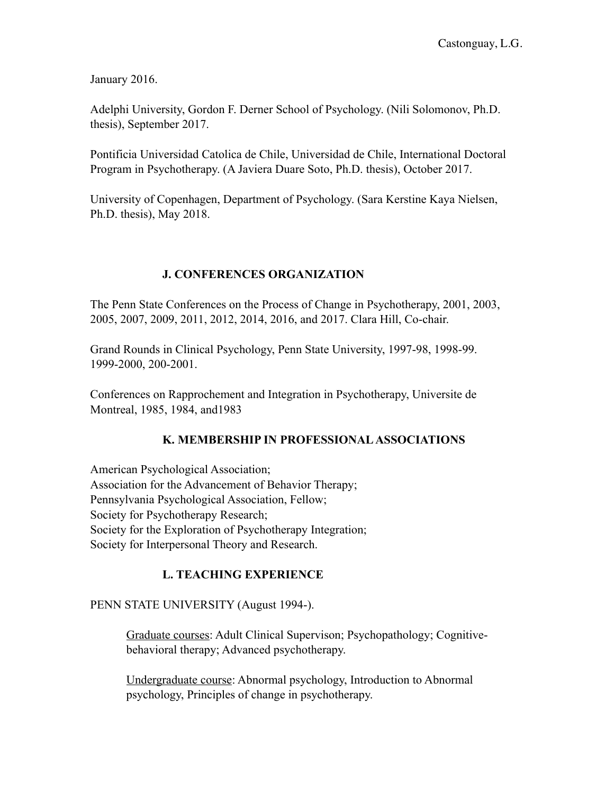January 2016.

Adelphi University, Gordon F. Derner School of Psychology. (Nili Solomonov, Ph.D. thesis), September 2017.

Pontificia Universidad Catolica de Chile, Universidad de Chile, International Doctoral Program in Psychotherapy. (A Javiera Duare Soto, Ph.D. thesis), October 2017.

University of Copenhagen, Department of Psychology. (Sara Kerstine Kaya Nielsen, Ph.D. thesis), May 2018.

## **J. CONFERENCES ORGANIZATION**

The Penn State Conferences on the Process of Change in Psychotherapy, 2001, 2003, 2005, 2007, 2009, 2011, 2012, 2014, 2016, and 2017. Clara Hill, Co-chair.

Grand Rounds in Clinical Psychology, Penn State University, 1997-98, 1998-99. 1999-2000, 200-2001.

Conferences on Rapprochement and Integration in Psychotherapy, Universite de Montreal, 1985, 1984, and1983

## **K. MEMBERSHIP IN PROFESSIONAL ASSOCIATIONS**

American Psychological Association; Association for the Advancement of Behavior Therapy; Pennsylvania Psychological Association, Fellow; Society for Psychotherapy Research; Society for the Exploration of Psychotherapy Integration; Society for Interpersonal Theory and Research.

# **L. TEACHING EXPERIENCE**

## PENN STATE UNIVERSITY (August 1994-).

Graduate courses: Adult Clinical Supervison; Psychopathology; Cognitivebehavioral therapy; Advanced psychotherapy.

Undergraduate course: Abnormal psychology, Introduction to Abnormal psychology, Principles of change in psychotherapy.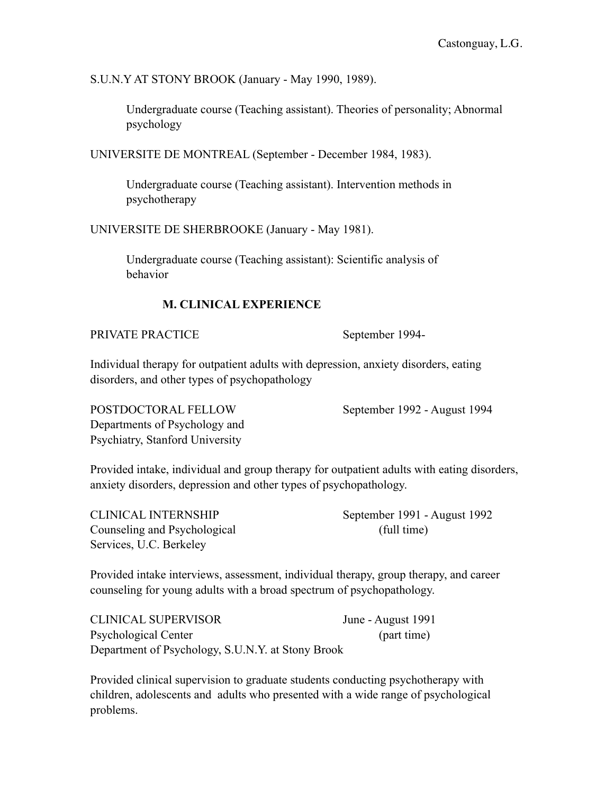S.U.N.Y AT STONY BROOK (January - May 1990, 1989).

Undergraduate course (Teaching assistant). Theories of personality; Abnormal psychology

UNIVERSITE DE MONTREAL (September - December 1984, 1983).

Undergraduate course (Teaching assistant). Intervention methods in psychotherapy

UNIVERSITE DE SHERBROOKE (January - May 1981).

Undergraduate course (Teaching assistant): Scientific analysis of behavior

## **M. CLINICAL EXPERIENCE**

PRIVATE PRACTICE September 1994-

Individual therapy for outpatient adults with depression, anxiety disorders, eating disorders, and other types of psychopathology

POSTDOCTORAL FELLOW September 1992 - August 1994 Departments of Psychology and Psychiatry, Stanford University

Provided intake, individual and group therapy for outpatient adults with eating disorders, anxiety disorders, depression and other types of psychopathology.

Counseling and Psychological (full time) Services, U.C. Berkeley

CLINICAL INTERNSHIP September 1991 - August 1992

Provided intake interviews, assessment, individual therapy, group therapy, and career counseling for young adults with a broad spectrum of psychopathology.

| <b>CLINICAL SUPERVISOR</b>                        | June - August 1991 |
|---------------------------------------------------|--------------------|
| Psychological Center                              | (part time)        |
| Department of Psychology, S.U.N.Y. at Stony Brook |                    |

Provided clinical supervision to graduate students conducting psychotherapy with children, adolescents and adults who presented with a wide range of psychological problems.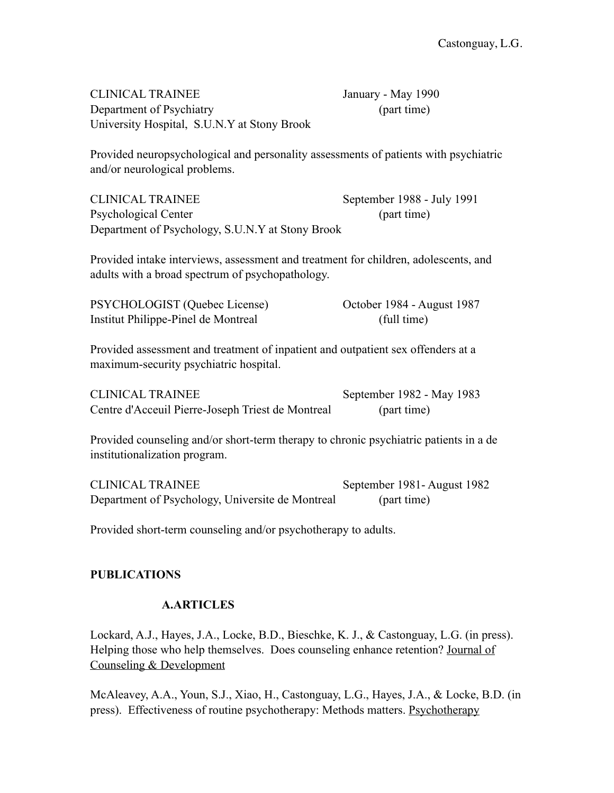CLINICAL TRAINEE January - May 1990 Department of Psychiatry (part time) University Hospital, S.U.N.Y at Stony Brook

Provided neuropsychological and personality assessments of patients with psychiatric and/or neurological problems.

CLINICAL TRAINEE September 1988 - July 1991 Psychological Center (part time) Department of Psychology, S.U.N.Y at Stony Brook

Provided intake interviews, assessment and treatment for children, adolescents, and adults with a broad spectrum of psychopathology.

| PSYCHOLOGIST (Quebec License)       | October 1984 - August 1987 |
|-------------------------------------|----------------------------|
| Institut Philippe-Pinel de Montreal | (full time)                |

Provided assessment and treatment of inpatient and outpatient sex offenders at a maximum-security psychiatric hospital.

| <b>CLINICAL TRAINEE</b>                           | September 1982 - May 1983 |
|---------------------------------------------------|---------------------------|
| Centre d'Acceuil Pierre-Joseph Triest de Montreal | (part time)               |

Provided counseling and/or short-term therapy to chronic psychiatric patients in a de institutionalization program.

CLINICAL TRAINEE September 1981- August 1982 Department of Psychology, Universite de Montreal (part time)

Provided short-term counseling and/or psychotherapy to adults.

#### **PUBLICATIONS**

#### **A.ARTICLES**

Lockard, A.J., Hayes, J.A., Locke, B.D., Bieschke, K. J., & Castonguay, L.G. (in press). Helping those who help themselves. Does counseling enhance retention? Journal of Counseling & Development

McAleavey, A.A., Youn, S.J., Xiao, H., Castonguay, L.G., Hayes, J.A., & Locke, B.D. (in press). Effectiveness of routine psychotherapy: Methods matters. Psychotherapy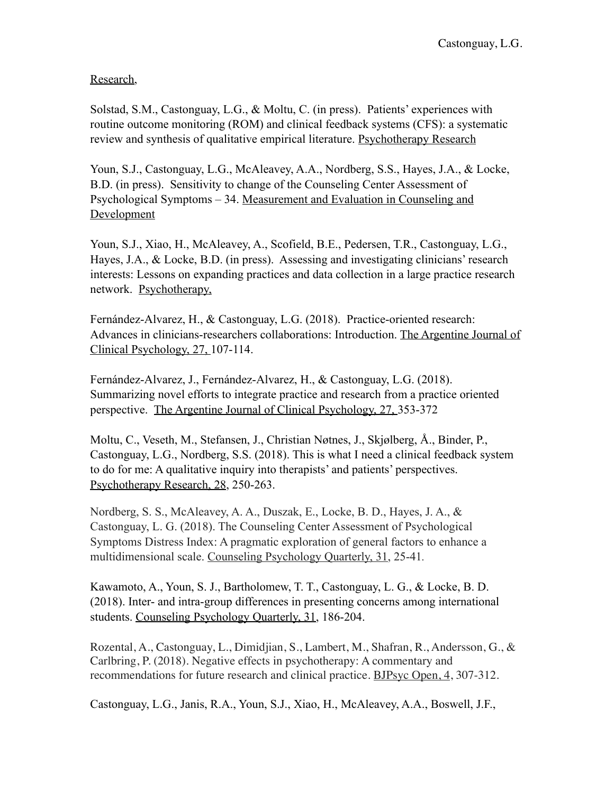#### Research,

Solstad, S.M., Castonguay, L.G., & Moltu, C. (in press). Patients' experiences with routine outcome monitoring (ROM) and clinical feedback systems (CFS): a systematic review and synthesis of qualitative empirical literature. Psychotherapy Research

Youn, S.J., Castonguay, L.G., McAleavey, A.A., Nordberg, S.S., Hayes, J.A., & Locke, B.D. (in press). Sensitivity to change of the Counseling Center Assessment of Psychological Symptoms – 34. Measurement and Evaluation in Counseling and **Development** 

Youn, S.J., Xiao, H., McAleavey, A., Scofield, B.E., Pedersen, T.R., Castonguay, L.G., Hayes, J.A., & Locke, B.D. (in press). Assessing and investigating clinicians' research interests: Lessons on expanding practices and data collection in a large practice research network. Psychotherapy,

Fernández-Alvarez, H., & Castonguay, L.G. (2018). Practice-oriented research: Advances in clinicians-researchers collaborations: Introduction. The Argentine Journal of Clinical Psychology, 27, 107-114.

Fernández-Alvarez, J., Fernández-Alvarez, H., & Castonguay, L.G. (2018). Summarizing novel efforts to integrate practice and research from a practice oriented perspective. The Argentine Journal of Clinical Psychology, 27, 353-372

Moltu, C., Veseth, M., Stefansen, J., Christian Nøtnes, J., Skjølberg, Å., Binder, P., Castonguay, L.G., Nordberg, S.S. (2018). This is what I need a clinical feedback system to do for me: A qualitative inquiry into therapists' and patients' perspectives. Psychotherapy Research, 28, 250-263.

Nordberg, S. S., McAleavey, A. A., Duszak, E., Locke, B. D., Hayes, J. A., & Castonguay, L. G. (2018). The Counseling Center Assessment of Psychological Symptoms Distress Index: A pragmatic exploration of general factors to enhance a multidimensional scale. Counseling Psychology Quarterly, 31, 25-41*.*

Kawamoto, A., Youn, S. J., Bartholomew, T. T., Castonguay, L. G., & Locke, B. D. (2018). Inter- and intra-group differences in presenting concerns among international students. Counseling Psychology Quarterly, 31, 186-204.

Rozental, A., Castonguay, L., Dimidjian, S., Lambert, M., Shafran, R., Andersson, G., & Carlbring, P. (2018). Negative effects in psychotherapy: A commentary and recommendations for future research and clinical practice. BJPsyc Open, 4, 307-312*.*

Castonguay, L.G., Janis, R.A., Youn, S.J., Xiao, H., McAleavey, A.A., Boswell, J.F.,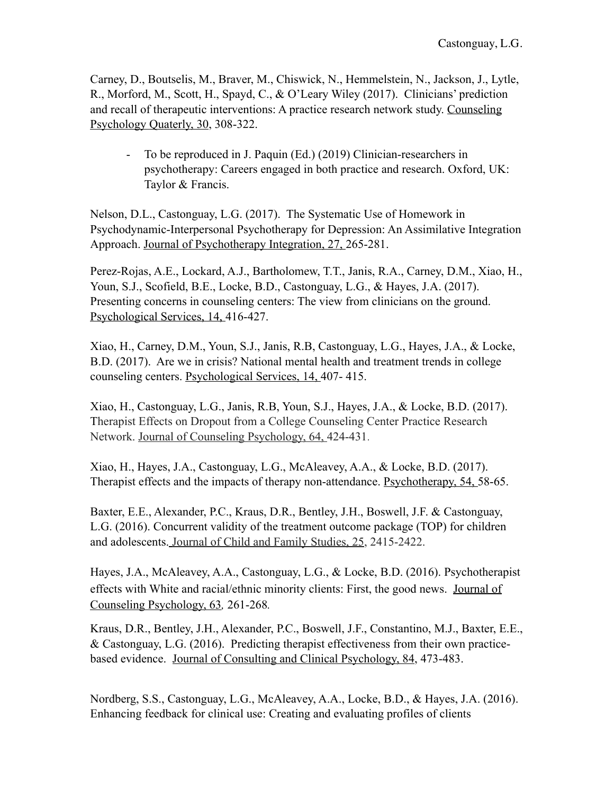Carney, D., Boutselis, M., Braver, M., Chiswick, N., Hemmelstein, N., Jackson, J., Lytle, R., Morford, M., Scott, H., Spayd, C., & O'Leary Wiley (2017). Clinicians' prediction and recall of therapeutic interventions: A practice research network study. Counseling Psychology Quaterly, 30, 308-322.

- To be reproduced in J. Paquin (Ed.) (2019) Clinician-researchers in psychotherapy: Careers engaged in both practice and research. Oxford, UK: Taylor & Francis.

Nelson, D.L., Castonguay, L.G. (2017). The Systematic Use of Homework in Psychodynamic-Interpersonal Psychotherapy for Depression: An Assimilative Integration Approach. Journal of Psychotherapy Integration, 27, 265-281.

Perez-Rojas, A.E., Lockard, A.J., Bartholomew, T.T., Janis, R.A., Carney, D.M., Xiao, H., Youn, S.J., Scofield, B.E., Locke, B.D., Castonguay, L.G., & Hayes, J.A. (2017). Presenting concerns in counseling centers: The view from clinicians on the ground. Psychological Services, 14, 416-427.

Xiao, H., Carney, D.M., Youn, S.J., Janis, R.B, Castonguay, L.G., Hayes, J.A., & Locke, B.D. (2017). Are we in crisis? National mental health and treatment trends in college counseling centers. Psychological Services, 14, 407- 415.

Xiao, H., Castonguay, L.G., Janis, R.B, Youn, S.J., Hayes, J.A., & Locke, B.D. (2017). Therapist Effects on Dropout from a College Counseling Center Practice Research Network. Journal of Counseling Psychology, 64, 424-431.

Xiao, H., Hayes, J.A., Castonguay, L.G., McAleavey, A.A., & Locke, B.D. (2017). Therapist effects and the impacts of therapy non-attendance. Psychotherapy, 54, 58-65.

Baxter, E.E., Alexander, P.C., Kraus, D.R., Bentley, J.H., Boswell, J.F. & Castonguay, L.G. (2016). Concurrent validity of the treatment outcome package (TOP) for children and adolescents. Journal of Child and Family Studies, 25, 2415-2422.

Hayes, J.A., McAleavey, A.A., Castonguay, L.G., & Locke, B.D. (2016). Psychotherapist effects with White and racial/ethnic minority clients: First, the good news. Journal of Counseling Psychology, 63*,* 261-268*.*

Kraus, D.R., Bentley, J.H., Alexander, P.C., Boswell, J.F., Constantino, M.J., Baxter, E.E., & Castonguay, L.G. (2016). Predicting therapist effectiveness from their own practicebased evidence. Journal of Consulting and Clinical Psychology, 84, 473-483.

Nordberg, S.S., Castonguay, L.G., McAleavey, A.A., Locke, B.D., & Hayes, J.A. (2016). Enhancing feedback for clinical use: Creating and evaluating profiles of clients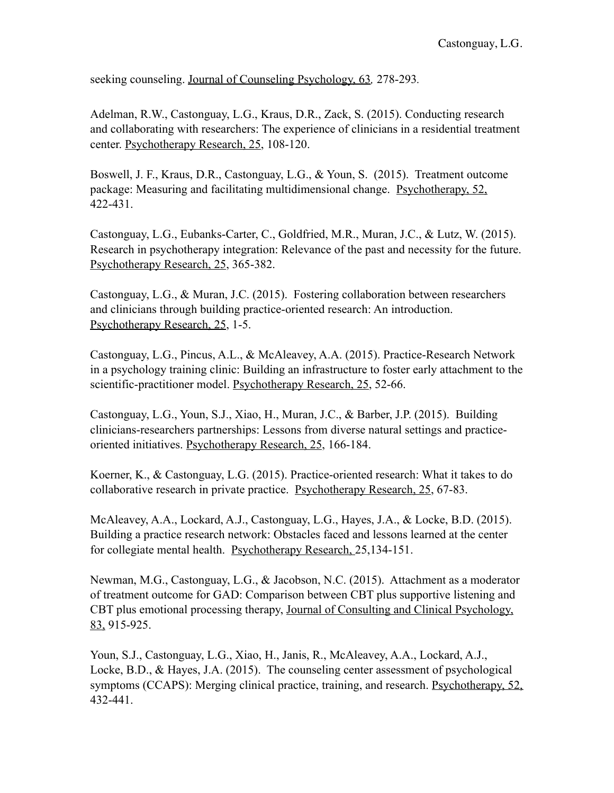seeking counseling. Journal of Counseling Psychology, 63*,* 278-293*.*

Adelman, R.W., Castonguay, L.G., Kraus, D.R., Zack, S. (2015). Conducting research and collaborating with researchers: The experience of clinicians in a residential treatment center. Psychotherapy Research, 25, 108-120.

Boswell, J. F., Kraus, D.R., Castonguay, L.G., & Youn, S. (2015). Treatment outcome package: Measuring and facilitating multidimensional change. Psychotherapy, 52, 422-431.

Castonguay, L.G., Eubanks-Carter, C., Goldfried, M.R., Muran, J.C., & Lutz, W. (2015). Research in psychotherapy integration: Relevance of the past and necessity for the future. Psychotherapy Research, 25, 365-382.

Castonguay, L.G., & Muran, J.C. (2015). Fostering collaboration between researchers and clinicians through building practice-oriented research: An introduction. Psychotherapy Research, 25, 1-5.

Castonguay, L.G., Pincus, A.L., & McAleavey, A.A. (2015). Practice-Research Network in a psychology training clinic: Building an infrastructure to foster early attachment to the scientific-practitioner model. Psychotherapy Research, 25, 52-66.

Castonguay, L.G., Youn, S.J., Xiao, H., Muran, J.C., & Barber, J.P. (2015). Building clinicians-researchers partnerships: Lessons from diverse natural settings and practiceoriented initiatives. Psychotherapy Research, 25, 166-184.

Koerner, K., & Castonguay, L.G. (2015). Practice-oriented research: What it takes to do collaborative research in private practice. Psychotherapy Research, 25, 67-83.

McAleavey, A.A., Lockard, A.J., Castonguay, L.G., Hayes, J.A., & Locke, B.D. (2015). Building a practice research network: Obstacles faced and lessons learned at the center for collegiate mental health. Psychotherapy Research, 25,134-151.

Newman, M.G., Castonguay, L.G., & Jacobson, N.C. (2015). Attachment as a moderator of treatment outcome for GAD: Comparison between CBT plus supportive listening and CBT plus emotional processing therapy, Journal of Consulting and Clinical Psychology, 83, 915-925.

Youn, S.J., Castonguay, L.G., Xiao, H., Janis, R., McAleavey, A.A., Lockard, A.J., Locke, B.D., & Hayes, J.A. (2015). The counseling center assessment of psychological symptoms (CCAPS): Merging clinical practice, training, and research. Psychotherapy, 52, 432-441.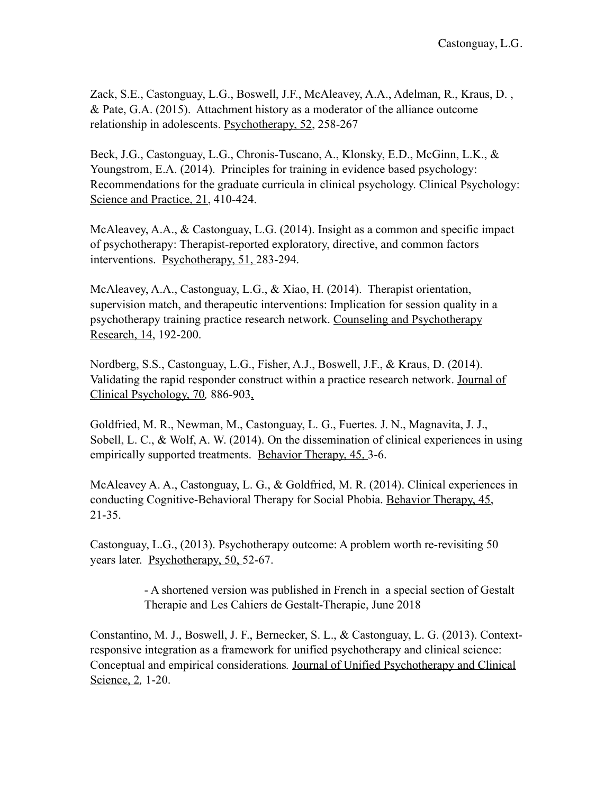Zack, S.E., Castonguay, L.G., Boswell, J.F., McAleavey, A.A., Adelman, R., Kraus, D. , & Pate, G.A. (2015). Attachment history as a moderator of the alliance outcome relationship in adolescents. Psychotherapy, 52, 258-267

Beck, J.G., Castonguay, L.G., Chronis-Tuscano, A., Klonsky, E.D., McGinn, L.K., & Youngstrom, E.A. (2014). Principles for training in evidence based psychology: Recommendations for the graduate curricula in clinical psychology. Clinical Psychology: Science and Practice, 21, 410-424.

McAleavey, A.A., & Castonguay, L.G. (2014). Insight as a common and specific impact of psychotherapy: Therapist-reported exploratory, directive, and common factors interventions. Psychotherapy, 51, 283-294.

McAleavey, A.A., Castonguay, L.G., & Xiao, H. (2014). Therapist orientation, supervision match, and therapeutic interventions: Implication for session quality in a psychotherapy training practice research network. Counseling and Psychotherapy Research, 14, 192-200.

Nordberg, S.S., Castonguay, L.G., Fisher, A.J., Boswell, J.F., & Kraus, D. (2014). Validating the rapid responder construct within a practice research network. Journal of Clinical Psychology, 70*,* 886-903,

Goldfried, M. R., Newman, M., Castonguay, L. G., Fuertes. J. N., Magnavita, J. J., Sobell, L. C., & Wolf, A. W. (2014). On the dissemination of clinical experiences in using empirically supported treatments. Behavior Therapy, 45, 3-6.

McAleavey A. A., Castonguay, L. G., & Goldfried, M. R. (2014). Clinical experiences in conducting Cognitive-Behavioral Therapy for Social Phobia. Behavior Therapy, 45, 21-35.

Castonguay, L.G., (2013). Psychotherapy outcome: A problem worth re-revisiting 50 years later. Psychotherapy, 50, 52-67.

> - A shortened version was published in French in a special section of Gestalt Therapie and Les Cahiers de Gestalt-Therapie, June 2018

Constantino, M. J., Boswell, J. F., Bernecker, S. L., & Castonguay, L. G. (2013). Contextresponsive integration as a framework for unified psychotherapy and clinical science: Conceptual and empirical considerations*.* Journal of Unified Psychotherapy and Clinical Science, 2*,* 1-20.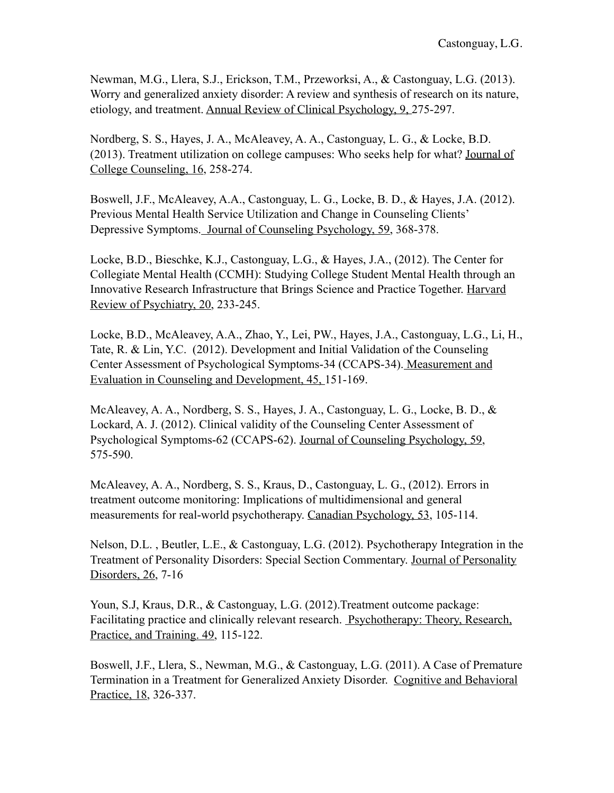Newman, M.G., Llera, S.J., Erickson, T.M., Przeworksi, A., & Castonguay, L.G. (2013). Worry and generalized anxiety disorder: A review and synthesis of research on its nature, etiology, and treatment. Annual Review of Clinical Psychology, 9, 275-297.

Nordberg, S. S., Hayes, J. A., McAleavey, A. A., Castonguay, L. G., & Locke, B.D. (2013). Treatment utilization on college campuses: Who seeks help for what? Journal of College Counseling, 16, 258-274.

Boswell, J.F., McAleavey, A.A., Castonguay, L. G., Locke, B. D., & Hayes, J.A. (2012). Previous Mental Health Service Utilization and Change in Counseling Clients' Depressive Symptoms. Journal of Counseling Psychology, 59, 368-378.

Locke, B.D., Bieschke, K.J., Castonguay, L.G., & Hayes, J.A., (2012). The Center for Collegiate Mental Health (CCMH): Studying College Student Mental Health through an Innovative Research Infrastructure that Brings Science and Practice Together. Harvard Review of Psychiatry, 20, 233-245.

Locke, B.D., McAleavey, A.A., Zhao, Y., Lei, PW., Hayes, J.A., Castonguay, L.G., Li, H., Tate, R. & Lin, Y.C. (2012). Development and Initial Validation of the Counseling Center Assessment of Psychological Symptoms-34 (CCAPS-34). Measurement and Evaluation in Counseling and Development, 45, 151-169.

McAleavey, A. A., Nordberg, S. S., Hayes, J. A., Castonguay, L. G., Locke, B. D., & Lockard, A. J. (2012). Clinical validity of the Counseling Center Assessment of Psychological Symptoms-62 (CCAPS-62). Journal of Counseling Psychology, 59, 575-590.

McAleavey, A. A., Nordberg, S. S., Kraus, D., Castonguay, L. G., (2012). Errors in treatment outcome monitoring: Implications of multidimensional and general measurements for real-world psychotherapy. Canadian Psychology, 53, 105-114.

Nelson, D.L. , Beutler, L.E., & Castonguay, L.G. (2012). Psychotherapy Integration in the Treatment of Personality Disorders: Special Section Commentary. Journal of Personality Disorders, 26, 7-16

Youn, S.J, Kraus, D.R., & Castonguay, L.G. (2012).Treatment outcome package: Facilitating practice and clinically relevant research. Psychotherapy: Theory, Research, Practice, and Training. 49, 115-122.

Boswell, J.F., Llera, S., Newman, M.G., & Castonguay, L.G. (2011). A Case of Premature Termination in a Treatment for Generalized Anxiety Disorder. Cognitive and Behavioral Practice, 18, 326-337.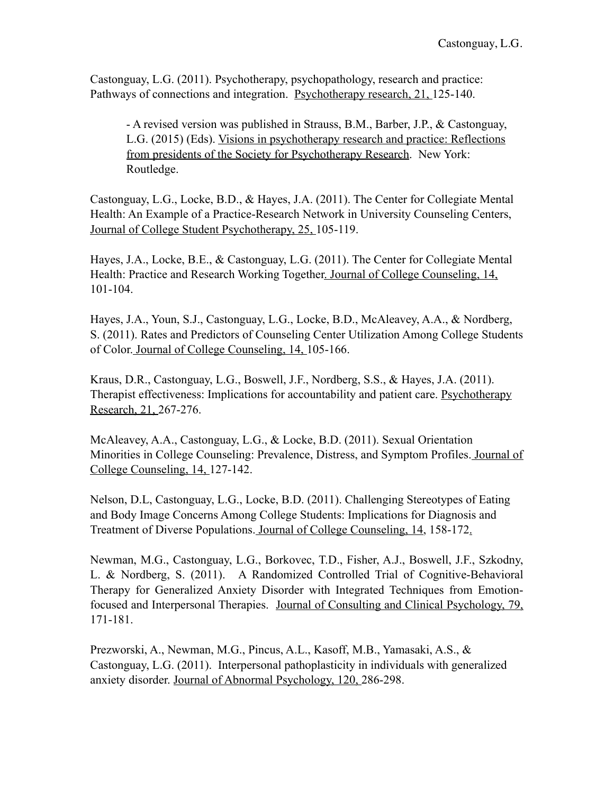Castonguay, L.G. (2011). Psychotherapy, psychopathology, research and practice: Pathways of connections and integration. Psychotherapy research, 21, 125-140.

- A revised version was published in Strauss, B.M., Barber, J.P., & Castonguay, L.G. (2015) (Eds). Visions in psychotherapy research and practice: Reflections from presidents of the Society for Psychotherapy Research. New York: Routledge.

Castonguay, L.G., Locke, B.D., & Hayes, J.A. (2011). The Center for Collegiate Mental Health: An Example of a Practice-Research Network in University Counseling Centers, Journal of College Student Psychotherapy, 25, 105-119.

Hayes, J.A., Locke, B.E., & Castonguay, L.G. (2011). The Center for Collegiate Mental Health: Practice and Research Working Together. Journal of College Counseling, 14, 101-104.

Hayes, J.A., Youn, S.J., Castonguay, L.G., Locke, B.D., McAleavey, A.A., & Nordberg, S. (2011). Rates and Predictors of Counseling Center Utilization Among College Students of Color. Journal of College Counseling, 14, 105-166.

Kraus, D.R., Castonguay, L.G., Boswell, J.F., Nordberg, S.S., & Hayes, J.A. (2011). Therapist effectiveness: Implications for accountability and patient care. Psychotherapy Research, 21, 267-276.

McAleavey, A.A., Castonguay, L.G., & Locke, B.D. (2011). Sexual Orientation Minorities in College Counseling: Prevalence, Distress, and Symptom Profiles. Journal of College Counseling, 14, 127-142.

Nelson, D.L, Castonguay, L.G., Locke, B.D. (2011). Challenging Stereotypes of Eating and Body Image Concerns Among College Students: Implications for Diagnosis and Treatment of Diverse Populations. Journal of College Counseling, 14, 158-172.

Newman, M.G., Castonguay, L.G., Borkovec, T.D., Fisher, A.J., Boswell, J.F., Szkodny, L. & Nordberg, S. (2011). A Randomized Controlled Trial of Cognitive-Behavioral Therapy for Generalized Anxiety Disorder with Integrated Techniques from Emotionfocused and Interpersonal Therapies. Journal of Consulting and Clinical Psychology, 79, 171-181.

Prezworski, A., Newman, M.G., Pincus, A.L., Kasoff, M.B., Yamasaki, A.S., & Castonguay, L.G. (2011). Interpersonal pathoplasticity in individuals with generalized anxiety disorder. Journal of Abnormal Psychology, 120, 286-298.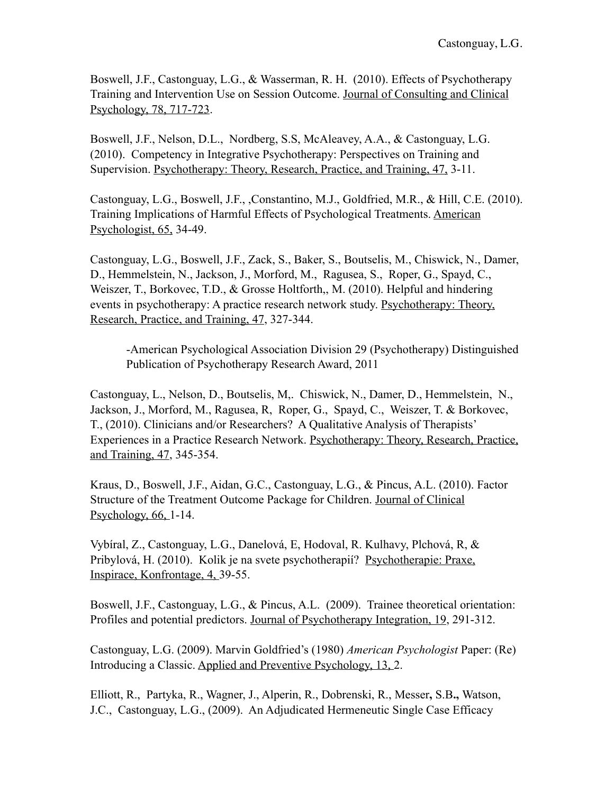Boswell, J.F., Castonguay, L.G., & Wasserman, R. H. (2010). Effects of Psychotherapy Training and Intervention Use on Session Outcome. Journal of Consulting and Clinical Psychology, 78, 717-723.

Boswell, J.F., Nelson, D.L., Nordberg, S.S, McAleavey, A.A., & Castonguay, L.G. (2010). Competency in Integrative Psychotherapy: Perspectives on Training and Supervision. Psychotherapy: Theory, Research, Practice, and Training, 47, 3-11.

Castonguay, L.G., Boswell, J.F., ,Constantino, M.J., Goldfried, M.R., & Hill, C.E. (2010). Training Implications of Harmful Effects of Psychological Treatments. American Psychologist, 65, 34-49.

Castonguay, L.G., Boswell, J.F., Zack, S., Baker, S., Boutselis, M., Chiswick, N., Damer, D., Hemmelstein, N., Jackson, J., Morford, M., Ragusea, S., Roper, G., Spayd, C., Weiszer, T., Borkovec, T.D., & Grosse Holtforth,, M. (2010). Helpful and hindering events in psychotherapy: A practice research network study. Psychotherapy: Theory, Research, Practice, and Training, 47, 327-344.

-American Psychological Association Division 29 (Psychotherapy) Distinguished Publication of Psychotherapy Research Award, 2011

Castonguay, L., Nelson, D., Boutselis, M,. Chiswick, N., Damer, D., Hemmelstein, N., Jackson, J., Morford, M., Ragusea, R, Roper, G., Spayd, C., Weiszer, T. & Borkovec, T., (2010). Clinicians and/or Researchers? A Qualitative Analysis of Therapists' Experiences in a Practice Research Network. Psychotherapy: Theory, Research, Practice, and Training, 47, 345-354.

Kraus, D., Boswell, J.F., Aidan, G.C., Castonguay, L.G., & Pincus, A.L. (2010). Factor Structure of the Treatment Outcome Package for Children. Journal of Clinical Psychology, 66, 1-14.

Vybíral, Z., Castonguay, L.G., Danelová, E, Hodoval, R. Kulhavy, Plchová, R, & Pribylová, H. (2010). Kolik je na svete psychotherapií? Psychotherapie: Praxe, Inspirace, Konfrontage, 4, 39-55.

Boswell, J.F., Castonguay, L.G., & Pincus, A.L. (2009). Trainee theoretical orientation: Profiles and potential predictors. Journal of Psychotherapy Integration, 19, 291-312.

Castonguay, L.G. (2009). Marvin Goldfried's (1980) *American Psychologist* Paper: (Re) Introducing a Classic. Applied and Preventive Psychology, 13, 2.

Elliott, R., Partyka, R., Wagner, J., Alperin, R., Dobrenski, R., Messer**,** S.B**.,** Watson, J.C., Castonguay, L.G., (2009). An Adjudicated Hermeneutic Single Case Efficacy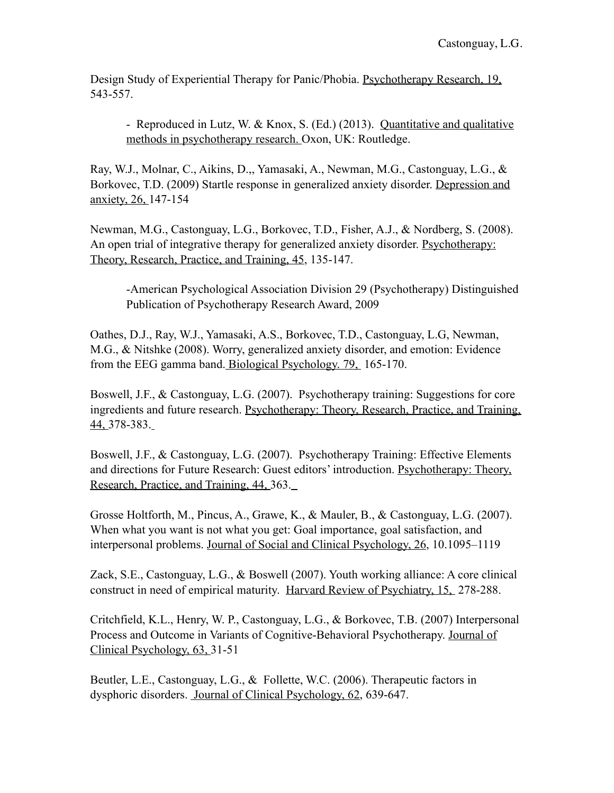Design Study of Experiential Therapy for Panic/Phobia. Psychotherapy Research, 19, 543-557.

- Reproduced in Lutz, W. & Knox, S. (Ed.) (2013). Quantitative and qualitative methods in psychotherapy research. Oxon, UK: Routledge.

Ray, W.J., Molnar, C., Aikins, D.,, Yamasaki, A., Newman, M.G., Castonguay, L.G., & Borkovec, T.D. (2009) Startle response in generalized anxiety disorder. Depression and anxiety, 26, 147-154

Newman, M.G., Castonguay, L.G., Borkovec, T.D., Fisher, A.J., & Nordberg, S. (2008). An open trial of integrative therapy for generalized anxiety disorder. Psychotherapy: Theory, Research, Practice, and Training, 45, 135-147.

-American Psychological Association Division 29 (Psychotherapy) Distinguished Publication of Psychotherapy Research Award, 2009

Oathes, D.J., Ray, W.J., Yamasaki, A.S., Borkovec, T.D., Castonguay, L.G, Newman, M.G., & Nitshke (2008). Worry, generalized anxiety disorder, and emotion: Evidence from the EEG gamma band. Biological Psychology. 79, 165-170.

Boswell, J.F., & Castonguay, L.G. (2007). Psychotherapy training: Suggestions for core ingredients and future research. Psychotherapy: Theory, Research, Practice, and Training, 44, 378-383.

Boswell, J.F., & Castonguay, L.G. (2007). Psychotherapy Training: Effective Elements and directions for Future Research: Guest editors' introduction. Psychotherapy: Theory, Research, Practice, and Training, 44, 363.

Grosse Holtforth, M., Pincus, A., Grawe, K., & Mauler, B., & Castonguay, L.G. (2007). When what you want is not what you get: Goal importance, goal satisfaction, and interpersonal problems. Journal of Social and Clinical Psychology, 26, 10.1095–1119

Zack, S.E., Castonguay, L.G., & Boswell (2007). Youth working alliance: A core clinical construct in need of empirical maturity. Harvard Review of Psychiatry, 15, 278-288.

Critchfield, K.L., Henry, W. P., Castonguay, L.G., & Borkovec, T.B. (2007) Interpersonal Process and Outcome in Variants of Cognitive-Behavioral Psychotherapy. Journal of Clinical Psychology, 63, 31-51

Beutler, L.E., Castonguay, L.G., & Follette, W.C. (2006). Therapeutic factors in dysphoric disorders. Journal of Clinical Psychology, 62, 639-647.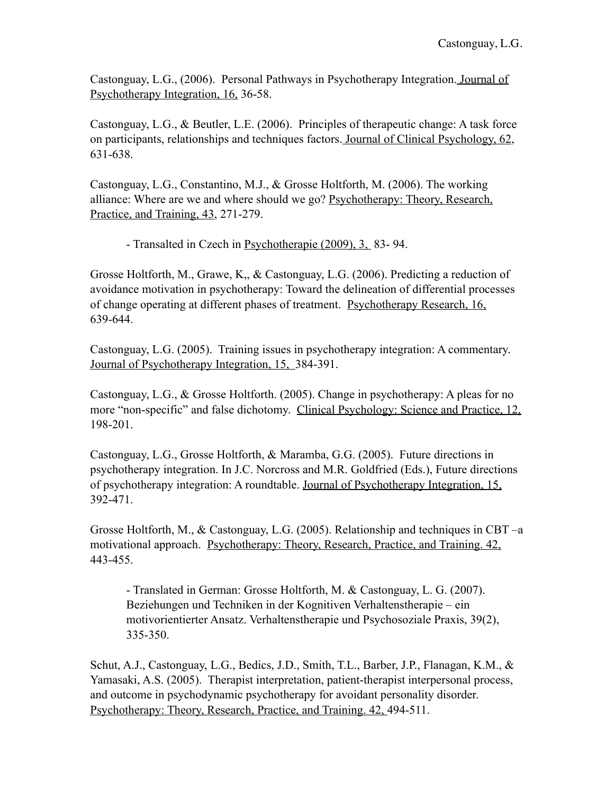Castonguay, L.G., (2006). Personal Pathways in Psychotherapy Integration. Journal of Psychotherapy Integration, 16, 36-58.

Castonguay, L.G., & Beutler, L.E. (2006). Principles of therapeutic change: A task force on participants, relationships and techniques factors. Journal of Clinical Psychology, 62, 631-638.

Castonguay, L.G., Constantino, M.J., & Grosse Holtforth, M. (2006). The working alliance: Where are we and where should we go? Psychotherapy: Theory, Research, Practice, and Training, 43, 271-279.

- Transalted in Czech in Psychotherapie (2009), 3, 83- 94.

Grosse Holtforth, M., Grawe, K,, & Castonguay, L.G. (2006). Predicting a reduction of avoidance motivation in psychotherapy: Toward the delineation of differential processes of change operating at different phases of treatment. Psychotherapy Research, 16, 639-644.

Castonguay, L.G. (2005). Training issues in psychotherapy integration: A commentary. Journal of Psychotherapy Integration, 15, 384-391.

Castonguay, L.G., & Grosse Holtforth. (2005). Change in psychotherapy: A pleas for no more "non-specific" and false dichotomy. Clinical Psychology: Science and Practice, 12, 198-201.

Castonguay, L.G., Grosse Holtforth, & Maramba, G.G. (2005). Future directions in psychotherapy integration. In J.C. Norcross and M.R. Goldfried (Eds.), Future directions of psychotherapy integration: A roundtable. Journal of Psychotherapy Integration, 15, 392-471.

Grosse Holtforth, M., & Castonguay, L.G. (2005). Relationship and techniques in CBT –a motivational approach. Psychotherapy: Theory, Research, Practice, and Training. 42, 443-455.

- Translated in German: Grosse Holtforth, M. & Castonguay, L. G. (2007). Beziehungen und Techniken in der Kognitiven Verhaltenstherapie – ein motivorientierter Ansatz. Verhaltenstherapie und Psychosoziale Praxis, 39(2), 335-350.

Schut, A.J., Castonguay, L.G., Bedics, J.D., Smith, T.L., Barber, J.P., Flanagan, K.M., & Yamasaki, A.S. (2005). Therapist interpretation, patient-therapist interpersonal process, and outcome in psychodynamic psychotherapy for avoidant personality disorder. Psychotherapy: Theory, Research, Practice, and Training. 42, 494-511.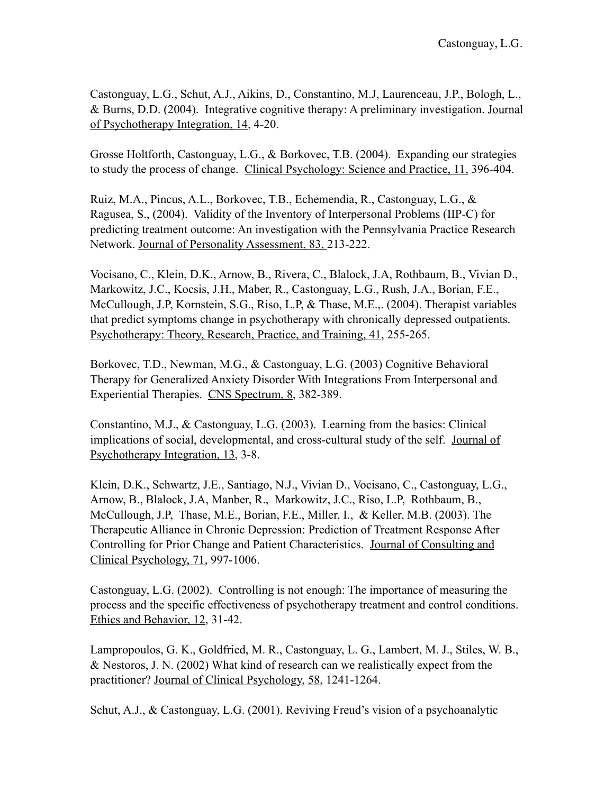Castonguay, L.G., Schut, A.J., Aikins, D., Constantino, M.J, Laurenceau, J.P., Bologh, L., & Burns, D.D. (2004). Integrative cognitive therapy: A preliminary investigation. Journal of Psychotherapy Integration, 14, 4-20.

Grosse Holtforth, Castonguay, L.G., & Borkovec, T.B. (2004). Expanding our strategies to study the process of change. Clinical Psychology: Science and Practice, 11, 396-404.

Ruiz, M.A., Pincus, A.L., Borkovec, T.B., Echemendia, R., Castonguay, L.G., & Ragusea, S., (2004). Validity of the Inventory of Interpersonal Problems (IIP-C) for predicting treatment outcome: An investigation with the Pennsylvania Practice Research Network. Journal of Personality Assessment, 83, 213-222.

Vocisano, C., Klein, D.K., Arnow, B., Rivera, C., Blalock, J.A, Rothbaum, B., Vivian D., Markowitz, J.C., Kocsis, J.H., Maber, R., Castonguay, L.G., Rush, J.A., Borian, F.E., McCullough, J.P, Kornstein, S.G., Riso, L.P, & Thase, M.E.,. (2004). Therapist variables that predict symptoms change in psychotherapy with chronically depressed outpatients. Psychotherapy: Theory, Research, Practice, and Training, 41, 255-265.

Borkovec, T.D., Newman, M.G., & Castonguay, L.G. (2003) Cognitive Behavioral Therapy for Generalized Anxiety Disorder With Integrations From Interpersonal and Experiential Therapies. CNS Spectrum, 8, 382-389.

Constantino, M.J., & Castonguay, L.G. (2003). Learning from the basics: Clinical implications of social, developmental, and cross-cultural study of the self. Journal of Psychotherapy Integration, 13, 3-8.

Klein, D.K., Schwartz, J.E., Santiago, N.J., Vivian D., Vocisano, C., Castonguay, L.G., Arnow, B., Blalock, J.A, Manber, R., Markowitz, J.C., Riso, L.P, Rothbaum, B., McCullough, J.P, Thase, M.E., Borian, F.E., Miller, I., & Keller, M.B. (2003). The Therapeutic Alliance in Chronic Depression: Prediction of Treatment Response After Controlling for Prior Change and Patient Characteristics. Journal of Consulting and Clinical Psychology, 71, 997-1006.

Castonguay, L.G. (2002). Controlling is not enough: The importance of measuring the process and the specific effectiveness of psychotherapy treatment and control conditions. Ethics and Behavior, 12, 31-42.

Lampropoulos, G. K., Goldfried, M. R., Castonguay, L. G., Lambert, M. J., Stiles, W. B., & Nestoros, J. N. (2002) What kind of research can we realistically expect from the practitioner? Journal of Clinical Psychology, 58, 1241-1264.

Schut, A.J., & Castonguay, L.G. (2001). Reviving Freud's vision of a psychoanalytic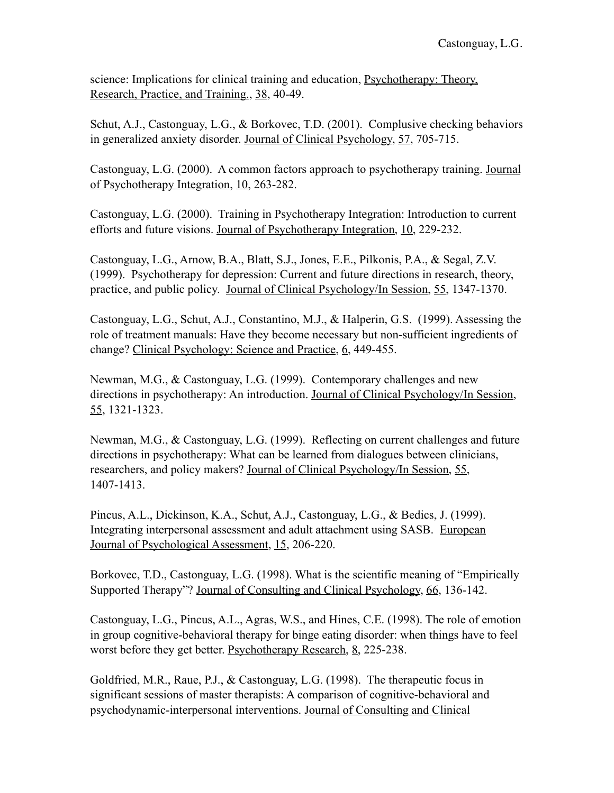science: Implications for clinical training and education, Psychotherapy: Theory, Research, Practice, and Training., 38, 40-49.

Schut, A.J., Castonguay, L.G., & Borkovec, T.D. (2001). Complusive checking behaviors in generalized anxiety disorder. Journal of Clinical Psychology, 57, 705-715.

Castonguay, L.G. (2000). A common factors approach to psychotherapy training. Journal of Psychotherapy Integration, 10, 263-282.

Castonguay, L.G. (2000). Training in Psychotherapy Integration: Introduction to current efforts and future visions. Journal of Psychotherapy Integration, 10, 229-232.

Castonguay, L.G., Arnow, B.A., Blatt, S.J., Jones, E.E., Pilkonis, P.A., & Segal, Z.V. (1999). Psychotherapy for depression: Current and future directions in research, theory, practice, and public policy. Journal of Clinical Psychology/In Session, 55, 1347-1370.

Castonguay, L.G., Schut, A.J., Constantino, M.J., & Halperin, G.S. (1999). Assessing the role of treatment manuals: Have they become necessary but non-sufficient ingredients of change? Clinical Psychology: Science and Practice, 6, 449-455.

Newman, M.G., & Castonguay, L.G. (1999). Contemporary challenges and new directions in psychotherapy: An introduction. Journal of Clinical Psychology/In Session, 55, 1321-1323.

Newman, M.G., & Castonguay, L.G. (1999). Reflecting on current challenges and future directions in psychotherapy: What can be learned from dialogues between clinicians, researchers, and policy makers? Journal of Clinical Psychology/In Session, 55, 1407-1413.

Pincus, A.L., Dickinson, K.A., Schut, A.J., Castonguay, L.G., & Bedics, J. (1999). Integrating interpersonal assessment and adult attachment using SASB. European Journal of Psychological Assessment, 15, 206-220.

Borkovec, T.D., Castonguay, L.G. (1998). What is the scientific meaning of "Empirically Supported Therapy"? Journal of Consulting and Clinical Psychology, 66, 136-142.

Castonguay, L.G., Pincus, A.L., Agras, W.S., and Hines, C.E. (1998). The role of emotion in group cognitive-behavioral therapy for binge eating disorder: when things have to feel worst before they get better. Psychotherapy Research, 8, 225-238.

Goldfried, M.R., Raue, P.J., & Castonguay, L.G. (1998). The therapeutic focus in significant sessions of master therapists: A comparison of cognitive-behavioral and psychodynamic-interpersonal interventions. Journal of Consulting and Clinical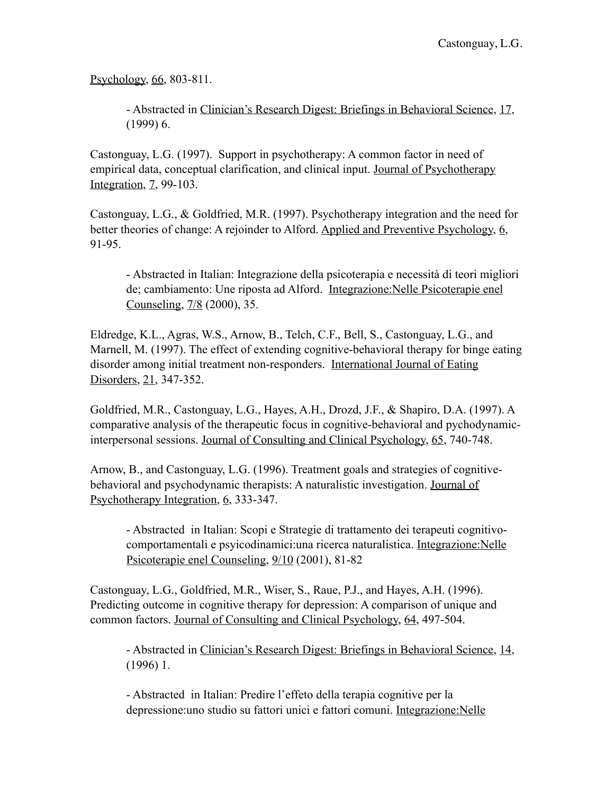Psychology, 66, 803-811.

- Abstracted in Clinician's Research Digest: Briefings in Behavioral Science, 17, (1999) 6.

Castonguay, L.G. (1997). Support in psychotherapy: A common factor in need of empirical data, conceptual clarification, and clinical input. Journal of Psychotherapy Integration, 7, 99-103.

Castonguay, L.G., & Goldfried, M.R. (1997). Psychotherapy integration and the need for better theories of change: A rejoinder to Alford. Applied and Preventive Psychology, 6, 91-95.

- Abstracted in Italian: Integrazione della psicoterapia e necessità di teori migliori de; cambiamento: Une riposta ad Alford. Integrazione:Nelle Psicoterapie enel Counseling, 7/8 (2000), 35.

Eldredge, K.L., Agras, W.S., Arnow, B., Telch, C.F., Bell, S., Castonguay, L.G., and Marnell, M. (1997). The effect of extending cognitive-behavioral therapy for binge eating disorder among initial treatment non-responders. International Journal of Eating Disorders, 21, 347-352.

Goldfried, M.R., Castonguay, L.G., Hayes, A.H., Drozd, J.F., & Shapiro, D.A. (1997). A comparative analysis of the therapeutic focus in cognitive-behavioral and pychodynamicinterpersonal sessions. Journal of Consulting and Clinical Psychology, 65, 740-748.

Arnow, B., and Castonguay, L.G. (1996). Treatment goals and strategies of cognitivebehavioral and psychodynamic therapists: A naturalistic investigation. Journal of Psychotherapy Integration, 6, 333-347.

- Abstracted in Italian: Scopi e Strategie di trattamento dei terapeuti cognitivocomportamentali e psyicodinamici:una ricerca naturalistica. Integrazione:Nelle Psicoterapie enel Counseling, 9/10 (2001), 81-82

Castonguay, L.G., Goldfried, M.R., Wiser, S., Raue, P.J., and Hayes, A.H. (1996). Predicting outcome in cognitive therapy for depression: A comparison of unique and common factors. Journal of Consulting and Clinical Psychology, 64, 497-504.

- Abstracted in Clinician's Research Digest: Briefings in Behavioral Science, 14, (1996) 1.

- Abstracted in Italian: Predire l'effeto della terapia cognitive per la depressione: uno studio su fattori unici e fattori comuni. Integrazione: Nelle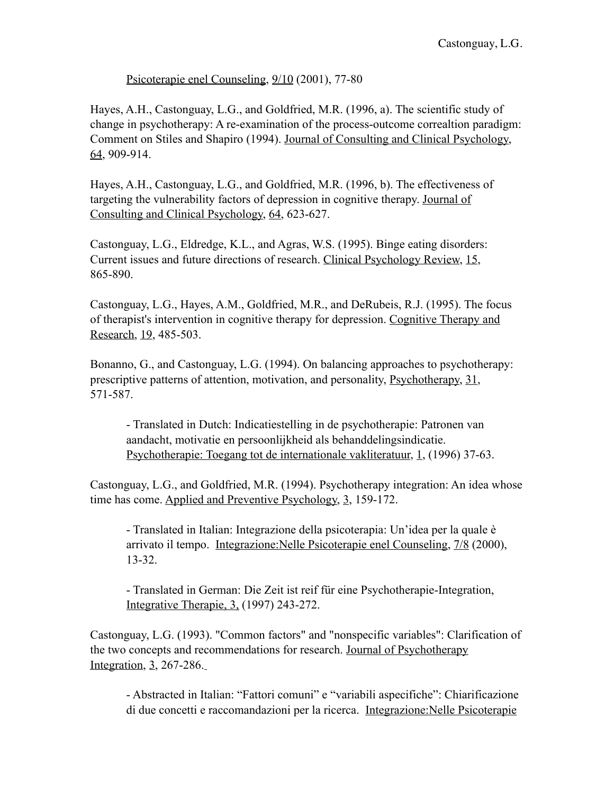Psicoterapie enel Counseling, 9/10 (2001), 77-80

Hayes, A.H., Castonguay, L.G., and Goldfried, M.R. (1996, a). The scientific study of change in psychotherapy: A re-examination of the process-outcome correaltion paradigm: Comment on Stiles and Shapiro (1994). Journal of Consulting and Clinical Psychology,  $64, 909 - 914.$ 

Hayes, A.H., Castonguay, L.G., and Goldfried, M.R. (1996, b). The effectiveness of targeting the vulnerability factors of depression in cognitive therapy. Journal of Consulting and Clinical Psychology, 64, 623-627.

Castonguay, L.G., Eldredge, K.L., and Agras, W.S. (1995). Binge eating disorders: Current issues and future directions of research. Clinical Psychology Review, 15, 865-890.

Castonguay, L.G., Hayes, A.M., Goldfried, M.R., and DeRubeis, R.J. (1995). The focus of therapist's intervention in cognitive therapy for depression. Cognitive Therapy and Research, 19, 485-503.

Bonanno, G., and Castonguay, L.G. (1994). On balancing approaches to psychotherapy: prescriptive patterns of attention, motivation, and personality, Psychotherapy, 31, 571-587.

- Translated in Dutch: Indicatiestelling in de psychotherapie: Patronen van aandacht, motivatie en persoonlijkheid als behanddelingsindicatie. Psychotherapie: Toegang tot de internationale vakliteratuur, 1, (1996) 37-63.

Castonguay, L.G., and Goldfried, M.R. (1994). Psychotherapy integration: An idea whose time has come. Applied and Preventive Psychology, 3, 159-172.

- Translated in Italian: Integrazione della psicoterapia: Un'idea per la quale è arrivato il tempo. Integrazione:Nelle Psicoterapie enel Counseling, 7/8 (2000), 13-32.

- Translated in German: Die Zeit ist reif für eine Psychotherapie-Integration, Integrative Therapie, 3, (1997) 243-272.

Castonguay, L.G. (1993). "Common factors" and "nonspecific variables": Clarification of the two concepts and recommendations for research. Journal of Psychotherapy Integration, 3, 267-286.

- Abstracted in Italian: "Fattori comuni" e "variabili aspecifiche": Chiarificazione di due concetti e raccomandazioni per la ricerca. Integrazione:Nelle Psicoterapie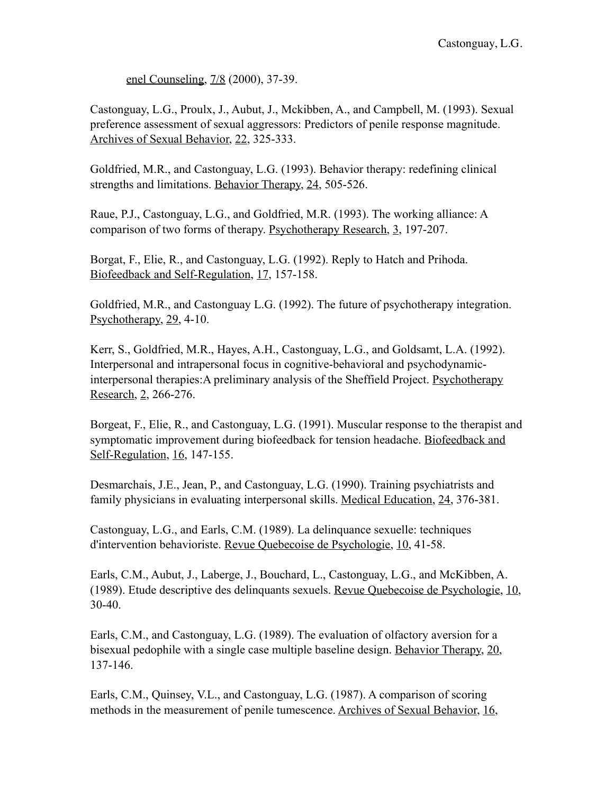enel Counseling,  $\frac{7}{8}$  (2000), 37-39.

Castonguay, L.G., Proulx, J., Aubut, J., Mckibben, A., and Campbell, M. (1993). Sexual preference assessment of sexual aggressors: Predictors of penile response magnitude. Archives of Sexual Behavior, 22, 325-333.

Goldfried, M.R., and Castonguay, L.G. (1993). Behavior therapy: redefining clinical strengths and limitations. Behavior Therapy, 24, 505-526.

Raue, P.J., Castonguay, L.G., and Goldfried, M.R. (1993). The working alliance: A comparison of two forms of therapy. Psychotherapy Research, 3, 197-207.

Borgat, F., Elie, R., and Castonguay, L.G. (1992). Reply to Hatch and Prihoda. Biofeedback and Self-Regulation, 17, 157-158.

Goldfried, M.R., and Castonguay L.G. (1992). The future of psychotherapy integration. Psychotherapy, 29, 4-10.

Kerr, S., Goldfried, M.R., Hayes, A.H., Castonguay, L.G., and Goldsamt, L.A. (1992). Interpersonal and intrapersonal focus in cognitive-behavioral and psychodynamicinterpersonal therapies:A preliminary analysis of the Sheffield Project. Psychotherapy Research, 2, 266-276.

Borgeat, F., Elie, R., and Castonguay, L.G. (1991). Muscular response to the therapist and symptomatic improvement during biofeedback for tension headache. Biofeedback and Self-Regulation, 16, 147-155.

Desmarchais, J.E., Jean, P., and Castonguay, L.G. (1990). Training psychiatrists and family physicians in evaluating interpersonal skills. Medical Education, 24, 376-381.

Castonguay, L.G., and Earls, C.M. (1989). La delinquance sexuelle: techniques d'intervention behavioriste. Revue Quebecoise de Psychologie, 10, 41-58.

Earls, C.M., Aubut, J., Laberge, J., Bouchard, L., Castonguay, L.G., and McKibben, A. (1989). Etude descriptive des delinquants sexuels. Revue Quebecoise de Psychologie, 10, 30-40.

Earls, C.M., and Castonguay, L.G. (1989). The evaluation of olfactory aversion for a bisexual pedophile with a single case multiple baseline design. Behavior Therapy, 20, 137-146.

Earls, C.M., Quinsey, V.L., and Castonguay, L.G. (1987). A comparison of scoring methods in the measurement of penile tumescence. Archives of Sexual Behavior, 16,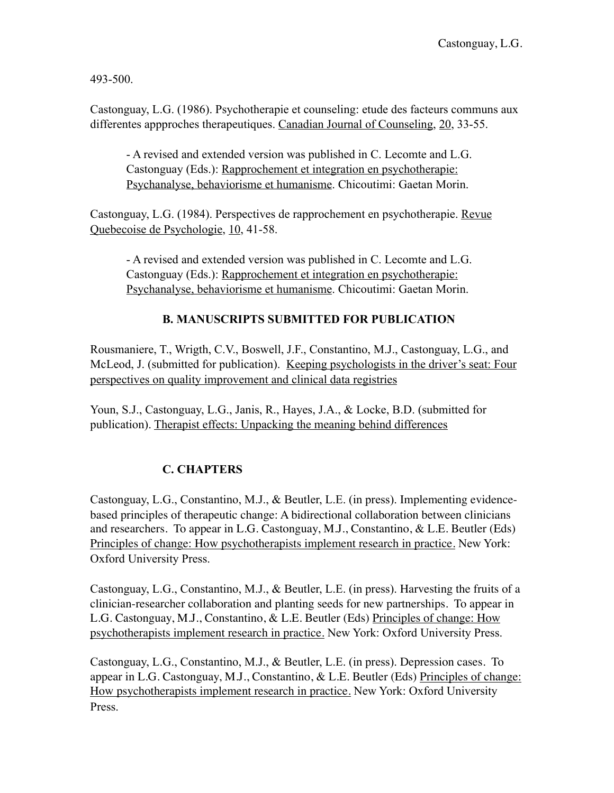493-500.

Castonguay, L.G. (1986). Psychotherapie et counseling: etude des facteurs communs aux differentes appproches therapeutiques. Canadian Journal of Counseling, 20, 33-55.

- A revised and extended version was published in C. Lecomte and L.G. Castonguay (Eds.): Rapprochement et integration en psychotherapie: Psychanalyse, behaviorisme et humanisme. Chicoutimi: Gaetan Morin.

Castonguay, L.G. (1984). Perspectives de rapprochement en psychotherapie. Revue Quebecoise de Psychologie, 10, 41-58.

- A revised and extended version was published in C. Lecomte and L.G. Castonguay (Eds.): Rapprochement et integration en psychotherapie: Psychanalyse, behaviorisme et humanisme. Chicoutimi: Gaetan Morin.

## **B. MANUSCRIPTS SUBMITTED FOR PUBLICATION**

Rousmaniere, T., Wrigth, C.V., Boswell, J.F., Constantino, M.J., Castonguay, L.G., and McLeod, J. (submitted for publication). Keeping psychologists in the driver's seat: Four perspectives on quality improvement and clinical data registries

Youn, S.J., Castonguay, L.G., Janis, R., Hayes, J.A., & Locke, B.D. (submitted for publication). Therapist effects: Unpacking the meaning behind differences

# **C. CHAPTERS**

Castonguay, L.G., Constantino, M.J., & Beutler, L.E. (in press). Implementing evidencebased principles of therapeutic change: A bidirectional collaboration between clinicians and researchers. To appear in L.G. Castonguay, M.J., Constantino, & L.E. Beutler (Eds) Principles of change: How psychotherapists implement research in practice. New York: Oxford University Press.

Castonguay, L.G., Constantino, M.J., & Beutler, L.E. (in press). Harvesting the fruits of a clinician-researcher collaboration and planting seeds for new partnerships. To appear in L.G. Castonguay, M.J., Constantino, & L.E. Beutler (Eds) Principles of change: How psychotherapists implement research in practice. New York: Oxford University Press.

Castonguay, L.G., Constantino, M.J., & Beutler, L.E. (in press). Depression cases. To appear in L.G. Castonguay, M.J., Constantino, & L.E. Beutler (Eds) Principles of change: How psychotherapists implement research in practice. New York: Oxford University Press.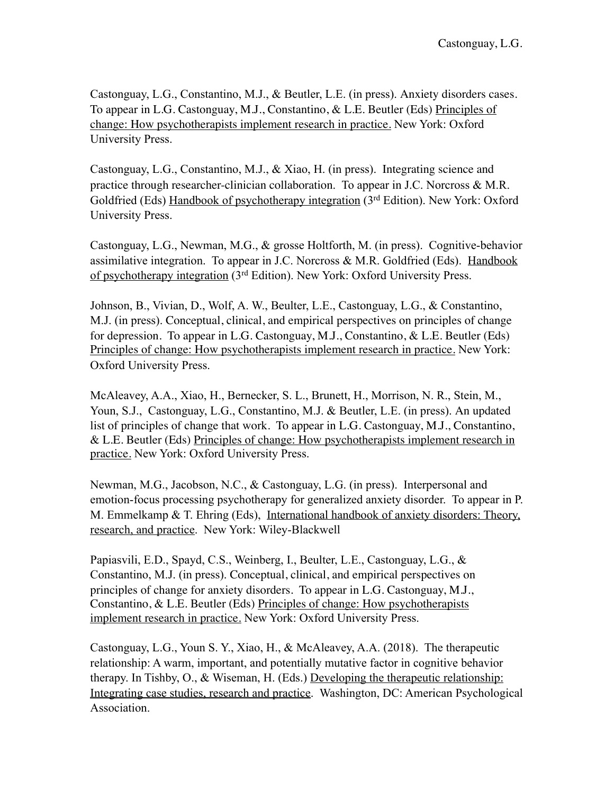Castonguay, L.G., Constantino, M.J., & Beutler, L.E. (in press). Anxiety disorders cases. To appear in L.G. Castonguay, M.J., Constantino, & L.E. Beutler (Eds) Principles of change: How psychotherapists implement research in practice. New York: Oxford University Press.

Castonguay, L.G., Constantino, M.J., & Xiao, H. (in press). Integrating science and practice through researcher-clinician collaboration. To appear in J.C. Norcross & M.R. Goldfried (Eds) Handbook of psychotherapy integration (3rd Edition). New York: Oxford University Press.

Castonguay, L.G., Newman, M.G., & grosse Holtforth, M. (in press). Cognitive-behavior assimilative integration. To appear in J.C. Norcross & M.R. Goldfried (Eds). Handbook of psychotherapy integration (3<sup>rd</sup> Edition). New York: Oxford University Press.

Johnson, B., Vivian, D., Wolf, A. W., Beulter, L.E., Castonguay, L.G., & Constantino, M.J. (in press). Conceptual, clinical, and empirical perspectives on principles of change for depression. To appear in L.G. Castonguay, M.J., Constantino, & L.E. Beutler (Eds) Principles of change: How psychotherapists implement research in practice. New York: Oxford University Press.

McAleavey, A.A., Xiao, H., Bernecker, S. L., Brunett, H., Morrison, N. R., Stein, M., Youn, S.J., Castonguay, L.G., Constantino, M.J. & Beutler, L.E. (in press). An updated list of principles of change that work. To appear in L.G. Castonguay, M.J., Constantino, & L.E. Beutler (Eds) Principles of change: How psychotherapists implement research in practice. New York: Oxford University Press.

Newman, M.G., Jacobson, N.C., & Castonguay, L.G. (in press). Interpersonal and emotion-focus processing psychotherapy for generalized anxiety disorder. To appear in P. M. Emmelkamp & T. Ehring (Eds), International handbook of anxiety disorders: Theory, research, and practice. New York: Wiley-Blackwell

Papiasvili, E.D., Spayd, C.S., Weinberg, I., Beulter, L.E., Castonguay, L.G., & Constantino, M.J. (in press). Conceptual, clinical, and empirical perspectives on principles of change for anxiety disorders. To appear in L.G. Castonguay, M.J., Constantino, & L.E. Beutler (Eds) Principles of change: How psychotherapists implement research in practice. New York: Oxford University Press.

Castonguay, L.G., Youn S. Y., Xiao, H., & McAleavey, A.A. (2018). The therapeutic relationship: A warm, important, and potentially mutative factor in cognitive behavior therapy. In Tishby, O., & Wiseman, H. (Eds.) Developing the therapeutic relationship: Integrating case studies, research and practice. Washington, DC: American Psychological Association.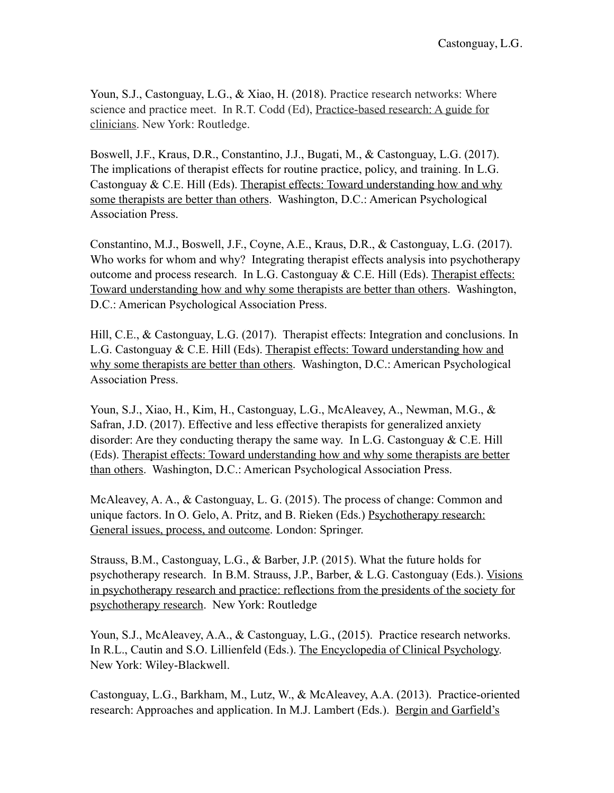Youn, S.J., Castonguay, L.G., & Xiao, H. (2018). Practice research networks: Where science and practice meet. In R.T. Codd (Ed), Practice-based research: A guide for clinicians. New York: Routledge.

Boswell, J.F., Kraus, D.R., Constantino, J.J., Bugati, M., & Castonguay, L.G. (2017). The implications of therapist effects for routine practice, policy, and training. In L.G. Castonguay & C.E. Hill (Eds). Therapist effects: Toward understanding how and why some therapists are better than others. Washington, D.C.: American Psychological Association Press.

Constantino, M.J., Boswell, J.F., Coyne, A.E., Kraus, D.R., & Castonguay, L.G. (2017). Who works for whom and why? Integrating therapist effects analysis into psychotherapy outcome and process research. In L.G. Castonguay & C.E. Hill (Eds). Therapist effects: Toward understanding how and why some therapists are better than others. Washington, D.C.: American Psychological Association Press.

Hill, C.E., & Castonguay, L.G. (2017). Therapist effects: Integration and conclusions. In L.G. Castonguay & C.E. Hill (Eds). Therapist effects: Toward understanding how and why some therapists are better than others. Washington, D.C.: American Psychological Association Press.

Youn, S.J., Xiao, H., Kim, H., Castonguay, L.G., McAleavey, A., Newman, M.G., & Safran, J.D. (2017). Effective and less effective therapists for generalized anxiety disorder: Are they conducting therapy the same way. In L.G. Castonguay & C.E. Hill (Eds). Therapist effects: Toward understanding how and why some therapists are better than others. Washington, D.C.: American Psychological Association Press.

McAleavey, A. A., & Castonguay, L. G. (2015). The process of change: Common and unique factors. In O. Gelo, A. Pritz, and B. Rieken (Eds.) Psychotherapy research: General issues, process, and outcome. London: Springer.

Strauss, B.M., Castonguay, L.G., & Barber, J.P. (2015). What the future holds for psychotherapy research. In B.M. Strauss, J.P., Barber, & L.G. Castonguay (Eds.). Visions in psychotherapy research and practice: reflections from the presidents of the society for psychotherapy research. New York: Routledge

Youn, S.J., McAleavey, A.A., & Castonguay, L.G., (2015). Practice research networks. In R.L., Cautin and S.O. Lillienfeld (Eds.). The Encyclopedia of Clinical Psychology. New York: Wiley-Blackwell.

Castonguay, L.G., Barkham, M., Lutz, W., & McAleavey, A.A. (2013). Practice-oriented research: Approaches and application. In M.J. Lambert (Eds.). Bergin and Garfield's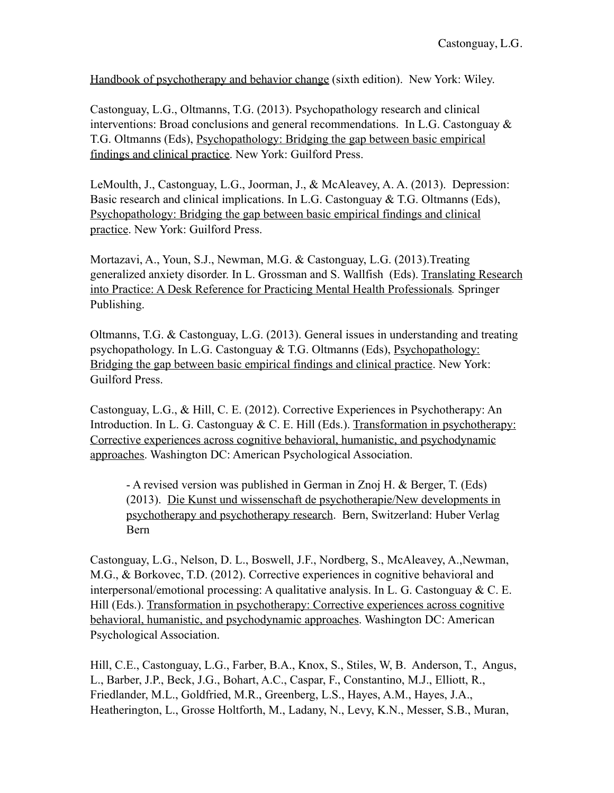Handbook of psychotherapy and behavior change (sixth edition). New York: Wiley.

Castonguay, L.G., Oltmanns, T.G. (2013). Psychopathology research and clinical interventions: Broad conclusions and general recommendations. In L.G. Castonguay & T.G. Oltmanns (Eds), Psychopathology: Bridging the gap between basic empirical findings and clinical practice. New York: Guilford Press.

LeMoulth, J., Castonguay, L.G., Joorman, J., & McAleavey, A. A. (2013). Depression: Basic research and clinical implications. In L.G. Castonguay & T.G. Oltmanns (Eds), Psychopathology: Bridging the gap between basic empirical findings and clinical practice. New York: Guilford Press.

Mortazavi, A., Youn, S.J., Newman, M.G. & Castonguay, L.G. (2013).Treating generalized anxiety disorder. In L. Grossman and S. Wallfish (Eds). Translating Research into Practice: A Desk Reference for Practicing Mental Health Professionals*.* Springer Publishing.

Oltmanns, T.G. & Castonguay, L.G. (2013). General issues in understanding and treating psychopathology. In L.G. Castonguay & T.G. Oltmanns (Eds), Psychopathology: Bridging the gap between basic empirical findings and clinical practice. New York: Guilford Press.

Castonguay, L.G., & Hill, C. E. (2012). Corrective Experiences in Psychotherapy: An Introduction. In L. G. Castonguay & C. E. Hill (Eds.). Transformation in psychotherapy: Corrective experiences across cognitive behavioral, humanistic, and psychodynamic approaches. Washington DC: American Psychological Association.

- A revised version was published in German in Znoj H. & Berger, T. (Eds) (2013). Die Kunst und wissenschaft de psychotherapie/New developments in psychotherapy and psychotherapy research. Bern, Switzerland: Huber Verlag Bern

Castonguay, L.G., Nelson, D. L., Boswell, J.F., Nordberg, S., McAleavey, A.,Newman, M.G., & Borkovec, T.D. (2012). Corrective experiences in cognitive behavioral and interpersonal/emotional processing: A qualitative analysis. In L. G. Castonguay & C. E. Hill (Eds.). Transformation in psychotherapy: Corrective experiences across cognitive behavioral, humanistic, and psychodynamic approaches. Washington DC: American Psychological Association.

Hill, C.E., Castonguay, L.G., Farber, B.A., Knox, S., Stiles, W, B. Anderson, T., Angus, L., Barber, J.P., Beck, J.G., Bohart, A.C., Caspar, F., Constantino, M.J., Elliott, R., Friedlander, M.L., Goldfried, M.R., Greenberg, L.S., Hayes, A.M., Hayes, J.A., Heatherington, L., Grosse Holtforth, M., Ladany, N., Levy, K.N., Messer, S.B., Muran,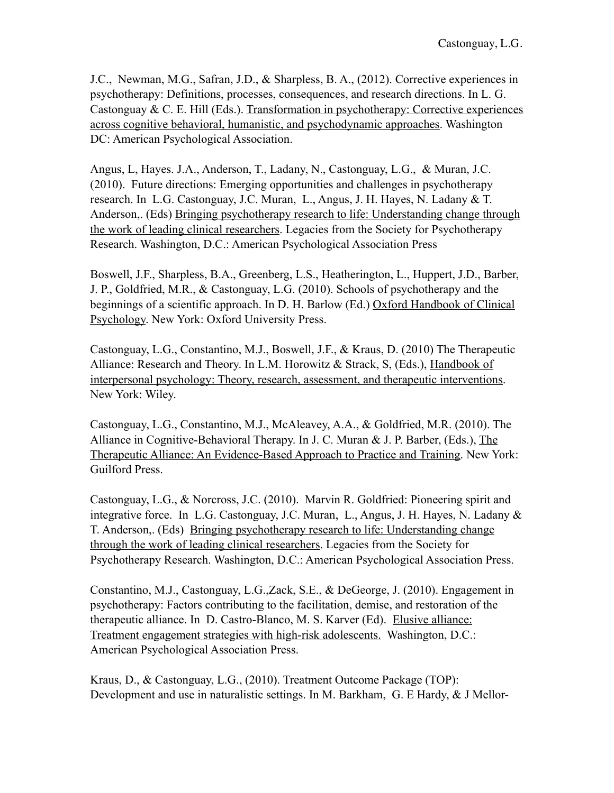J.C., Newman, M.G., Safran, J.D., & Sharpless, B. A., (2012). Corrective experiences in psychotherapy: Definitions, processes, consequences, and research directions. In L. G. Castonguay & C. E. Hill (Eds.). Transformation in psychotherapy: Corrective experiences across cognitive behavioral, humanistic, and psychodynamic approaches. Washington DC: American Psychological Association.

Angus, L, Hayes. J.A., Anderson, T., Ladany, N., Castonguay, L.G., & Muran, J.C. (2010). Future directions: Emerging opportunities and challenges in psychotherapy research. In L.G. Castonguay, J.C. Muran, L., Angus, J. H. Hayes, N. Ladany & T. Anderson,. (Eds) Bringing psychotherapy research to life: Understanding change through the work of leading clinical researchers. Legacies from the Society for Psychotherapy Research. Washington, D.C.: American Psychological Association Press

Boswell, J.F., Sharpless, B.A., Greenberg, L.S., Heatherington, L., Huppert, J.D., Barber, J. P., Goldfried, M.R., & Castonguay, L.G. (2010). Schools of psychotherapy and the beginnings of a scientific approach. In D. H. Barlow (Ed.) Oxford Handbook of Clinical Psychology. New York: Oxford University Press.

Castonguay, L.G., Constantino, M.J., Boswell, J.F., & Kraus, D. (2010) The Therapeutic Alliance: Research and Theory. In L.M. Horowitz & Strack, S, (Eds.), Handbook of interpersonal psychology: Theory, research, assessment, and therapeutic interventions. New York: Wiley.

Castonguay, L.G., Constantino, M.J., McAleavey, A.A., & Goldfried, M.R. (2010). The Alliance in Cognitive-Behavioral Therapy. In J. C. Muran & J. P. Barber, (Eds.), The Therapeutic Alliance: An Evidence-Based Approach to Practice and Training. New York: Guilford Press.

Castonguay, L.G., & Norcross, J.C. (2010). Marvin R. Goldfried: Pioneering spirit and integrative force. In L.G. Castonguay, J.C. Muran, L., Angus, J. H. Hayes, N. Ladany & T. Anderson,. (Eds) Bringing psychotherapy research to life: Understanding change through the work of leading clinical researchers. Legacies from the Society for Psychotherapy Research. Washington, D.C.: American Psychological Association Press.

Constantino, M.J., Castonguay, L.G.,Zack, S.E., & DeGeorge, J. (2010). Engagement in psychotherapy: Factors contributing to the facilitation, demise, and restoration of the therapeutic alliance. In D. Castro-Blanco, M. S. Karver (Ed). Elusive alliance: Treatment engagement strategies with high-risk adolescents. Washington, D.C.: American Psychological Association Press.

Kraus, D., & Castonguay, L.G., (2010). Treatment Outcome Package (TOP): Development and use in naturalistic settings. In M. Barkham, G. E Hardy, & J Mellor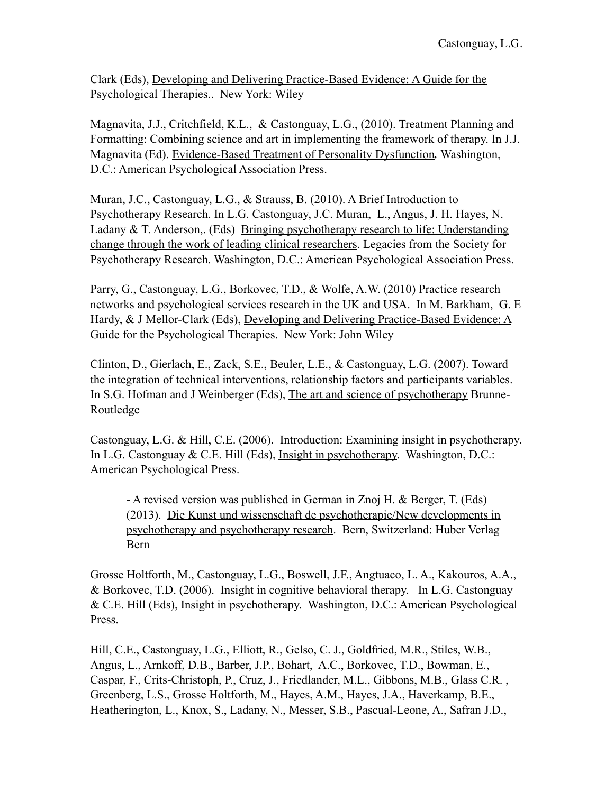Clark (Eds), Developing and Delivering Practice-Based Evidence: A Guide for the Psychological Therapies.. New York: Wiley

Magnavita, J.J., Critchfield, K.L., & Castonguay, L.G., (2010). Treatment Planning and Formatting: Combining science and art in implementing the framework of therapy. In J.J. Magnavita (Ed). Evidence-Based Treatment of Personality Dysfunction*.* Washington, D.C.: American Psychological Association Press.

Muran, J.C., Castonguay, L.G., & Strauss, B. (2010). A Brief Introduction to Psychotherapy Research. In L.G. Castonguay, J.C. Muran, L., Angus, J. H. Hayes, N. Ladany  $&$  T. Anderson,. (Eds) Bringing psychotherapy research to life: Understanding change through the work of leading clinical researchers. Legacies from the Society for Psychotherapy Research. Washington, D.C.: American Psychological Association Press.

Parry, G., Castonguay, L.G., Borkovec, T.D., & Wolfe, A.W. (2010) Practice research networks and psychological services research in the UK and USA. In M. Barkham, G. E Hardy, & J Mellor-Clark (Eds), Developing and Delivering Practice-Based Evidence: A Guide for the Psychological Therapies. New York: John Wiley

Clinton, D., Gierlach, E., Zack, S.E., Beuler, L.E., & Castonguay, L.G. (2007). Toward the integration of technical interventions, relationship factors and participants variables. In S.G. Hofman and J Weinberger (Eds), The art and science of psychotherapy Brunne-Routledge

Castonguay, L.G. & Hill, C.E. (2006). Introduction: Examining insight in psychotherapy. In L.G. Castonguay & C.E. Hill (Eds), Insight in psychotherapy. Washington, D.C.: American Psychological Press.

- A revised version was published in German in Znoj H. & Berger, T. (Eds) (2013). Die Kunst und wissenschaft de psychotherapie/New developments in psychotherapy and psychotherapy research. Bern, Switzerland: Huber Verlag Bern

Grosse Holtforth, M., Castonguay, L.G., Boswell, J.F., Angtuaco, L. A., Kakouros, A.A., & Borkovec, T.D. (2006). Insight in cognitive behavioral therapy. In L.G. Castonguay & C.E. Hill (Eds), Insight in psychotherapy. Washington, D.C.: American Psychological Press.

Hill, C.E., Castonguay, L.G., Elliott, R., Gelso, C. J., Goldfried, M.R., Stiles, W.B., Angus, L., Arnkoff, D.B., Barber, J.P., Bohart, A.C., Borkovec, T.D., Bowman, E., Caspar, F., Crits-Christoph, P., Cruz, J., Friedlander, M.L., Gibbons, M.B., Glass C.R. , Greenberg, L.S., Grosse Holtforth, M., Hayes, A.M., Hayes, J.A., Haverkamp, B.E., Heatherington, L., Knox, S., Ladany, N., Messer, S.B., Pascual-Leone, A., Safran J.D.,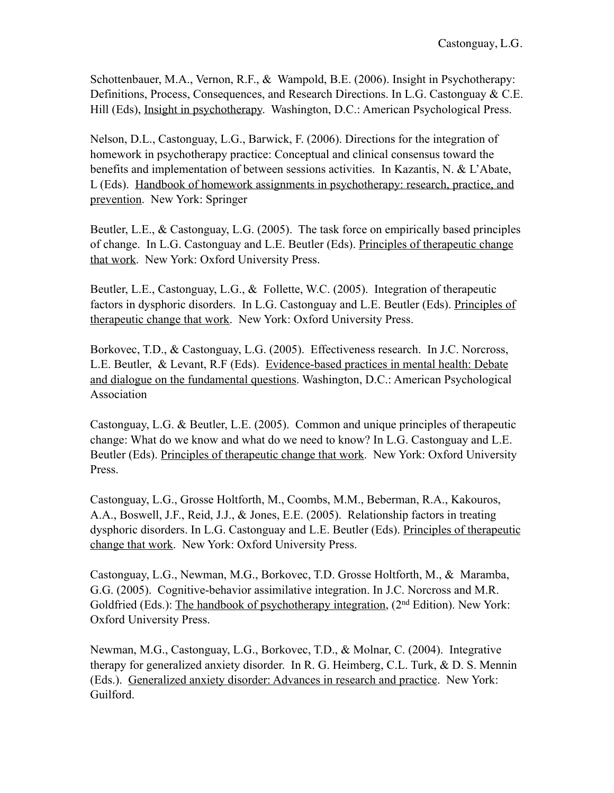Schottenbauer, M.A., Vernon, R.F., & Wampold, B.E. (2006). Insight in Psychotherapy: Definitions, Process, Consequences, and Research Directions. In L.G. Castonguay & C.E. Hill (Eds), Insight in psychotherapy. Washington, D.C.: American Psychological Press.

Nelson, D.L., Castonguay, L.G., Barwick, F. (2006). Directions for the integration of homework in psychotherapy practice: Conceptual and clinical consensus toward the benefits and implementation of between sessions activities. In Kazantis, N. & L'Abate, L (Eds). Handbook of homework assignments in psychotherapy: research, practice, and prevention. New York: Springer

Beutler, L.E., & Castonguay, L.G. (2005). The task force on empirically based principles of change. In L.G. Castonguay and L.E. Beutler (Eds). Principles of therapeutic change that work. New York: Oxford University Press.

Beutler, L.E., Castonguay, L.G., & Follette, W.C. (2005). Integration of therapeutic factors in dysphoric disorders. In L.G. Castonguay and L.E. Beutler (Eds). Principles of therapeutic change that work. New York: Oxford University Press.

Borkovec, T.D., & Castonguay, L.G. (2005). Effectiveness research. In J.C. Norcross, L.E. Beutler, & Levant, R.F (Eds). Evidence-based practices in mental health: Debate and dialogue on the fundamental questions. Washington, D.C.: American Psychological Association

Castonguay, L.G. & Beutler, L.E. (2005). Common and unique principles of therapeutic change: What do we know and what do we need to know? In L.G. Castonguay and L.E. Beutler (Eds). Principles of therapeutic change that work. New York: Oxford University Press.

Castonguay, L.G., Grosse Holtforth, M., Coombs, M.M., Beberman, R.A., Kakouros, A.A., Boswell, J.F., Reid, J.J., & Jones, E.E. (2005). Relationship factors in treating dysphoric disorders. In L.G. Castonguay and L.E. Beutler (Eds). Principles of therapeutic change that work. New York: Oxford University Press.

Castonguay, L.G., Newman, M.G., Borkovec, T.D. Grosse Holtforth, M., & Maramba, G.G. (2005). Cognitive-behavior assimilative integration. In J.C. Norcross and M.R. Goldfried (Eds.): The handbook of psychotherapy integration, (2<sup>nd</sup> Edition). New York: Oxford University Press.

Newman, M.G., Castonguay, L.G., Borkovec, T.D., & Molnar, C. (2004). Integrative therapy for generalized anxiety disorder. In R. G. Heimberg, C.L. Turk, & D. S. Mennin (Eds.). Generalized anxiety disorder: Advances in research and practice. New York: Guilford.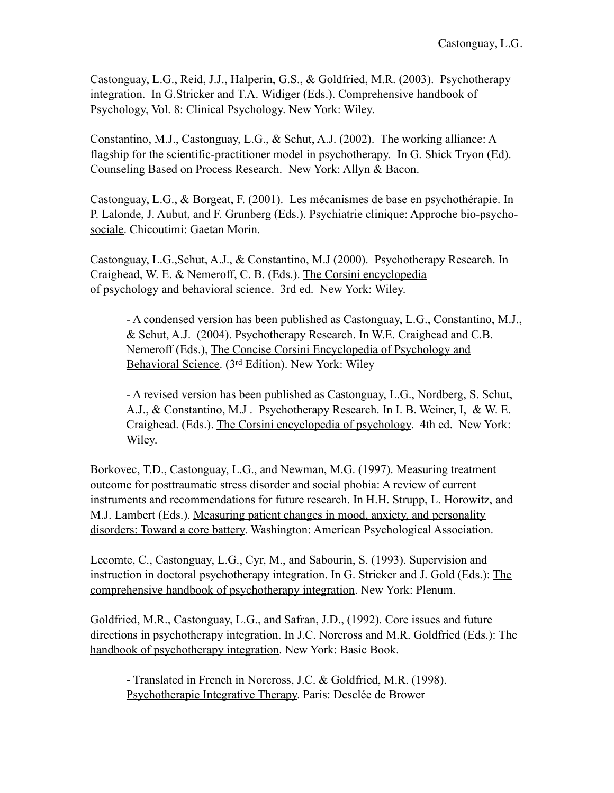Castonguay, L.G., Reid, J.J., Halperin, G.S., & Goldfried, M.R. (2003). Psychotherapy integration. In G.Stricker and T.A. Widiger (Eds.). Comprehensive handbook of Psychology, Vol. 8: Clinical Psychology. New York: Wiley.

Constantino, M.J., Castonguay, L.G., & Schut, A.J. (2002). The working alliance: A flagship for the scientific-practitioner model in psychotherapy. In G. Shick Tryon (Ed). Counseling Based on Process Research. New York: Allyn & Bacon.

Castonguay, L.G., & Borgeat, F. (2001). Les mécanismes de base en psychothérapie. In P. Lalonde, J. Aubut, and F. Grunberg (Eds.). Psychiatrie clinique: Approche bio-psychosociale. Chicoutimi: Gaetan Morin.

Castonguay, L.G.,Schut, A.J., & Constantino, M.J (2000). Psychotherapy Research. In Craighead, W. E. & Nemeroff, C. B. (Eds.). The Corsini encyclopedia of psychology and behavioral science. 3rd ed. New York: Wiley.

- A condensed version has been published as Castonguay, L.G., Constantino, M.J., & Schut, A.J. (2004). Psychotherapy Research. In W.E. Craighead and C.B. Nemeroff (Eds.), The Concise Corsini Encyclopedia of Psychology and Behavioral Science. (3rd Edition). New York: Wiley

- A revised version has been published as Castonguay, L.G., Nordberg, S. Schut, A.J., & Constantino, M.J . Psychotherapy Research. In I. B. Weiner, I, & W. E. Craighead. (Eds.). The Corsini encyclopedia of psychology. 4th ed. New York: Wiley.

Borkovec, T.D., Castonguay, L.G., and Newman, M.G. (1997). Measuring treatment outcome for posttraumatic stress disorder and social phobia: A review of current instruments and recommendations for future research. In H.H. Strupp, L. Horowitz, and M.J. Lambert (Eds.). Measuring patient changes in mood, anxiety, and personality disorders: Toward a core battery. Washington: American Psychological Association.

Lecomte, C., Castonguay, L.G., Cyr, M., and Sabourin, S. (1993). Supervision and instruction in doctoral psychotherapy integration. In G. Stricker and J. Gold (Eds.): The comprehensive handbook of psychotherapy integration. New York: Plenum.

Goldfried, M.R., Castonguay, L.G., and Safran, J.D., (1992). Core issues and future directions in psychotherapy integration. In J.C. Norcross and M.R. Goldfried (Eds.): The handbook of psychotherapy integration. New York: Basic Book.

- Translated in French in Norcross, J.C. & Goldfried, M.R. (1998). Psychotherapie Integrative Therapy. Paris: Desclée de Brower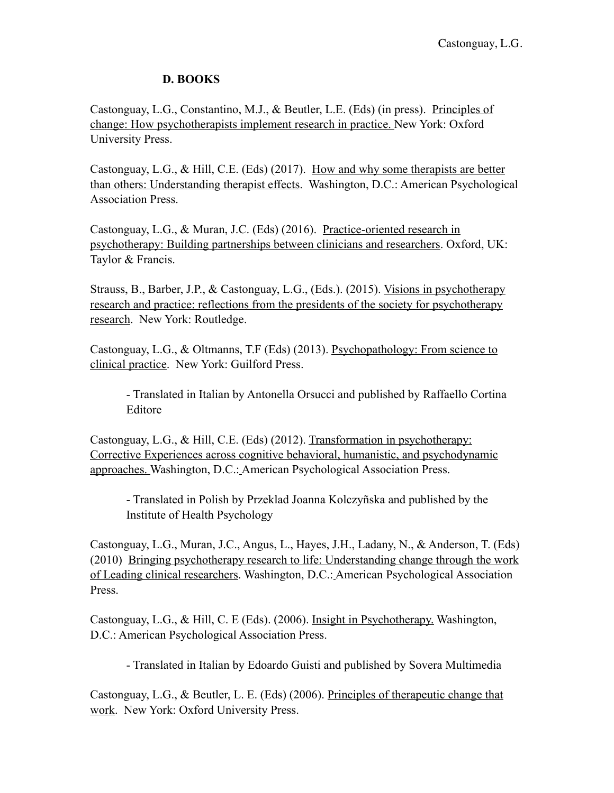### **D. BOOKS**

Castonguay, L.G., Constantino, M.J., & Beutler, L.E. (Eds) (in press). Principles of change: How psychotherapists implement research in practice. New York: Oxford University Press.

Castonguay, L.G., & Hill, C.E. (Eds) (2017). How and why some therapists are better than others: Understanding therapist effects. Washington, D.C.: American Psychological Association Press.

Castonguay, L.G., & Muran, J.C. (Eds) (2016). Practice-oriented research in psychotherapy: Building partnerships between clinicians and researchers. Oxford, UK: Taylor & Francis.

Strauss, B., Barber, J.P., & Castonguay, L.G., (Eds.). (2015). Visions in psychotherapy research and practice: reflections from the presidents of the society for psychotherapy research. New York: Routledge.

Castonguay, L.G., & Oltmanns, T.F (Eds) (2013). Psychopathology: From science to clinical practice. New York: Guilford Press.

- Translated in Italian by Antonella Orsucci and published by Raffaello Cortina Editore

Castonguay, L.G., & Hill, C.E. (Eds) (2012). Transformation in psychotherapy: Corrective Experiences across cognitive behavioral, humanistic, and psychodynamic approaches. Washington, D.C.: American Psychological Association Press.

- Translated in Polish by Przeklad Joanna Kolczyñska and published by the Institute of Health Psychology

Castonguay, L.G., Muran, J.C., Angus, L., Hayes, J.H., Ladany, N., & Anderson, T. (Eds) (2010) Bringing psychotherapy research to life: Understanding change through the work of Leading clinical researchers. Washington, D.C.: American Psychological Association Press.

Castonguay, L.G., & Hill, C. E (Eds). (2006). Insight in Psychotherapy. Washington, D.C.: American Psychological Association Press.

- Translated in Italian by Edoardo Guisti and published by Sovera Multimedia

Castonguay, L.G., & Beutler, L. E. (Eds) (2006). Principles of therapeutic change that work. New York: Oxford University Press.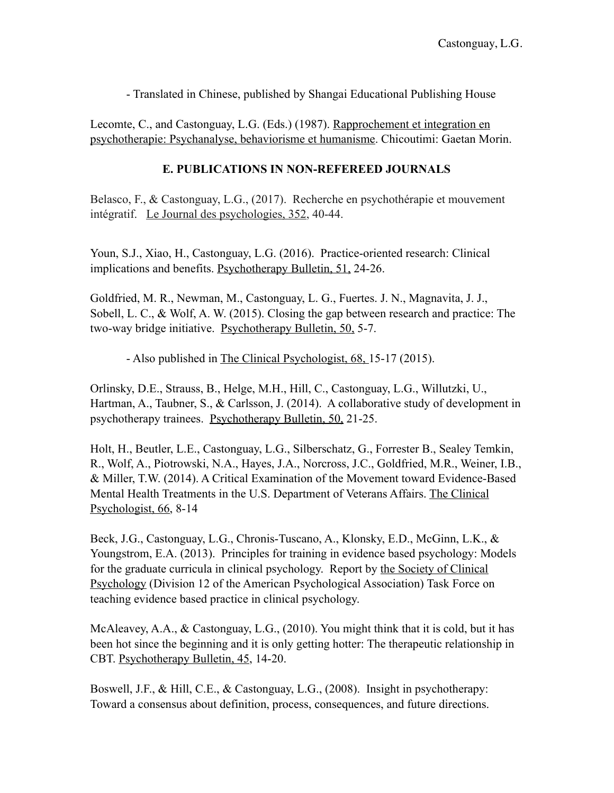- Translated in Chinese, published by Shangai Educational Publishing House

Lecomte, C., and Castonguay, L.G. (Eds.) (1987). Rapprochement et integration en psychotherapie: Psychanalyse, behaviorisme et humanisme. Chicoutimi: Gaetan Morin.

### **E. PUBLICATIONS IN NON-REFEREED JOURNALS**

Belasco, F., & Castonguay, L.G., (2017). Recherche en psychothérapie et mouvement intégratif. Le Journal des psychologies, 352, 40-44.

Youn, S.J., Xiao, H., Castonguay, L.G. (2016). Practice-oriented research: Clinical implications and benefits. Psychotherapy Bulletin, 51, 24-26.

Goldfried, M. R., Newman, M., Castonguay, L. G., Fuertes. J. N., Magnavita, J. J., Sobell, L. C., & Wolf, A. W. (2015). Closing the gap between research and practice: The two-way bridge initiative. Psychotherapy Bulletin, 50, 5-7.

- Also published in The Clinical Psychologist, 68, 15-17 (2015).

Orlinsky, D.E., Strauss, B., Helge, M.H., Hill, C., Castonguay, L.G., Willutzki, U., Hartman, A., Taubner, S., & Carlsson, J. (2014). A collaborative study of development in psychotherapy trainees. Psychotherapy Bulletin, 50, 21-25.

Holt, H., Beutler, L.E., Castonguay, L.G., Silberschatz, G., Forrester B., Sealey Temkin, R., Wolf, A., Piotrowski, N.A., Hayes, J.A., Norcross, J.C., Goldfried, M.R., Weiner, I.B., & Miller, T.W. (2014). A Critical Examination of the Movement toward Evidence-Based Mental Health Treatments in the U.S. Department of Veterans Affairs. The Clinical Psychologist, 66, 8-14

Beck, J.G., Castonguay, L.G., Chronis-Tuscano, A., Klonsky, E.D., McGinn, L.K., & Youngstrom, E.A. (2013). Principles for training in evidence based psychology: Models for the graduate curricula in clinical psychology. Report by the Society of Clinical Psychology (Division 12 of the American Psychological Association) Task Force on teaching evidence based practice in clinical psychology.

McAleavey, A.A., & Castonguay, L.G., (2010). You might think that it is cold, but it has been hot since the beginning and it is only getting hotter: The therapeutic relationship in CBT. Psychotherapy Bulletin, 45, 14-20.

Boswell, J.F., & Hill, C.E., & Castonguay, L.G., (2008). Insight in psychotherapy: Toward a consensus about definition, process, consequences, and future directions.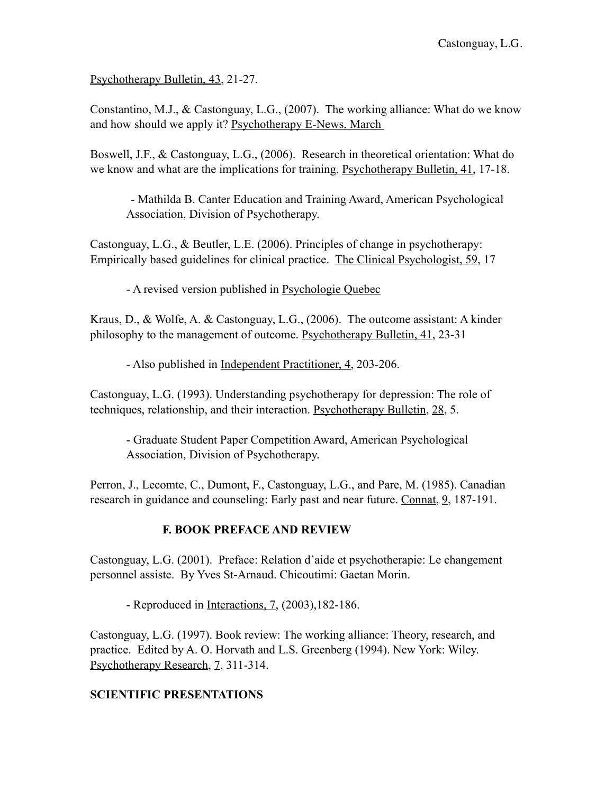Psychotherapy Bulletin, 43, 21-27.

Constantino, M.J., & Castonguay, L.G., (2007). The working alliance: What do we know and how should we apply it? Psychotherapy E-News, March

Boswell, J.F., & Castonguay, L.G., (2006). Research in theoretical orientation: What do we know and what are the implications for training. Psychotherapy Bulletin, 41, 17-18.

 - Mathilda B. Canter Education and Training Award, American Psychological Association, Division of Psychotherapy.

Castonguay, L.G., & Beutler, L.E. (2006). Principles of change in psychotherapy: Empirically based guidelines for clinical practice. The Clinical Psychologist, 59, 17

- A revised version published in Psychologie Quebec

Kraus, D., & Wolfe, A. & Castonguay, L.G., (2006). The outcome assistant: A kinder philosophy to the management of outcome. Psychotherapy Bulletin, 41, 23-31

- Also published in Independent Practitioner, 4, 203-206.

Castonguay, L.G. (1993). Understanding psychotherapy for depression: The role of techniques, relationship, and their interaction. Psychotherapy Bulletin, 28, 5.

- Graduate Student Paper Competition Award, American Psychological Association, Division of Psychotherapy.

Perron, J., Lecomte, C., Dumont, F., Castonguay, L.G., and Pare, M. (1985). Canadian research in guidance and counseling: Early past and near future. Connat, 9, 187-191.

### **F. BOOK PREFACE AND REVIEW**

Castonguay, L.G. (2001). Preface: Relation d'aide et psychotherapie: Le changement personnel assiste. By Yves St-Arnaud. Chicoutimi: Gaetan Morin.

- Reproduced in Interactions, 7, (2003),182-186.

Castonguay, L.G. (1997). Book review: The working alliance: Theory, research, and practice. Edited by A. O. Horvath and L.S. Greenberg (1994). New York: Wiley. Psychotherapy Research, 7, 311-314.

# **SCIENTIFIC PRESENTATIONS**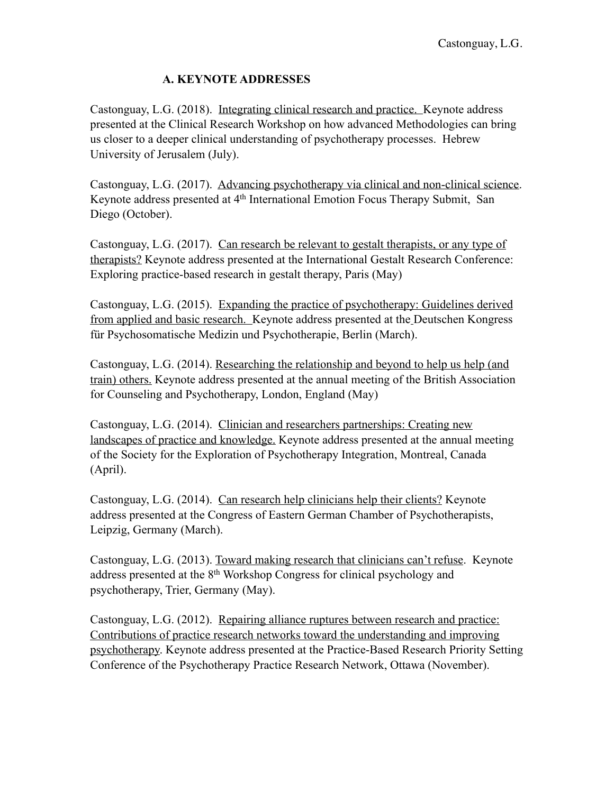# **A. KEYNOTE ADDRESSES**

Castonguay, L.G. (2018). Integrating clinical research and practice. Keynote address presented at the Clinical Research Workshop on how advanced Methodologies can bring us closer to a deeper clinical understanding of psychotherapy processes. Hebrew University of Jerusalem (July).

Castonguay, L.G. (2017). Advancing psychotherapy via clinical and non-clinical science. Keynote address presented at 4<sup>th</sup> International Emotion Focus Therapy Submit, San Diego (October).

Castonguay, L.G. (2017). Can research be relevant to gestalt therapists, or any type of therapists? Keynote address presented at the International Gestalt Research Conference: Exploring practice-based research in gestalt therapy, Paris (May)

Castonguay, L.G. (2015). Expanding the practice of psychotherapy: Guidelines derived from applied and basic research. Keynote address presented at the Deutschen Kongress für Psychosomatische Medizin und Psychotherapie, Berlin (March).

Castonguay, L.G. (2014). Researching the relationship and beyond to help us help (and train) others. Keynote address presented at the annual meeting of the British Association for Counseling and Psychotherapy, London, England (May)

Castonguay, L.G. (2014). Clinician and researchers partnerships: Creating new landscapes of practice and knowledge. Keynote address presented at the annual meeting of the Society for the Exploration of Psychotherapy Integration, Montreal, Canada (April).

Castonguay, L.G. (2014). Can research help clinicians help their clients? Keynote address presented at the Congress of Eastern German Chamber of Psychotherapists, Leipzig, Germany (March).

Castonguay, L.G. (2013). Toward making research that clinicians can't refuse. Keynote address presented at the 8th Workshop Congress for clinical psychology and psychotherapy, Trier, Germany (May).

Castonguay, L.G. (2012). Repairing alliance ruptures between research and practice: Contributions of practice research networks toward the understanding and improving psychotherapy. Keynote address presented at the Practice-Based Research Priority Setting Conference of the Psychotherapy Practice Research Network, Ottawa (November).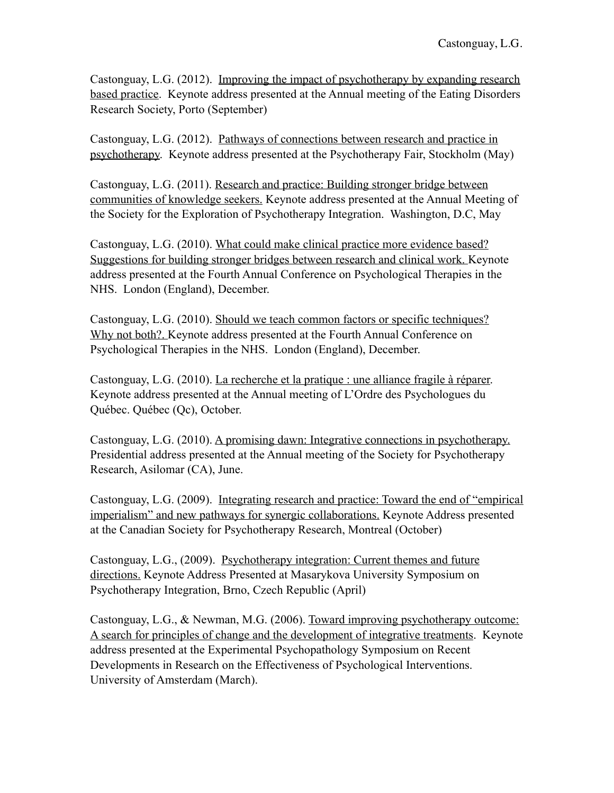Castonguay, L.G. (2012). Improving the impact of psychotherapy by expanding research based practice. Keynote address presented at the Annual meeting of the Eating Disorders Research Society, Porto (September)

Castonguay, L.G. (2012). Pathways of connections between research and practice in psychotherapy. Keynote address presented at the Psychotherapy Fair, Stockholm (May)

Castonguay, L.G. (2011). Research and practice: Building stronger bridge between communities of knowledge seekers. Keynote address presented at the Annual Meeting of the Society for the Exploration of Psychotherapy Integration. Washington, D.C, May

Castonguay, L.G. (2010). What could make clinical practice more evidence based? Suggestions for building stronger bridges between research and clinical work. Keynote address presented at the Fourth Annual Conference on Psychological Therapies in the NHS. London (England), December.

Castonguay, L.G. (2010). Should we teach common factors or specific techniques? Why not both?. Keynote address presented at the Fourth Annual Conference on Psychological Therapies in the NHS. London (England), December.

Castonguay, L.G. (2010). La recherche et la pratique : une alliance fragile à réparer. Keynote address presented at the Annual meeting of L'Ordre des Psychologues du Québec. Québec (Qc), October.

Castonguay, L.G. (2010). A promising dawn: Integrative connections in psychotherapy. Presidential address presented at the Annual meeting of the Society for Psychotherapy Research, Asilomar (CA), June.

Castonguay, L.G. (2009). Integrating research and practice: Toward the end of "empirical imperialism" and new pathways for synergic collaborations. Keynote Address presented at the Canadian Society for Psychotherapy Research, Montreal (October)

Castonguay, L.G., (2009). Psychotherapy integration: Current themes and future directions. Keynote Address Presented at Masarykova University Symposium on Psychotherapy Integration, Brno, Czech Republic (April)

Castonguay, L.G., & Newman, M.G. (2006). Toward improving psychotherapy outcome: A search for principles of change and the development of integrative treatments. Keynote address presented at the Experimental Psychopathology Symposium on Recent Developments in Research on the Effectiveness of Psychological Interventions. University of Amsterdam (March).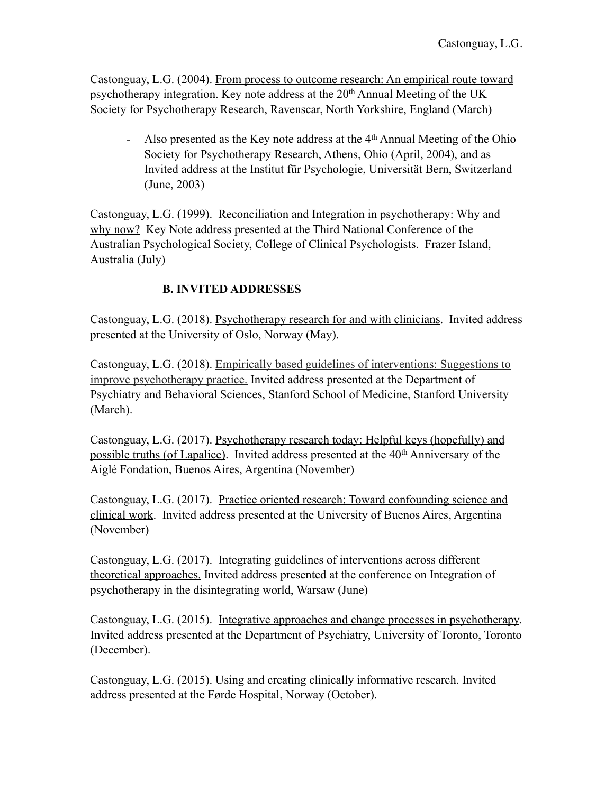Castonguay, L.G. (2004). From process to outcome research: An empirical route toward psychotherapy integration. Key note address at the 20<sup>th</sup> Annual Meeting of the UK Society for Psychotherapy Research, Ravenscar, North Yorkshire, England (March)

- Also presented as the Key note address at the  $4<sup>th</sup>$  Annual Meeting of the Ohio Society for Psychotherapy Research, Athens, Ohio (April, 2004), and as Invited address at the Institut für Psychologie, Universität Bern, Switzerland (June, 2003)

Castonguay, L.G. (1999). Reconciliation and Integration in psychotherapy: Why and why now? Key Note address presented at the Third National Conference of the Australian Psychological Society, College of Clinical Psychologists. Frazer Island, Australia (July)

# **B. INVITED ADDRESSES**

Castonguay, L.G. (2018). Psychotherapy research for and with clinicians. Invited address presented at the University of Oslo, Norway (May).

Castonguay, L.G. (2018). Empirically based guidelines of interventions: Suggestions to improve psychotherapy practice. Invited address presented at the Department of Psychiatry and Behavioral Sciences, Stanford School of Medicine, Stanford University (March).

Castonguay, L.G. (2017). Psychotherapy research today: Helpful keys (hopefully) and possible truths (of Lapalice). Invited address presented at the 40<sup>th</sup> Anniversary of the Aiglé Fondation, Buenos Aires, Argentina (November)

Castonguay, L.G. (2017). Practice oriented research: Toward confounding science and clinical work. Invited address presented at the University of Buenos Aires, Argentina (November)

Castonguay, L.G. (2017). Integrating guidelines of interventions across different theoretical approaches. Invited address presented at the conference on Integration of psychotherapy in the disintegrating world, Warsaw (June)

Castonguay, L.G. (2015). Integrative approaches and change processes in psychotherapy. Invited address presented at the Department of Psychiatry, University of Toronto, Toronto (December).

Castonguay, L.G. (2015). Using and creating clinically informative research. Invited address presented at the Førde Hospital, Norway (October).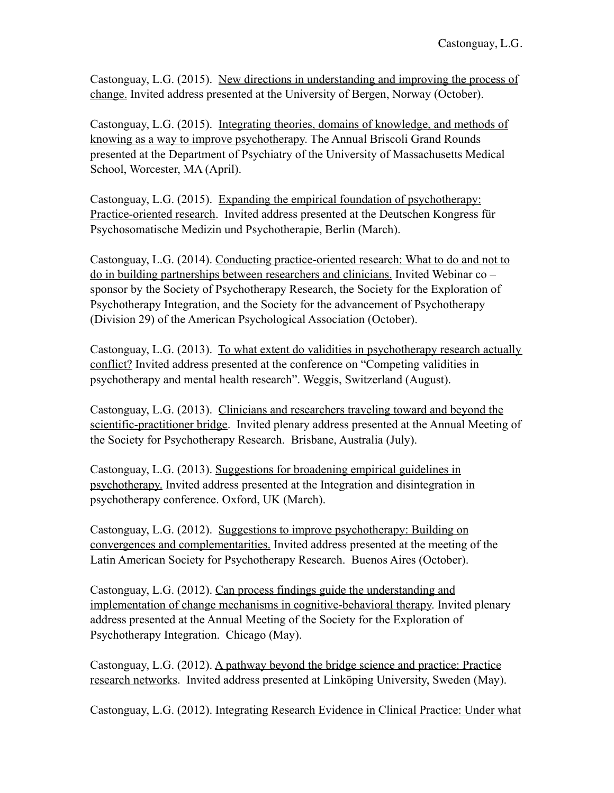Castonguay, L.G. (2015). New directions in understanding and improving the process of change. Invited address presented at the University of Bergen, Norway (October).

Castonguay, L.G. (2015). Integrating theories, domains of knowledge, and methods of knowing as a way to improve psychotherapy. The Annual Briscoli Grand Rounds presented at the Department of Psychiatry of the University of Massachusetts Medical School, Worcester, MA (April).

Castonguay, L.G. (2015). Expanding the empirical foundation of psychotherapy: Practice-oriented research. Invited address presented at the Deutschen Kongress für Psychosomatische Medizin und Psychotherapie, Berlin (March).

Castonguay, L.G. (2014). Conducting practice-oriented research: What to do and not to do in building partnerships between researchers and clinicians. Invited Webinar co – sponsor by the Society of Psychotherapy Research, the Society for the Exploration of Psychotherapy Integration, and the Society for the advancement of Psychotherapy (Division 29) of the American Psychological Association (October).

Castonguay, L.G. (2013). To what extent do validities in psychotherapy research actually conflict? Invited address presented at the conference on "Competing validities in psychotherapy and mental health research". Weggis, Switzerland (August).

Castonguay, L.G. (2013). Clinicians and researchers traveling toward and beyond the scientific-practitioner bridge. Invited plenary address presented at the Annual Meeting of the Society for Psychotherapy Research. Brisbane, Australia (July).

Castonguay, L.G. (2013). Suggestions for broadening empirical guidelines in psychotherapy. Invited address presented at the Integration and disintegration in psychotherapy conference. Oxford, UK (March).

Castonguay, L.G. (2012). Suggestions to improve psychotherapy: Building on convergences and complementarities. Invited address presented at the meeting of the Latin American Society for Psychotherapy Research. Buenos Aires (October).

Castonguay, L.G. (2012). Can process findings guide the understanding and implementation of change mechanisms in cognitive-behavioral therapy. Invited plenary address presented at the Annual Meeting of the Society for the Exploration of Psychotherapy Integration. Chicago (May).

Castonguay, L.G. (2012). A pathway beyond the bridge science and practice: Practice research networks. Invited address presented at Linköping University, Sweden (May).

Castonguay, L.G. (2012). Integrating Research Evidence in Clinical Practice: Under what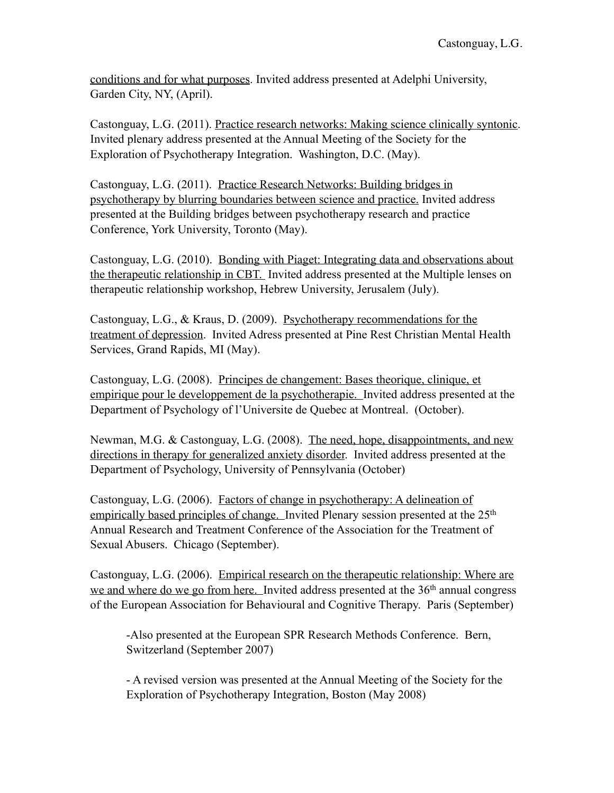conditions and for what purposes. Invited address presented at Adelphi University, Garden City, NY, (April).

Castonguay, L.G. (2011). Practice research networks: Making science clinically syntonic. Invited plenary address presented at the Annual Meeting of the Society for the Exploration of Psychotherapy Integration. Washington, D.C. (May).

Castonguay, L.G. (2011). Practice Research Networks: Building bridges in psychotherapy by blurring boundaries between science and practice. Invited address presented at the Building bridges between psychotherapy research and practice Conference, York University, Toronto (May).

Castonguay, L.G. (2010). Bonding with Piaget: Integrating data and observations about the therapeutic relationship in CBT. Invited address presented at the Multiple lenses on therapeutic relationship workshop, Hebrew University, Jerusalem (July).

Castonguay, L.G., & Kraus, D. (2009). Psychotherapy recommendations for the treatment of depression. Invited Adress presented at Pine Rest Christian Mental Health Services, Grand Rapids, MI (May).

Castonguay, L.G. (2008). Principes de changement: Bases theorique, clinique, et empirique pour le developpement de la psychotherapie. Invited address presented at the Department of Psychology of l'Universite de Quebec at Montreal. (October).

Newman, M.G. & Castonguay, L.G. (2008). The need, hope, disappointments, and new directions in therapy for generalized anxiety disorder. Invited address presented at the Department of Psychology, University of Pennsylvania (October)

Castonguay, L.G. (2006). Factors of change in psychotherapy: A delineation of empirically based principles of change. Invited Plenary session presented at the 25<sup>th</sup> Annual Research and Treatment Conference of the Association for the Treatment of Sexual Abusers. Chicago (September).

Castonguay, L.G. (2006). Empirical research on the therapeutic relationship: Where are we and where do we go from here. Invited address presented at the 36<sup>th</sup> annual congress of the European Association for Behavioural and Cognitive Therapy. Paris (September)

-Also presented at the European SPR Research Methods Conference. Bern, Switzerland (September 2007)

- A revised version was presented at the Annual Meeting of the Society for the Exploration of Psychotherapy Integration, Boston (May 2008)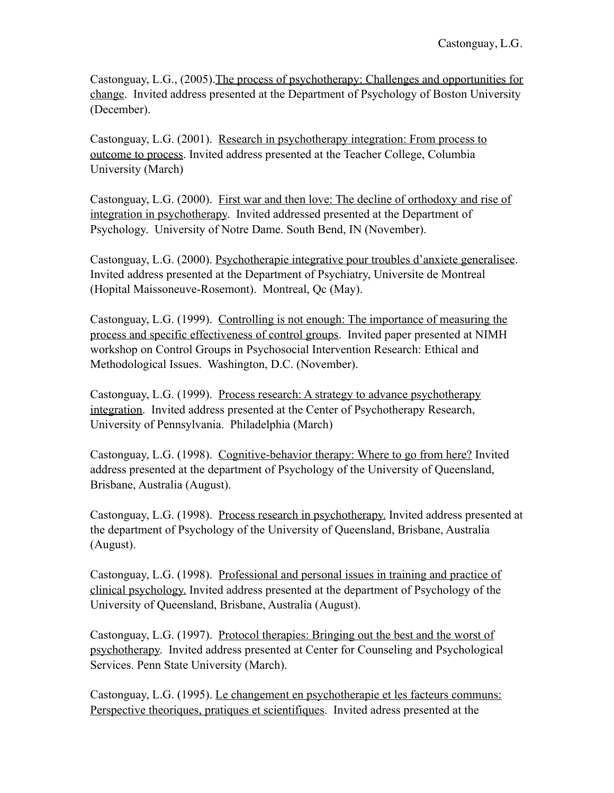Castonguay, L.G., (2005).The process of psychotherapy: Challenges and opportunities for change. Invited address presented at the Department of Psychology of Boston University (December).

Castonguay, L.G. (2001). Research in psychotherapy integration: From process to outcome to process. Invited address presented at the Teacher College, Columbia University (March)

Castonguay, L.G. (2000). First war and then love: The decline of orthodoxy and rise of integration in psychotherapy. Invited addressed presented at the Department of Psychology. University of Notre Dame. South Bend, IN (November).

Castonguay, L.G. (2000). Psychotherapie integrative pour troubles d'anxiete generalisee. Invited address presented at the Department of Psychiatry, Universite de Montreal (Hopital Maissoneuve-Rosemont). Montreal, Qc (May).

Castonguay, L.G. (1999). Controlling is not enough: The importance of measuring the process and specific effectiveness of control groups. Invited paper presented at NIMH workshop on Control Groups in Psychosocial Intervention Research: Ethical and Methodological Issues. Washington, D.C. (November).

Castonguay, L.G. (1999). Process research: A strategy to advance psychotherapy integration. Invited address presented at the Center of Psychotherapy Research, University of Pennsylvania. Philadelphia (March)

Castonguay, L.G. (1998). Cognitive-behavior therapy: Where to go from here? Invited address presented at the department of Psychology of the University of Queensland, Brisbane, Australia (August).

Castonguay, L.G. (1998). Process research in psychotherapy. Invited address presented at the department of Psychology of the University of Queensland, Brisbane, Australia (August).

Castonguay, L.G. (1998). Professional and personal issues in training and practice of clinical psychology. Invited address presented at the department of Psychology of the University of Queensland, Brisbane, Australia (August).

Castonguay, L.G. (1997). Protocol therapies: Bringing out the best and the worst of psychotherapy. Invited address presented at Center for Counseling and Psychological Services. Penn State University (March).

Castonguay, L.G. (1995). Le changement en psychotherapie et les facteurs communs: Perspective theoriques, pratiques et scientifiques. Invited adress presented at the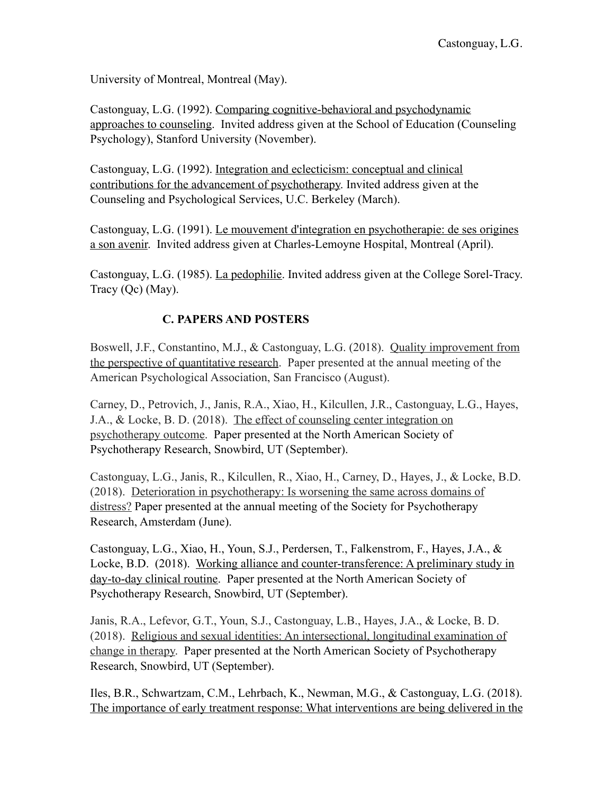University of Montreal, Montreal (May).

Castonguay, L.G. (1992). Comparing cognitive-behavioral and psychodynamic approaches to counseling. Invited address given at the School of Education (Counseling Psychology), Stanford University (November).

Castonguay, L.G. (1992). Integration and eclecticism: conceptual and clinical contributions for the advancement of psychotherapy. Invited address given at the Counseling and Psychological Services, U.C. Berkeley (March).

Castonguay, L.G. (1991). Le mouvement d'integration en psychotherapie: de ses origines a son avenir. Invited address given at Charles-Lemoyne Hospital, Montreal (April).

Castonguay, L.G. (1985). La pedophilie. Invited address given at the College Sorel-Tracy. Tracy (Qc) (May).

# **C. PAPERS AND POSTERS**

Boswell, J.F., Constantino, M.J., & Castonguay, L.G. (2018). Quality improvement from the perspective of quantitative research. Paper presented at the annual meeting of the American Psychological Association, San Francisco (August).

Carney, D., Petrovich, J., Janis, R.A., Xiao, H., Kilcullen, J.R., Castonguay, L.G., Hayes, J.A., & Locke, B. D. (2018). The effect of counseling center integration on psychotherapy outcome. Paper presented at the North American Society of Psychotherapy Research, Snowbird, UT (September).

Castonguay, L.G., Janis, R., Kilcullen, R., Xiao, H., Carney, D., Hayes, J., & Locke, B.D. (2018). Deterioration in psychotherapy: Is worsening the same across domains of distress? Paper presented at the annual meeting of the Society for Psychotherapy Research, Amsterdam (June).

Castonguay, L.G., Xiao, H., Youn, S.J., Perdersen, T., Falkenstrom, F., Hayes, J.A., & Locke, B.D. (2018). Working alliance and counter-transference: A preliminary study in day-to-day clinical routine. Paper presented at the North American Society of Psychotherapy Research, Snowbird, UT (September).

Janis, R.A., Lefevor, G.T., Youn, S.J., Castonguay, L.B., Hayes, J.A., & Locke, B. D. (2018). Religious and sexual identities: An intersectional, longitudinal examination of change in therapy. Paper presented at the North American Society of Psychotherapy Research, Snowbird, UT (September).

Iles, B.R., Schwartzam, C.M., Lehrbach, K., Newman, M.G., & Castonguay, L.G. (2018). The importance of early treatment response: What interventions are being delivered in the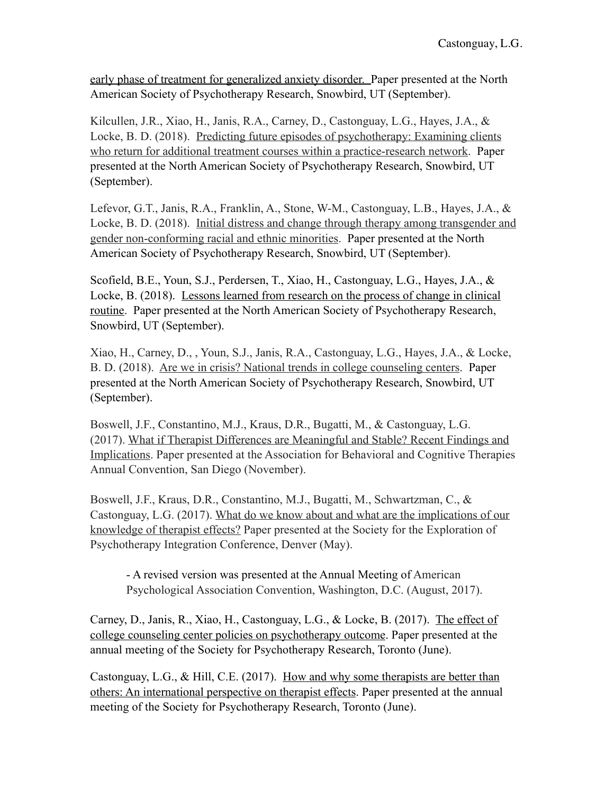early phase of treatment for generalized anxiety disorder. Paper presented at the North American Society of Psychotherapy Research, Snowbird, UT (September).

Kilcullen, J.R., Xiao, H., Janis, R.A., Carney, D., Castonguay, L.G., Hayes, J.A., & Locke, B. D. (2018). Predicting future episodes of psychotherapy: Examining clients who return for additional treatment courses within a practice-research network. Paper presented at the North American Society of Psychotherapy Research, Snowbird, UT (September).

Lefevor, G.T., Janis, R.A., Franklin, A., Stone, W-M., Castonguay, L.B., Hayes, J.A., & Locke, B. D. (2018). Initial distress and change through therapy among transgender and gender non-conforming racial and ethnic minorities. Paper presented at the North American Society of Psychotherapy Research, Snowbird, UT (September).

Scofield, B.E., Youn, S.J., Perdersen, T., Xiao, H., Castonguay, L.G., Hayes, J.A., & Locke, B. (2018). Lessons learned from research on the process of change in clinical routine. Paper presented at the North American Society of Psychotherapy Research, Snowbird, UT (September).

Xiao, H., Carney, D., , Youn, S.J., Janis, R.A., Castonguay, L.G., Hayes, J.A., & Locke, B. D. (2018). Are we in crisis? National trends in college counseling centers. Paper presented at the North American Society of Psychotherapy Research, Snowbird, UT (September).

Boswell, J.F., Constantino, M.J., Kraus, D.R., Bugatti, M., & Castonguay, L.G. (2017). What if Therapist Differences are Meaningful and Stable? Recent Findings and Implications. Paper presented at the Association for Behavioral and Cognitive Therapies Annual Convention, San Diego (November).

Boswell, J.F., Kraus, D.R., Constantino, M.J., Bugatti, M., Schwartzman, C., & Castonguay, L.G. (2017). What do we know about and what are the implications of our knowledge of therapist effects? Paper presented at the Society for the Exploration of Psychotherapy Integration Conference, Denver (May).

- A revised version was presented at the Annual Meeting of American Psychological Association Convention, Washington, D.C. (August, 2017).

Carney, D., Janis, R., Xiao, H., Castonguay, L.G., & Locke, B. (2017). The effect of college counseling center policies on psychotherapy outcome. Paper presented at the annual meeting of the Society for Psychotherapy Research, Toronto (June).

Castonguay, L.G., & Hill, C.E. (2017). How and why some therapists are better than others: An international perspective on therapist effects. Paper presented at the annual meeting of the Society for Psychotherapy Research, Toronto (June).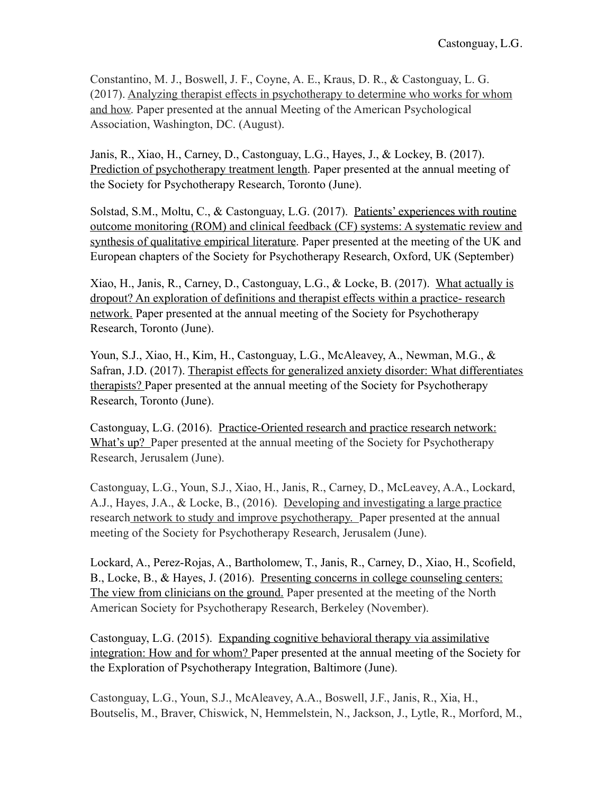Constantino, M. J., Boswell, J. F., Coyne, A. E., Kraus, D. R., & Castonguay, L. G. (2017). Analyzing therapist effects in psychotherapy to determine who works for whom and how. Paper presented at the annual Meeting of the American Psychological Association, Washington, DC. (August).

Janis, R., Xiao, H., Carney, D., Castonguay, L.G., Hayes, J., & Lockey, B. (2017). Prediction of psychotherapy treatment length. Paper presented at the annual meeting of the Society for Psychotherapy Research, Toronto (June).

Solstad, S.M., Moltu, C., & Castonguay, L.G. (2017). Patients' experiences with routine outcome monitoring (ROM) and clinical feedback (CF) systems: A systematic review and synthesis of qualitative empirical literature. Paper presented at the meeting of the UK and European chapters of the Society for Psychotherapy Research, Oxford, UK (September)

Xiao, H., Janis, R., Carney, D., Castonguay, L.G., & Locke, B. (2017). What actually is dropout? An exploration of definitions and therapist effects within a practice- research network. Paper presented at the annual meeting of the Society for Psychotherapy Research, Toronto (June).

Youn, S.J., Xiao, H., Kim, H., Castonguay, L.G., McAleavey, A., Newman, M.G., & Safran, J.D. (2017). Therapist effects for generalized anxiety disorder: What differentiates therapists? Paper presented at the annual meeting of the Society for Psychotherapy Research, Toronto (June).

Castonguay, L.G. (2016). Practice-Oriented research and practice research network: What's up? Paper presented at the annual meeting of the Society for Psychotherapy Research, Jerusalem (June).

Castonguay, L.G., Youn, S.J., Xiao, H., Janis, R., Carney, D., McLeavey, A.A., Lockard, A.J., Hayes, J.A., & Locke, B., (2016). Developing and investigating a large practice research network to study and improve psychotherapy. Paper presented at the annual meeting of the Society for Psychotherapy Research, Jerusalem (June).

Lockard, A., Perez-Rojas, A., Bartholomew, T., Janis, R., Carney, D., Xiao, H., Scofield, B., Locke, B., & Hayes, J. (2016). Presenting concerns in college counseling centers: The view from clinicians on the ground. Paper presented at the meeting of the North American Society for Psychotherapy Research, Berkeley (November).

Castonguay, L.G. (2015). Expanding cognitive behavioral therapy via assimilative integration: How and for whom? Paper presented at the annual meeting of the Society for the Exploration of Psychotherapy Integration, Baltimore (June).

Castonguay, L.G., Youn, S.J., McAleavey, A.A., Boswell, J.F., Janis, R., Xia, H., Boutselis, M., Braver, Chiswick, N, Hemmelstein, N., Jackson, J., Lytle, R., Morford, M.,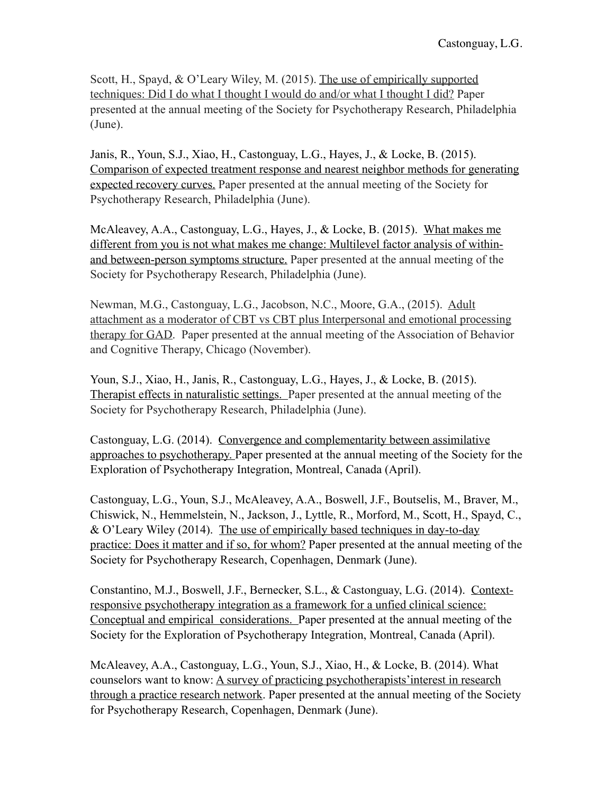Scott, H., Spayd, & O'Leary Wiley, M. (2015). The use of empirically supported techniques: Did I do what I thought I would do and/or what I thought I did? Paper presented at the annual meeting of the Society for Psychotherapy Research, Philadelphia (June).

Janis, R., Youn, S.J., Xiao, H., Castonguay, L.G., Hayes, J., & Locke, B. (2015). Comparison of expected treatment response and nearest neighbor methods for generating expected recovery curves. Paper presented at the annual meeting of the Society for Psychotherapy Research, Philadelphia (June).

McAleavey, A.A., Castonguay, L.G., Hayes, J., & Locke, B. (2015). What makes me different from you is not what makes me change: Multilevel factor analysis of withinand between-person symptoms structure. Paper presented at the annual meeting of the Society for Psychotherapy Research, Philadelphia (June).

Newman, M.G., Castonguay, L.G., Jacobson, N.C., Moore, G.A., (2015). Adult attachment as a moderator of CBT vs CBT plus Interpersonal and emotional processing therapy for GAD. Paper presented at the annual meeting of the Association of Behavior and Cognitive Therapy, Chicago (November).

Youn, S.J., Xiao, H., Janis, R., Castonguay, L.G., Hayes, J., & Locke, B. (2015). Therapist effects in naturalistic settings. Paper presented at the annual meeting of the Society for Psychotherapy Research, Philadelphia (June).

Castonguay, L.G. (2014). Convergence and complementarity between assimilative approaches to psychotherapy. Paper presented at the annual meeting of the Society for the Exploration of Psychotherapy Integration, Montreal, Canada (April).

Castonguay, L.G., Youn, S.J., McAleavey, A.A., Boswell, J.F., Boutselis, M., Braver, M., Chiswick, N., Hemmelstein, N., Jackson, J., Lyttle, R., Morford, M., Scott, H., Spayd, C., & O'Leary Wiley (2014). The use of empirically based techniques in day-to-day practice: Does it matter and if so, for whom? Paper presented at the annual meeting of the Society for Psychotherapy Research, Copenhagen, Denmark (June).

Constantino, M.J., Boswell, J.F., Bernecker, S.L., & Castonguay, L.G. (2014). Contextresponsive psychotherapy integration as a framework for a unfied clinical science: Conceptual and empirical considerations. Paper presented at the annual meeting of the Society for the Exploration of Psychotherapy Integration, Montreal, Canada (April).

McAleavey, A.A., Castonguay, L.G., Youn, S.J., Xiao, H., & Locke, B. (2014). What counselors want to know: A survey of practicing psychotherapists'interest in research through a practice research network. Paper presented at the annual meeting of the Society for Psychotherapy Research, Copenhagen, Denmark (June).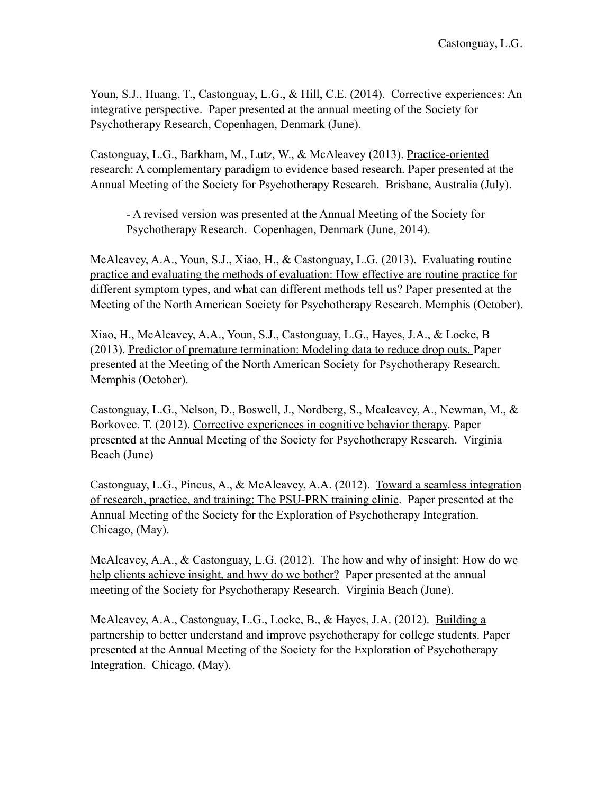Youn, S.J., Huang, T., Castonguay, L.G., & Hill, C.E. (2014). Corrective experiences: An integrative perspective. Paper presented at the annual meeting of the Society for Psychotherapy Research, Copenhagen, Denmark (June).

Castonguay, L.G., Barkham, M., Lutz, W., & McAleavey (2013). Practice-oriented research: A complementary paradigm to evidence based research. Paper presented at the Annual Meeting of the Society for Psychotherapy Research. Brisbane, Australia (July).

- A revised version was presented at the Annual Meeting of the Society for Psychotherapy Research. Copenhagen, Denmark (June, 2014).

McAleavey, A.A., Youn, S.J., Xiao, H., & Castonguay, L.G. (2013). Evaluating routine practice and evaluating the methods of evaluation: How effective are routine practice for different symptom types, and what can different methods tell us? Paper presented at the Meeting of the North American Society for Psychotherapy Research. Memphis (October).

Xiao, H., McAleavey, A.A., Youn, S.J., Castonguay, L.G., Hayes, J.A., & Locke, B (2013). Predictor of premature termination: Modeling data to reduce drop outs. Paper presented at the Meeting of the North American Society for Psychotherapy Research. Memphis (October).

Castonguay, L.G., Nelson, D., Boswell, J., Nordberg, S., Mcaleavey, A., Newman, M., & Borkovec. T. (2012). Corrective experiences in cognitive behavior therapy. Paper presented at the Annual Meeting of the Society for Psychotherapy Research. Virginia Beach (June)

Castonguay, L.G., Pincus, A., & McAleavey, A.A. (2012). Toward a seamless integration of research, practice, and training: The PSU-PRN training clinic. Paper presented at the Annual Meeting of the Society for the Exploration of Psychotherapy Integration. Chicago, (May).

McAleavey, A.A., & Castonguay, L.G. (2012). The how and why of insight: How do we help clients achieve insight, and hwy do we bother? Paper presented at the annual meeting of the Society for Psychotherapy Research. Virginia Beach (June).

McAleavey, A.A., Castonguay, L.G., Locke, B., & Hayes, J.A. (2012). Building a partnership to better understand and improve psychotherapy for college students. Paper presented at the Annual Meeting of the Society for the Exploration of Psychotherapy Integration. Chicago, (May).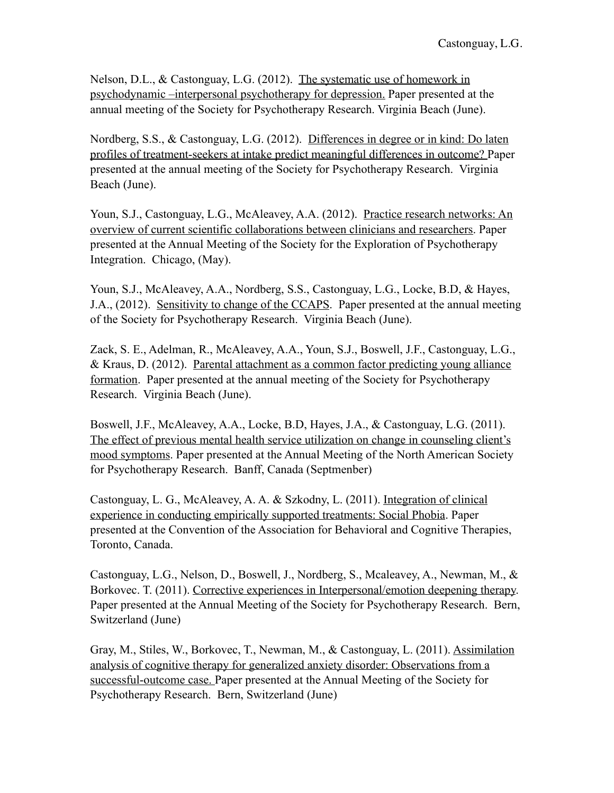Nelson, D.L., & Castonguay, L.G. (2012). The systematic use of homework in psychodynamic –interpersonal psychotherapy for depression. Paper presented at the annual meeting of the Society for Psychotherapy Research. Virginia Beach (June).

Nordberg, S.S., & Castonguay, L.G. (2012). Differences in degree or in kind: Do laten profiles of treatment-seekers at intake predict meaningful differences in outcome? Paper presented at the annual meeting of the Society for Psychotherapy Research. Virginia Beach (June).

Youn, S.J., Castonguay, L.G., McAleavey, A.A. (2012). Practice research networks: An overview of current scientific collaborations between clinicians and researchers. Paper presented at the Annual Meeting of the Society for the Exploration of Psychotherapy Integration. Chicago, (May).

Youn, S.J., McAleavey, A.A., Nordberg, S.S., Castonguay, L.G., Locke, B.D, & Hayes, J.A., (2012). Sensitivity to change of the CCAPS. Paper presented at the annual meeting of the Society for Psychotherapy Research. Virginia Beach (June).

Zack, S. E., Adelman, R., McAleavey, A.A., Youn, S.J., Boswell, J.F., Castonguay, L.G., & Kraus, D. (2012). Parental attachment as a common factor predicting young alliance formation. Paper presented at the annual meeting of the Society for Psychotherapy Research. Virginia Beach (June).

Boswell, J.F., McAleavey, A.A., Locke, B.D, Hayes, J.A., & Castonguay, L.G. (2011). The effect of previous mental health service utilization on change in counseling client's mood symptoms. Paper presented at the Annual Meeting of the North American Society for Psychotherapy Research. Banff, Canada (Septmenber)

Castonguay, L. G., McAleavey, A. A. & Szkodny, L. (2011). Integration of clinical experience in conducting empirically supported treatments: Social Phobia. Paper presented at the Convention of the Association for Behavioral and Cognitive Therapies, Toronto, Canada.

Castonguay, L.G., Nelson, D., Boswell, J., Nordberg, S., Mcaleavey, A., Newman, M., & Borkovec. T. (2011). Corrective experiences in Interpersonal/emotion deepening therapy. Paper presented at the Annual Meeting of the Society for Psychotherapy Research. Bern, Switzerland (June)

Gray, M., Stiles, W., Borkovec, T., Newman, M., & Castonguay, L. (2011). Assimilation analysis of cognitive therapy for generalized anxiety disorder: Observations from a successful-outcome case. Paper presented at the Annual Meeting of the Society for Psychotherapy Research. Bern, Switzerland (June)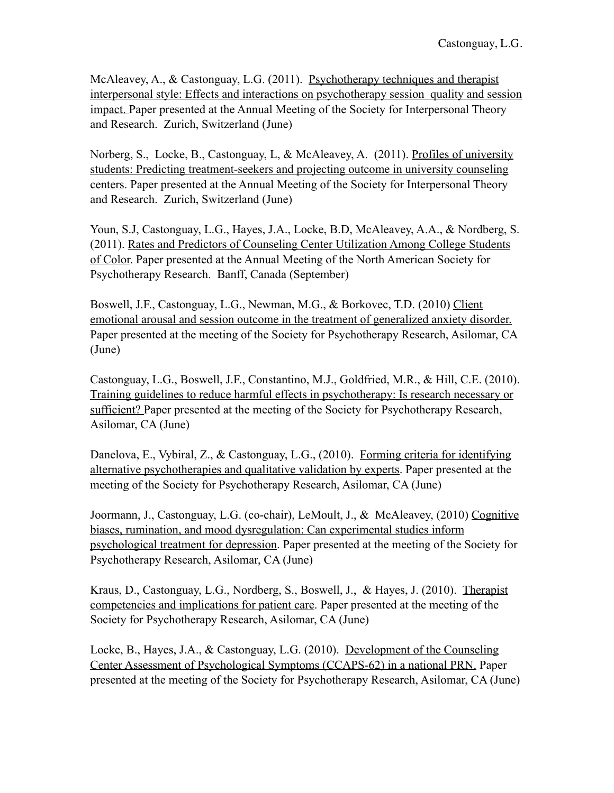McAleavey, A., & Castonguay, L.G. (2011). Psychotherapy techniques and therapist interpersonal style: Effects and interactions on psychotherapy session quality and session impact. Paper presented at the Annual Meeting of the Society for Interpersonal Theory and Research. Zurich, Switzerland (June)

Norberg, S., Locke, B., Castonguay, L, & McAleavey, A. (2011). Profiles of university students: Predicting treatment-seekers and projecting outcome in university counseling centers. Paper presented at the Annual Meeting of the Society for Interpersonal Theory and Research. Zurich, Switzerland (June)

Youn, S.J, Castonguay, L.G., Hayes, J.A., Locke, B.D, McAleavey, A.A., & Nordberg, S. (2011). Rates and Predictors of Counseling Center Utilization Among College Students of Color. Paper presented at the Annual Meeting of the North American Society for Psychotherapy Research. Banff, Canada (September)

Boswell, J.F., Castonguay, L.G., Newman, M.G., & Borkovec, T.D. (2010) Client emotional arousal and session outcome in the treatment of generalized anxiety disorder. Paper presented at the meeting of the Society for Psychotherapy Research, Asilomar, CA (June)

Castonguay, L.G., Boswell, J.F., Constantino, M.J., Goldfried, M.R., & Hill, C.E. (2010). Training guidelines to reduce harmful effects in psychotherapy: Is research necessary or sufficient? Paper presented at the meeting of the Society for Psychotherapy Research, Asilomar, CA (June)

Danelova, E., Vybiral, Z., & Castonguay, L.G., (2010). Forming criteria for identifying alternative psychotherapies and qualitative validation by experts. Paper presented at the meeting of the Society for Psychotherapy Research, Asilomar, CA (June)

Joormann, J., Castonguay, L.G. (co-chair), LeMoult, J., & McAleavey, (2010) Cognitive biases, rumination, and mood dysregulation: Can experimental studies inform psychological treatment for depression. Paper presented at the meeting of the Society for Psychotherapy Research, Asilomar, CA (June)

Kraus, D., Castonguay, L.G., Nordberg, S., Boswell, J., & Hayes, J. (2010). Therapist competencies and implications for patient care. Paper presented at the meeting of the Society for Psychotherapy Research, Asilomar, CA (June)

Locke, B., Hayes, J.A., & Castonguay, L.G. (2010). Development of the Counseling Center Assessment of Psychological Symptoms (CCAPS-62) in a national PRN. Paper presented at the meeting of the Society for Psychotherapy Research, Asilomar, CA (June)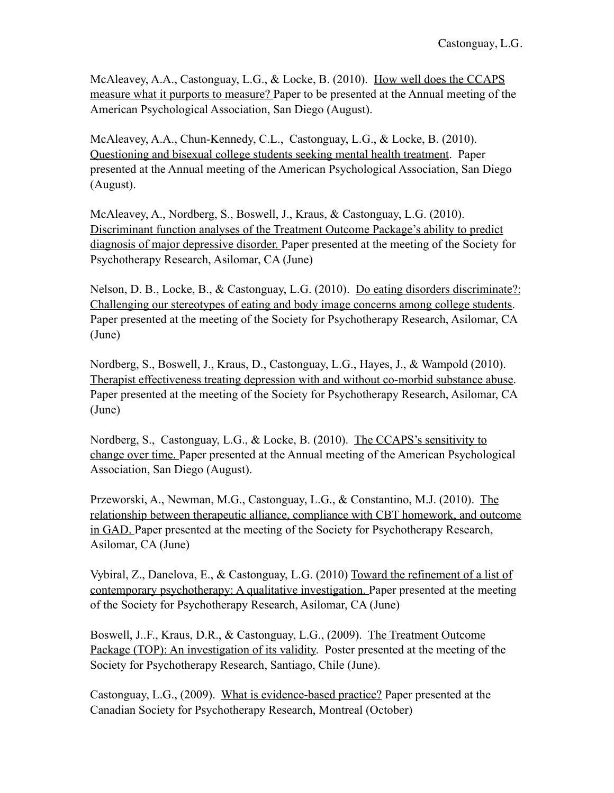McAleavey, A.A., Castonguay, L.G., & Locke, B. (2010). How well does the CCAPS measure what it purports to measure? Paper to be presented at the Annual meeting of the American Psychological Association, San Diego (August).

McAleavey, A.A., Chun-Kennedy, C.L., Castonguay, L.G., & Locke, B. (2010). Questioning and bisexual college students seeking mental health treatment. Paper presented at the Annual meeting of the American Psychological Association, San Diego (August).

McAleavey, A., Nordberg, S., Boswell, J., Kraus, & Castonguay, L.G. (2010). Discriminant function analyses of the Treatment Outcome Package's ability to predict diagnosis of major depressive disorder. Paper presented at the meeting of the Society for Psychotherapy Research, Asilomar, CA (June)

Nelson, D. B., Locke, B., & Castonguay, L.G. (2010). Do eating disorders discriminate?: Challenging our stereotypes of eating and body image concerns among college students. Paper presented at the meeting of the Society for Psychotherapy Research, Asilomar, CA (June)

Nordberg, S., Boswell, J., Kraus, D., Castonguay, L.G., Hayes, J., & Wampold (2010). Therapist effectiveness treating depression with and without co-morbid substance abuse. Paper presented at the meeting of the Society for Psychotherapy Research, Asilomar, CA (June)

Nordberg, S., Castonguay, L.G., & Locke, B. (2010). The CCAPS's sensitivity to change over time. Paper presented at the Annual meeting of the American Psychological Association, San Diego (August).

Przeworski, A., Newman, M.G., Castonguay, L.G., & Constantino, M.J. (2010). The relationship between therapeutic alliance, compliance with CBT homework, and outcome in GAD. Paper presented at the meeting of the Society for Psychotherapy Research, Asilomar, CA (June)

Vybiral, Z., Danelova, E., & Castonguay, L.G. (2010) Toward the refinement of a list of contemporary psychotherapy: A qualitative investigation. Paper presented at the meeting of the Society for Psychotherapy Research, Asilomar, CA (June)

Boswell, J..F., Kraus, D.R., & Castonguay, L.G., (2009). The Treatment Outcome Package (TOP): An investigation of its validity. Poster presented at the meeting of the Society for Psychotherapy Research, Santiago, Chile (June).

Castonguay, L.G., (2009). What is evidence-based practice? Paper presented at the Canadian Society for Psychotherapy Research, Montreal (October)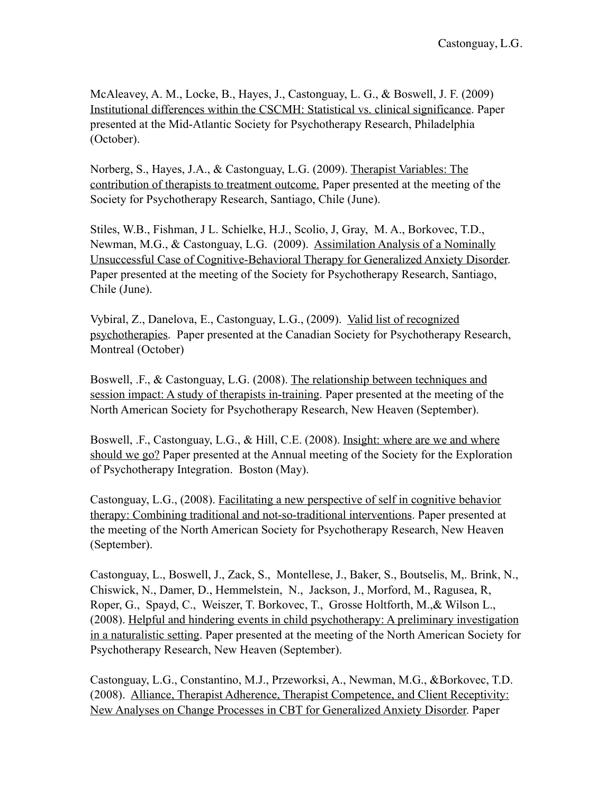McAleavey, A. M., Locke, B., Hayes, J., Castonguay, L. G., & Boswell, J. F. (2009) Institutional differences within the CSCMH: Statistical vs. clinical significance. Paper presented at the Mid-Atlantic Society for Psychotherapy Research, Philadelphia (October).

Norberg, S., Hayes, J.A., & Castonguay, L.G. (2009). Therapist Variables: The contribution of therapists to treatment outcome. Paper presented at the meeting of the Society for Psychotherapy Research, Santiago, Chile (June).

Stiles, W.B., Fishman, J L. Schielke, H.J., Scolio, J, Gray, M. A., Borkovec, T.D., Newman, M.G., & Castonguay, L.G. (2009). Assimilation Analysis of a Nominally Unsuccessful Case of Cognitive-Behavioral Therapy for Generalized Anxiety Disorder. Paper presented at the meeting of the Society for Psychotherapy Research, Santiago, Chile (June).

Vybiral, Z., Danelova, E., Castonguay, L.G., (2009). Valid list of recognized psychotherapies. Paper presented at the Canadian Society for Psychotherapy Research, Montreal (October)

Boswell, .F., & Castonguay, L.G. (2008). The relationship between techniques and session impact: A study of therapists in-training. Paper presented at the meeting of the North American Society for Psychotherapy Research, New Heaven (September).

Boswell, .F., Castonguay, L.G., & Hill, C.E. (2008). Insight: where are we and where should we go? Paper presented at the Annual meeting of the Society for the Exploration of Psychotherapy Integration. Boston (May).

Castonguay, L.G., (2008). Facilitating a new perspective of self in cognitive behavior therapy: Combining traditional and not-so-traditional interventions. Paper presented at the meeting of the North American Society for Psychotherapy Research, New Heaven (September).

Castonguay, L., Boswell, J., Zack, S., Montellese, J., Baker, S., Boutselis, M,. Brink, N., Chiswick, N., Damer, D., Hemmelstein, N., Jackson, J., Morford, M., Ragusea, R, Roper, G., Spayd, C., Weiszer, T. Borkovec, T., Grosse Holtforth, M.,& Wilson L., (2008). Helpful and hindering events in child psychotherapy: A preliminary investigation in a naturalistic setting. Paper presented at the meeting of the North American Society for Psychotherapy Research, New Heaven (September).

Castonguay, L.G., Constantino, M.J., Przeworksi, A., Newman, M.G., &Borkovec, T.D. (2008). Alliance, Therapist Adherence, Therapist Competence, and Client Receptivity: New Analyses on Change Processes in CBT for Generalized Anxiety Disorder. Paper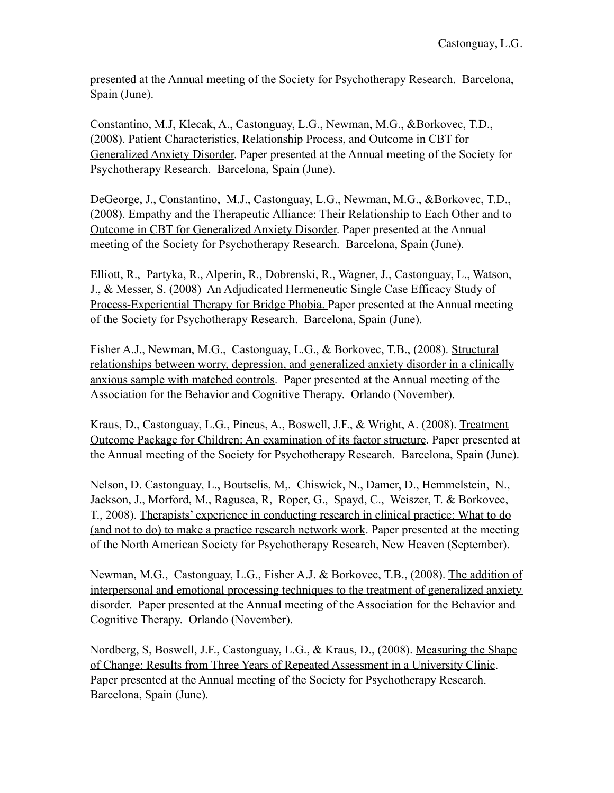presented at the Annual meeting of the Society for Psychotherapy Research. Barcelona, Spain (June).

Constantino, M.J, Klecak, A., Castonguay, L.G., Newman, M.G., &Borkovec, T.D., (2008). Patient Characteristics, Relationship Process, and Outcome in CBT for Generalized Anxiety Disorder. Paper presented at the Annual meeting of the Society for Psychotherapy Research. Barcelona, Spain (June).

DeGeorge, J., Constantino, M.J., Castonguay, L.G., Newman, M.G., &Borkovec, T.D., (2008). Empathy and the Therapeutic Alliance: Their Relationship to Each Other and to Outcome in CBT for Generalized Anxiety Disorder. Paper presented at the Annual meeting of the Society for Psychotherapy Research. Barcelona, Spain (June).

Elliott, R., Partyka, R., Alperin, R., Dobrenski, R., Wagner, J., Castonguay, L., Watson, J., & Messer, S. (2008) An Adjudicated Hermeneutic Single Case Efficacy Study of Process-Experiential Therapy for Bridge Phobia. Paper presented at the Annual meeting of the Society for Psychotherapy Research. Barcelona, Spain (June).

Fisher A.J., Newman, M.G., Castonguay, L.G., & Borkovec, T.B., (2008). Structural relationships between worry, depression, and generalized anxiety disorder in a clinically anxious sample with matched controls. Paper presented at the Annual meeting of the Association for the Behavior and Cognitive Therapy. Orlando (November).

Kraus, D., Castonguay, L.G., Pincus, A., Boswell, J.F., & Wright, A. (2008). Treatment Outcome Package for Children: An examination of its factor structure. Paper presented at the Annual meeting of the Society for Psychotherapy Research. Barcelona, Spain (June).

Nelson, D. Castonguay, L., Boutselis, M,. Chiswick, N., Damer, D., Hemmelstein, N., Jackson, J., Morford, M., Ragusea, R, Roper, G., Spayd, C., Weiszer, T. & Borkovec, T., 2008). Therapists' experience in conducting research in clinical practice: What to do (and not to do) to make a practice research network work. Paper presented at the meeting of the North American Society for Psychotherapy Research, New Heaven (September).

Newman, M.G., Castonguay, L.G., Fisher A.J. & Borkovec, T.B., (2008). The addition of interpersonal and emotional processing techniques to the treatment of generalized anxiety disorder. Paper presented at the Annual meeting of the Association for the Behavior and Cognitive Therapy. Orlando (November).

Nordberg, S, Boswell, J.F., Castonguay, L.G., & Kraus, D., (2008). Measuring the Shape of Change: Results from Three Years of Repeated Assessment in a University Clinic. Paper presented at the Annual meeting of the Society for Psychotherapy Research. Barcelona, Spain (June).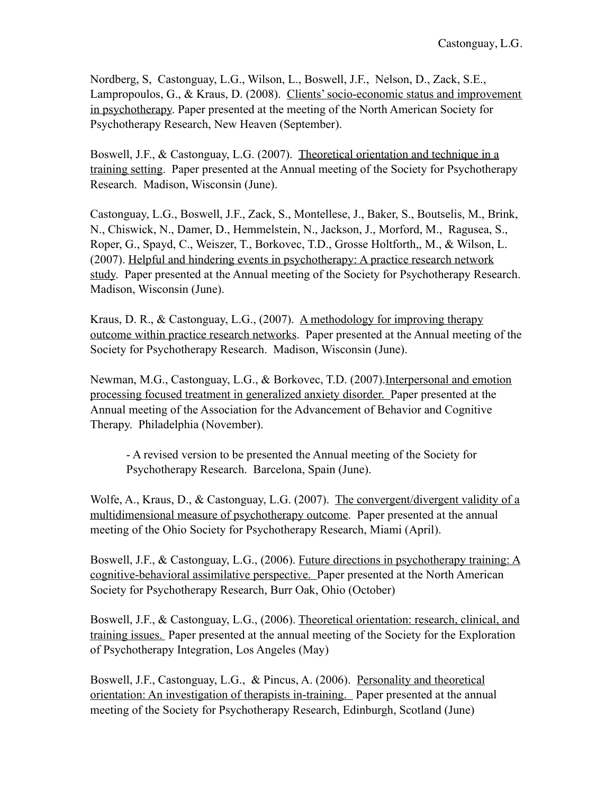Nordberg, S, Castonguay, L.G., Wilson, L., Boswell, J.F., Nelson, D., Zack, S.E., Lampropoulos, G., & Kraus, D. (2008). Clients' socio-economic status and improvement in psychotherapy. Paper presented at the meeting of the North American Society for Psychotherapy Research, New Heaven (September).

Boswell, J.F., & Castonguay, L.G. (2007). Theoretical orientation and technique in a training setting. Paper presented at the Annual meeting of the Society for Psychotherapy Research. Madison, Wisconsin (June).

Castonguay, L.G., Boswell, J.F., Zack, S., Montellese, J., Baker, S., Boutselis, M., Brink, N., Chiswick, N., Damer, D., Hemmelstein, N., Jackson, J., Morford, M., Ragusea, S., Roper, G., Spayd, C., Weiszer, T., Borkovec, T.D., Grosse Holtforth,, M., & Wilson, L. (2007). Helpful and hindering events in psychotherapy: A practice research network study. Paper presented at the Annual meeting of the Society for Psychotherapy Research. Madison, Wisconsin (June).

Kraus, D. R., & Castonguay, L.G., (2007). A methodology for improving therapy outcome within practice research networks. Paper presented at the Annual meeting of the Society for Psychotherapy Research. Madison, Wisconsin (June).

Newman, M.G., Castonguay, L.G., & Borkovec, T.D. (2007).Interpersonal and emotion processing focused treatment in generalized anxiety disorder. Paper presented at the Annual meeting of the Association for the Advancement of Behavior and Cognitive Therapy. Philadelphia (November).

- A revised version to be presented the Annual meeting of the Society for Psychotherapy Research. Barcelona, Spain (June).

Wolfe, A., Kraus, D., & Castonguay, L.G. (2007). The convergent/divergent validity of a multidimensional measure of psychotherapy outcome. Paper presented at the annual meeting of the Ohio Society for Psychotherapy Research, Miami (April).

Boswell, J.F., & Castonguay, L.G., (2006). Future directions in psychotherapy training: A cognitive-behavioral assimilative perspective. Paper presented at the North American Society for Psychotherapy Research, Burr Oak, Ohio (October)

Boswell, J.F., & Castonguay, L.G., (2006). Theoretical orientation: research, clinical, and training issues. Paper presented at the annual meeting of the Society for the Exploration of Psychotherapy Integration, Los Angeles (May)

Boswell, J.F., Castonguay, L.G., & Pincus, A. (2006). Personality and theoretical orientation: An investigation of therapists in-training. Paper presented at the annual meeting of the Society for Psychotherapy Research, Edinburgh, Scotland (June)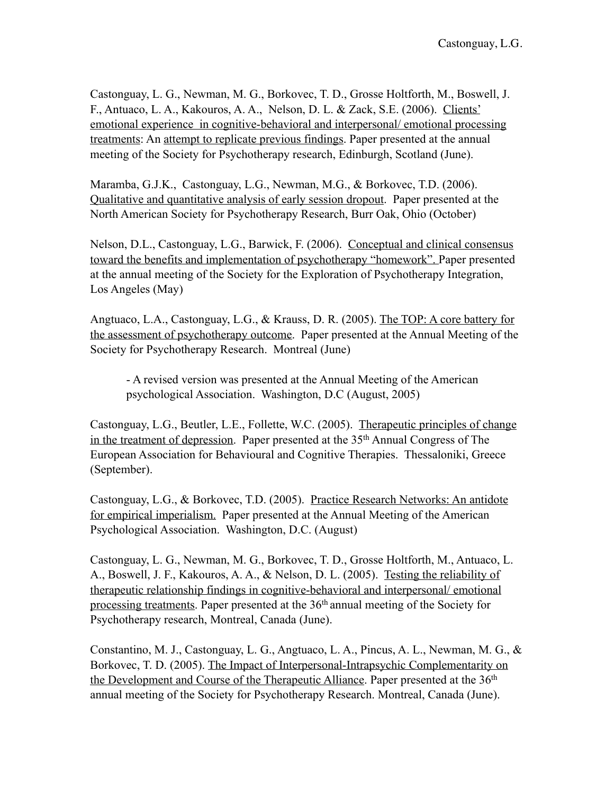Castonguay, L. G., Newman, M. G., Borkovec, T. D., Grosse Holtforth, M., Boswell, J. F., Antuaco, L. A., Kakouros, A. A., Nelson, D. L. & Zack, S.E. (2006). Clients' emotional experience in cognitive-behavioral and interpersonal/ emotional processing treatments: An attempt to replicate previous findings. Paper presented at the annual meeting of the Society for Psychotherapy research, Edinburgh, Scotland (June).

Maramba, G.J.K., Castonguay, L.G., Newman, M.G., & Borkovec, T.D. (2006). Qualitative and quantitative analysis of early session dropout. Paper presented at the North American Society for Psychotherapy Research, Burr Oak, Ohio (October)

Nelson, D.L., Castonguay, L.G., Barwick, F. (2006). Conceptual and clinical consensus toward the benefits and implementation of psychotherapy "homework". Paper presented at the annual meeting of the Society for the Exploration of Psychotherapy Integration, Los Angeles (May)

Angtuaco, L.A., Castonguay, L.G., & Krauss, D. R. (2005). The TOP: A core battery for the assessment of psychotherapy outcome. Paper presented at the Annual Meeting of the Society for Psychotherapy Research. Montreal (June)

- A revised version was presented at the Annual Meeting of the American psychological Association. Washington, D.C (August, 2005)

Castonguay, L.G., Beutler, L.E., Follette, W.C. (2005). Therapeutic principles of change in the treatment of depression. Paper presented at the 35th Annual Congress of The European Association for Behavioural and Cognitive Therapies. Thessaloniki, Greece (September).

Castonguay, L.G., & Borkovec, T.D. (2005). Practice Research Networks: An antidote for empirical imperialism. Paper presented at the Annual Meeting of the American Psychological Association. Washington, D.C. (August)

Castonguay, L. G., Newman, M. G., Borkovec, T. D., Grosse Holtforth, M., Antuaco, L. A., Boswell, J. F., Kakouros, A. A., & Nelson, D. L. (2005). Testing the reliability of therapeutic relationship findings in cognitive-behavioral and interpersonal/ emotional processing treatments. Paper presented at the 36th annual meeting of the Society for Psychotherapy research, Montreal, Canada (June).

Constantino, M. J., Castonguay, L. G., Angtuaco, L. A., Pincus, A. L., Newman, M. G., & Borkovec, T. D. (2005). The Impact of Interpersonal-Intrapsychic Complementarity on the Development and Course of the Therapeutic Alliance. Paper presented at the 36<sup>th</sup> annual meeting of the Society for Psychotherapy Research. Montreal, Canada (June).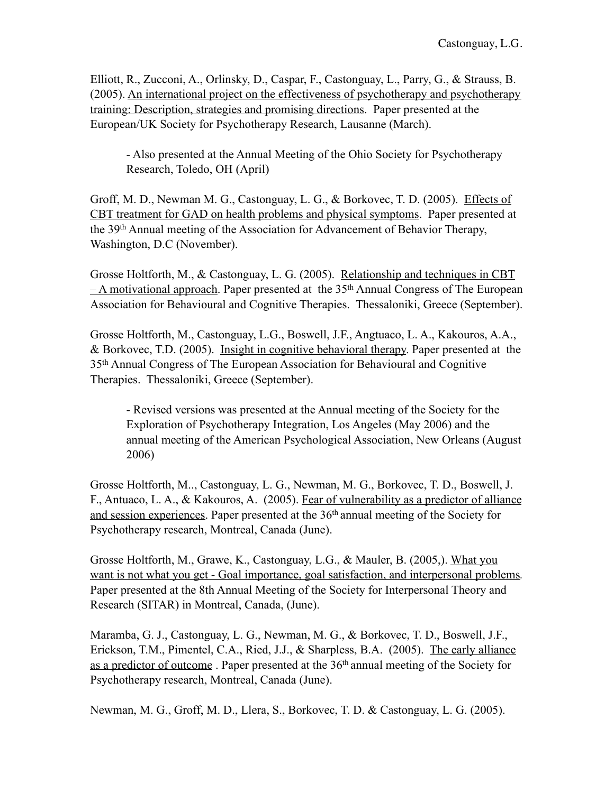Elliott, R., Zucconi, A., Orlinsky, D., Caspar, F., Castonguay, L., Parry, G., & Strauss, B. (2005). An international project on the effectiveness of psychotherapy and psychotherapy training: Description, strategies and promising directions. Paper presented at the European/UK Society for Psychotherapy Research, Lausanne (March).

- Also presented at the Annual Meeting of the Ohio Society for Psychotherapy Research, Toledo, OH (April)

Groff, M. D., Newman M. G., Castonguay, L. G., & Borkovec, T. D. (2005). Effects of CBT treatment for GAD on health problems and physical symptoms. Paper presented at the 39th Annual meeting of the Association for Advancement of Behavior Therapy, Washington, D.C (November).

Grosse Holtforth, M., & Castonguay, L. G. (2005). Relationship and techniques in CBT  $-$  A motivational approach. Paper presented at the 35<sup>th</sup> Annual Congress of The European Association for Behavioural and Cognitive Therapies. Thessaloniki, Greece (September).

Grosse Holtforth, M., Castonguay, L.G., Boswell, J.F., Angtuaco, L. A., Kakouros, A.A., & Borkovec, T.D. (2005). Insight in cognitive behavioral therapy. Paper presented at the 35th Annual Congress of The European Association for Behavioural and Cognitive Therapies. Thessaloniki, Greece (September).

- Revised versions was presented at the Annual meeting of the Society for the Exploration of Psychotherapy Integration, Los Angeles (May 2006) and the annual meeting of the American Psychological Association, New Orleans (August 2006)

Grosse Holtforth, M.., Castonguay, L. G., Newman, M. G., Borkovec, T. D., Boswell, J. F., Antuaco, L. A., & Kakouros, A. (2005). Fear of vulnerability as a predictor of alliance and session experiences. Paper presented at the 36th annual meeting of the Society for Psychotherapy research, Montreal, Canada (June).

Grosse Holtforth, M., Grawe, K., Castonguay, L.G., & Mauler, B. (2005,). What you want is not what you get - Goal importance, goal satisfaction, and interpersonal problems*.* Paper presented at the 8th Annual Meeting of the Society for Interpersonal Theory and Research (SITAR) in Montreal, Canada, (June).

Maramba, G. J., Castonguay, L. G., Newman, M. G., & Borkovec, T. D., Boswell, J.F., Erickson, T.M., Pimentel, C.A., Ried, J.J., & Sharpless, B.A. (2005). The early alliance as a predictor of outcome . Paper presented at the 36th annual meeting of the Society for Psychotherapy research, Montreal, Canada (June).

Newman, M. G., Groff, M. D., Llera, S., Borkovec, T. D. & Castonguay, L. G. (2005).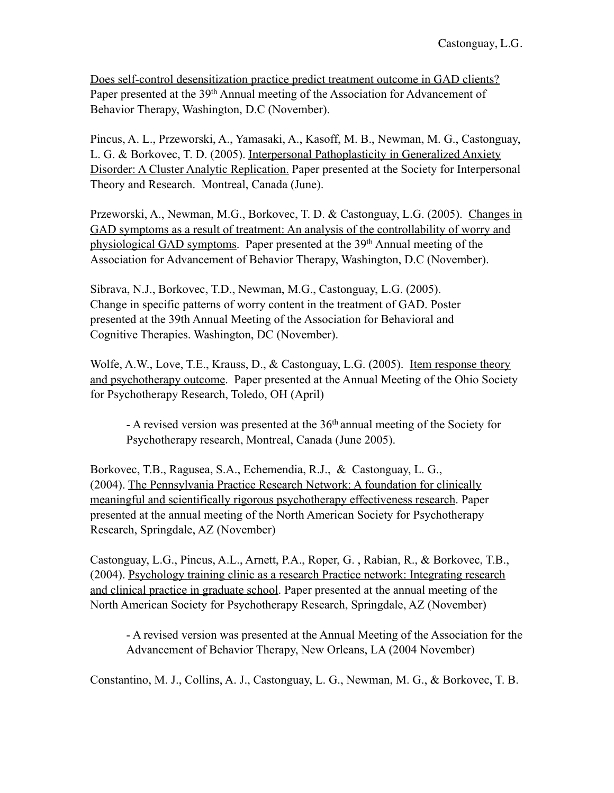Does self-control desensitization practice predict treatment outcome in GAD clients? Paper presented at the 39<sup>th</sup> Annual meeting of the Association for Advancement of Behavior Therapy, Washington, D.C (November).

Pincus, A. L., Przeworski, A., Yamasaki, A., Kasoff, M. B., Newman, M. G., Castonguay, L. G. & Borkovec, T. D. (2005). Interpersonal Pathoplasticity in Generalized Anxiety Disorder: A Cluster Analytic Replication. Paper presented at the Society for Interpersonal Theory and Research. Montreal, Canada (June).

Przeworski, A., Newman, M.G., Borkovec, T. D. & Castonguay, L.G. (2005). Changes in GAD symptoms as a result of treatment: An analysis of the controllability of worry and physiological GAD symptoms. Paper presented at the 39th Annual meeting of the Association for Advancement of Behavior Therapy, Washington, D.C (November).

Sibrava, N.J., Borkovec, T.D., Newman, M.G., Castonguay, L.G. (2005). Change in specific patterns of worry content in the treatment of GAD. Poster presented at the 39th Annual Meeting of the Association for Behavioral and Cognitive Therapies. Washington, DC (November).

Wolfe, A.W., Love, T.E., Krauss, D., & Castonguay, L.G. (2005). Item response theory and psychotherapy outcome. Paper presented at the Annual Meeting of the Ohio Society for Psychotherapy Research, Toledo, OH (April)

- A revised version was presented at the 36th annual meeting of the Society for Psychotherapy research, Montreal, Canada (June 2005).

Borkovec, T.B., Ragusea, S.A., Echemendia, R.J., & Castonguay, L. G., (2004). The Pennsylvania Practice Research Network: A foundation for clinically meaningful and scientifically rigorous psychotherapy effectiveness research. Paper presented at the annual meeting of the North American Society for Psychotherapy Research, Springdale, AZ (November)

Castonguay, L.G., Pincus, A.L., Arnett, P.A., Roper, G. , Rabian, R., & Borkovec, T.B., (2004). Psychology training clinic as a research Practice network: Integrating research and clinical practice in graduate school. Paper presented at the annual meeting of the North American Society for Psychotherapy Research, Springdale, AZ (November)

- A revised version was presented at the Annual Meeting of the Association for the Advancement of Behavior Therapy, New Orleans, LA (2004 November)

Constantino, M. J., Collins, A. J., Castonguay, L. G., Newman, M. G., & Borkovec, T. B.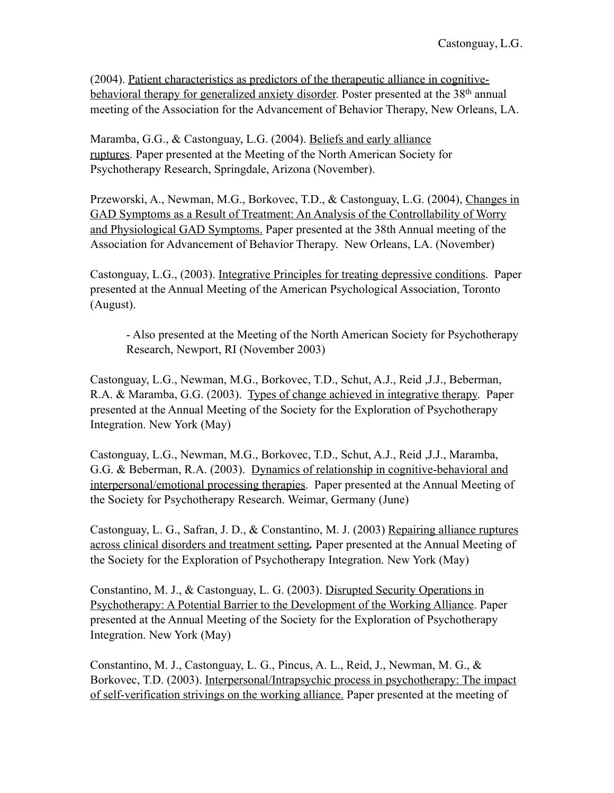(2004). Patient characteristics as predictors of the therapeutic alliance in cognitivebehavioral therapy for generalized anxiety disorder. Poster presented at the 38<sup>th</sup> annual meeting of the Association for the Advancement of Behavior Therapy, New Orleans, LA.

Maramba, G.G., & Castonguay, L.G. (2004). Beliefs and early alliance ruptures. Paper presented at the Meeting of the North American Society for Psychotherapy Research, Springdale, Arizona (November).

Przeworski, A., Newman, M.G., Borkovec, T.D., & Castonguay, L.G. (2004), Changes in GAD Symptoms as a Result of Treatment: An Analysis of the Controllability of Worry and Physiological GAD Symptoms. Paper presented at the 38th Annual meeting of the Association for Advancement of Behavior Therapy. New Orleans, LA. (November)

Castonguay, L.G., (2003). Integrative Principles for treating depressive conditions. Paper presented at the Annual Meeting of the American Psychological Association, Toronto (August).

- Also presented at the Meeting of the North American Society for Psychotherapy Research, Newport, RI (November 2003)

Castonguay, L.G., Newman, M.G., Borkovec, T.D., Schut, A.J., Reid ,J.J., Beberman, R.A. & Maramba, G.G. (2003). Types of change achieved in integrative therapy. Paper presented at the Annual Meeting of the Society for the Exploration of Psychotherapy Integration. New York (May)

Castonguay, L.G., Newman, M.G., Borkovec, T.D., Schut, A.J., Reid ,J.J., Maramba, G.G. & Beberman, R.A. (2003). Dynamics of relationship in cognitive-behavioral and interpersonal/emotional processing therapies. Paper presented at the Annual Meeting of the Society for Psychotherapy Research. Weimar, Germany (June)

Castonguay, L. G., Safran, J. D., & Constantino, M. J. (2003) Repairing alliance ruptures across clinical disorders and treatment setting*.* Paper presented at the Annual Meeting of the Society for the Exploration of Psychotherapy Integration. New York (May)

Constantino, M. J., & Castonguay, L. G. (2003). Disrupted Security Operations in Psychotherapy: A Potential Barrier to the Development of the Working Alliance. Paper presented at the Annual Meeting of the Society for the Exploration of Psychotherapy Integration. New York (May)

Constantino, M. J., Castonguay, L. G., Pincus, A. L., Reid, J., Newman, M. G., & Borkovec, T.D. (2003). Interpersonal/Intrapsychic process in psychotherapy: The impact of self-verification strivings on the working alliance. Paper presented at the meeting of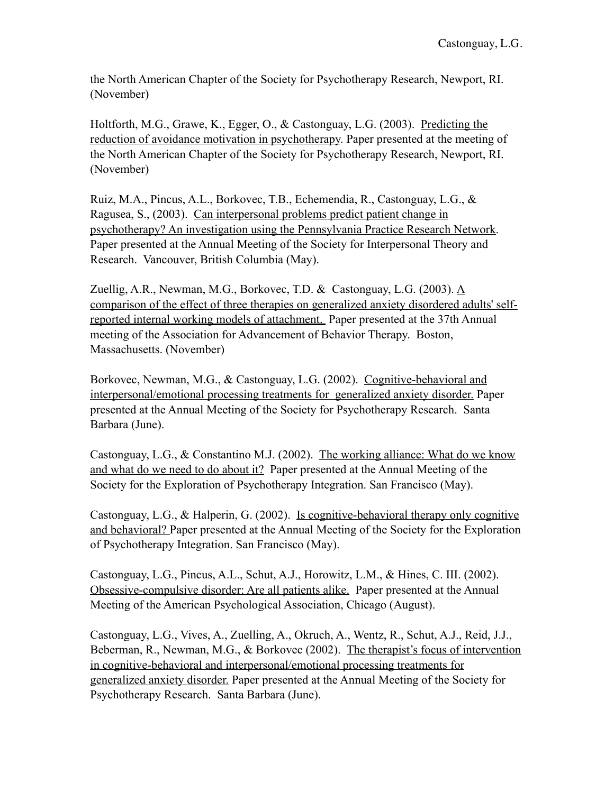the North American Chapter of the Society for Psychotherapy Research, Newport, RI. (November)

Holtforth, M.G., Grawe, K., Egger, O., & Castonguay, L.G. (2003). Predicting the reduction of avoidance motivation in psychotherapy. Paper presented at the meeting of the North American Chapter of the Society for Psychotherapy Research, Newport, RI. (November)

Ruiz, M.A., Pincus, A.L., Borkovec, T.B., Echemendia, R., Castonguay, L.G., & Ragusea, S., (2003). Can interpersonal problems predict patient change in psychotherapy? An investigation using the Pennsylvania Practice Research Network. Paper presented at the Annual Meeting of the Society for Interpersonal Theory and Research. Vancouver, British Columbia (May).

Zuellig, A.R., Newman, M.G., Borkovec, T.D. & Castonguay, L.G. (2003).  $\underline{A}$ comparison of the effect of three therapies on generalized anxiety disordered adults' selfreported internal working models of attachment. Paper presented at the 37th Annual meeting of the Association for Advancement of Behavior Therapy. Boston, Massachusetts. (November)

Borkovec, Newman, M.G., & Castonguay, L.G. (2002). Cognitive-behavioral and interpersonal/emotional processing treatments for generalized anxiety disorder. Paper presented at the Annual Meeting of the Society for Psychotherapy Research. Santa Barbara (June).

Castonguay, L.G., & Constantino M.J. (2002). The working alliance: What do we know and what do we need to do about it? Paper presented at the Annual Meeting of the Society for the Exploration of Psychotherapy Integration. San Francisco (May).

Castonguay, L.G., & Halperin, G. (2002). Is cognitive-behavioral therapy only cognitive and behavioral? Paper presented at the Annual Meeting of the Society for the Exploration of Psychotherapy Integration. San Francisco (May).

Castonguay, L.G., Pincus, A.L., Schut, A.J., Horowitz, L.M., & Hines, C. III. (2002). Obsessive-compulsive disorder: Are all patients alike. Paper presented at the Annual Meeting of the American Psychological Association, Chicago (August).

Castonguay, L.G., Vives, A., Zuelling, A., Okruch, A., Wentz, R., Schut, A.J., Reid, J.J., Beberman, R., Newman, M.G., & Borkovec (2002). The therapist's focus of intervention in cognitive-behavioral and interpersonal/emotional processing treatments for generalized anxiety disorder. Paper presented at the Annual Meeting of the Society for Psychotherapy Research. Santa Barbara (June).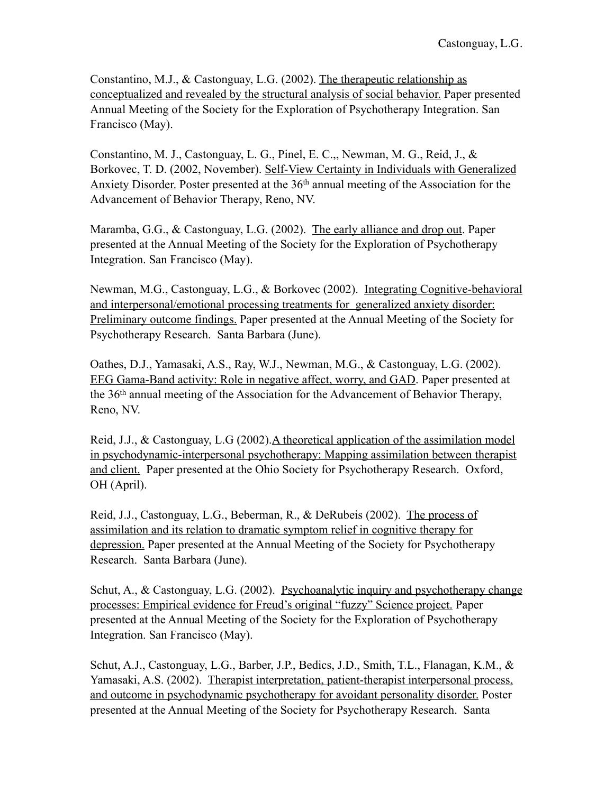Constantino, M.J., & Castonguay, L.G. (2002). The therapeutic relationship as conceptualized and revealed by the structural analysis of social behavior. Paper presented Annual Meeting of the Society for the Exploration of Psychotherapy Integration. San Francisco (May).

Constantino, M. J., Castonguay, L. G., Pinel, E. C.,, Newman, M. G., Reid, J., & Borkovec, T. D. (2002, November). Self-View Certainty in Individuals with Generalized Anxiety Disorder. Poster presented at the 36<sup>th</sup> annual meeting of the Association for the Advancement of Behavior Therapy, Reno, NV.

Maramba, G.G., & Castonguay, L.G. (2002). The early alliance and drop out. Paper presented at the Annual Meeting of the Society for the Exploration of Psychotherapy Integration. San Francisco (May).

Newman, M.G., Castonguay, L.G., & Borkovec (2002). Integrating Cognitive-behavioral and interpersonal/emotional processing treatments for generalized anxiety disorder: Preliminary outcome findings. Paper presented at the Annual Meeting of the Society for Psychotherapy Research. Santa Barbara (June).

Oathes, D.J., Yamasaki, A.S., Ray, W.J., Newman, M.G., & Castonguay, L.G. (2002). EEG Gama-Band activity: Role in negative affect, worry, and GAD. Paper presented at the 36th annual meeting of the Association for the Advancement of Behavior Therapy, Reno, NV.

Reid, J.J., & Castonguay, L.G (2002). A theoretical application of the assimilation model in psychodynamic-interpersonal psychotherapy: Mapping assimilation between therapist and client. Paper presented at the Ohio Society for Psychotherapy Research. Oxford, OH (April).

Reid, J.J., Castonguay, L.G., Beberman, R., & DeRubeis (2002). The process of assimilation and its relation to dramatic symptom relief in cognitive therapy for depression. Paper presented at the Annual Meeting of the Society for Psychotherapy Research. Santa Barbara (June).

Schut, A., & Castonguay, L.G. (2002). Psychoanalytic inquiry and psychotherapy change processes: Empirical evidence for Freud's original "fuzzy" Science project. Paper presented at the Annual Meeting of the Society for the Exploration of Psychotherapy Integration. San Francisco (May).

Schut, A.J., Castonguay, L.G., Barber, J.P., Bedics, J.D., Smith, T.L., Flanagan, K.M., & Yamasaki, A.S. (2002). Therapist interpretation, patient-therapist interpersonal process, and outcome in psychodynamic psychotherapy for avoidant personality disorder. Poster presented at the Annual Meeting of the Society for Psychotherapy Research. Santa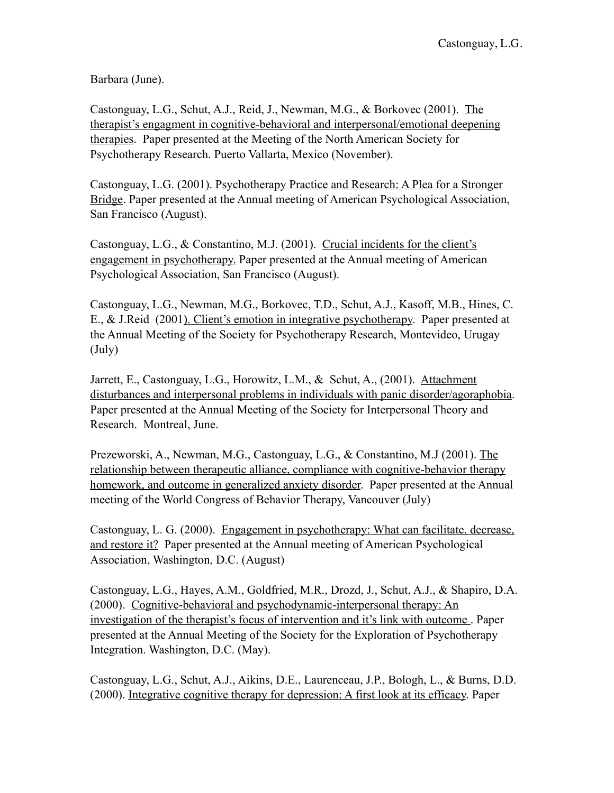Barbara (June).

Castonguay, L.G., Schut, A.J., Reid, J., Newman, M.G., & Borkovec (2001). The therapist's engagment in cognitive-behavioral and interpersonal/emotional deepening therapies. Paper presented at the Meeting of the North American Society for Psychotherapy Research. Puerto Vallarta, Mexico (November).

Castonguay, L.G. (2001). Psychotherapy Practice and Research: A Plea for a Stronger Bridge. Paper presented at the Annual meeting of American Psychological Association, San Francisco (August).

Castonguay, L.G., & Constantino, M.J. (2001). Crucial incidents for the client's engagement in psychotherapy. Paper presented at the Annual meeting of American Psychological Association, San Francisco (August).

Castonguay, L.G., Newman, M.G., Borkovec, T.D., Schut, A.J., Kasoff, M.B., Hines, C. E., & J.Reid (2001). Client's emotion in integrative psychotherapy. Paper presented at the Annual Meeting of the Society for Psychotherapy Research, Montevideo, Urugay (July)

Jarrett, E., Castonguay, L.G., Horowitz, L.M., & Schut, A., (2001). Attachment disturbances and interpersonal problems in individuals with panic disorder/agoraphobia. Paper presented at the Annual Meeting of the Society for Interpersonal Theory and Research. Montreal, June.

Prezeworski, A., Newman, M.G., Castonguay, L.G., & Constantino, M.J (2001). The relationship between therapeutic alliance, compliance with cognitive-behavior therapy homework, and outcome in generalized anxiety disorder. Paper presented at the Annual meeting of the World Congress of Behavior Therapy, Vancouver (July)

Castonguay, L. G. (2000). Engagement in psychotherapy: What can facilitate, decrease, and restore it? Paper presented at the Annual meeting of American Psychological Association, Washington, D.C. (August)

Castonguay, L.G., Hayes, A.M., Goldfried, M.R., Drozd, J., Schut, A.J., & Shapiro, D.A. (2000). Cognitive-behavioral and psychodynamic-interpersonal therapy: An investigation of the therapist's focus of intervention and it's link with outcome . Paper presented at the Annual Meeting of the Society for the Exploration of Psychotherapy Integration. Washington, D.C. (May).

Castonguay, L.G., Schut, A.J., Aikins, D.E., Laurenceau, J.P., Bologh, L., & Burns, D.D. (2000). Integrative cognitive therapy for depression: A first look at its efficacy. Paper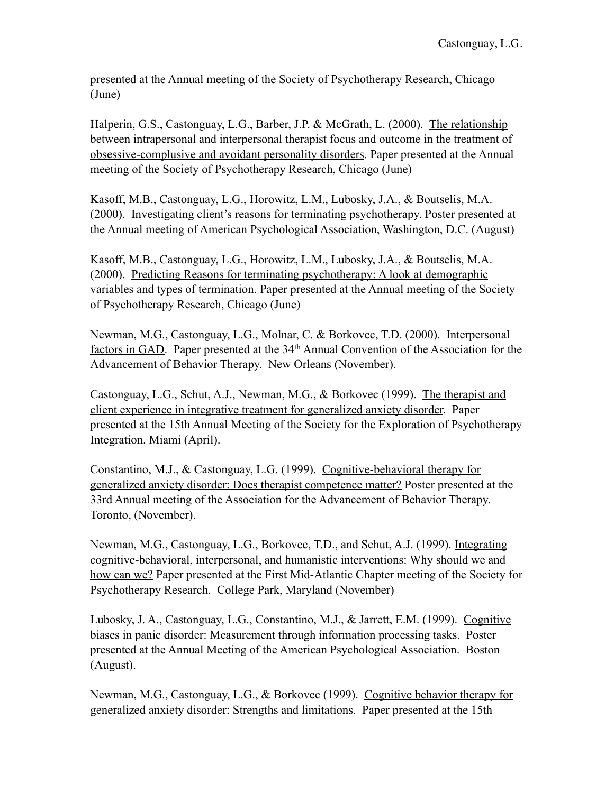presented at the Annual meeting of the Society of Psychotherapy Research, Chicago (June)

Halperin, G.S., Castonguay, L.G., Barber, J.P. & McGrath, L. (2000). The relationship between intrapersonal and interpersonal therapist focus and outcome in the treatment of obsessive-complusive and avoidant personality disorders. Paper presented at the Annual meeting of the Society of Psychotherapy Research, Chicago (June)

Kasoff, M.B., Castonguay, L.G., Horowitz, L.M., Lubosky, J.A., & Boutselis, M.A. (2000). Investigating client's reasons for terminating psychotherapy. Poster presented at the Annual meeting of American Psychological Association, Washington, D.C. (August)

Kasoff, M.B., Castonguay, L.G., Horowitz, L.M., Lubosky, J.A., & Boutselis, M.A. (2000). Predicting Reasons for terminating psychotherapy: A look at demographic variables and types of termination. Paper presented at the Annual meeting of the Society of Psychotherapy Research, Chicago (June)

Newman, M.G., Castonguay, L.G., Molnar, C. & Borkovec, T.D. (2000). Interpersonal factors in GAD. Paper presented at the 34<sup>th</sup> Annual Convention of the Association for the Advancement of Behavior Therapy. New Orleans (November).

Castonguay, L.G., Schut, A.J., Newman, M.G., & Borkovec (1999). The therapist and client experience in integrative treatment for generalized anxiety disorder. Paper presented at the 15th Annual Meeting of the Society for the Exploration of Psychotherapy Integration. Miami (April).

Constantino, M.J., & Castonguay, L.G. (1999). Cognitive-behavioral therapy for generalized anxiety disorder: Does therapist competence matter? Poster presented at the 33rd Annual meeting of the Association for the Advancement of Behavior Therapy. Toronto, (November).

Newman, M.G., Castonguay, L.G., Borkovec, T.D., and Schut, A.J. (1999). Integrating cognitive-behavioral, interpersonal, and humanistic interventions: Why should we and how can we? Paper presented at the First Mid-Atlantic Chapter meeting of the Society for Psychotherapy Research. College Park, Maryland (November)

Lubosky, J. A., Castonguay, L.G., Constantino, M.J., & Jarrett, E.M. (1999). Cognitive biases in panic disorder: Measurement through information processing tasks. Poster presented at the Annual Meeting of the American Psychological Association. Boston (August).

Newman, M.G., Castonguay, L.G., & Borkovec (1999). Cognitive behavior therapy for generalized anxiety disorder: Strengths and limitations. Paper presented at the 15th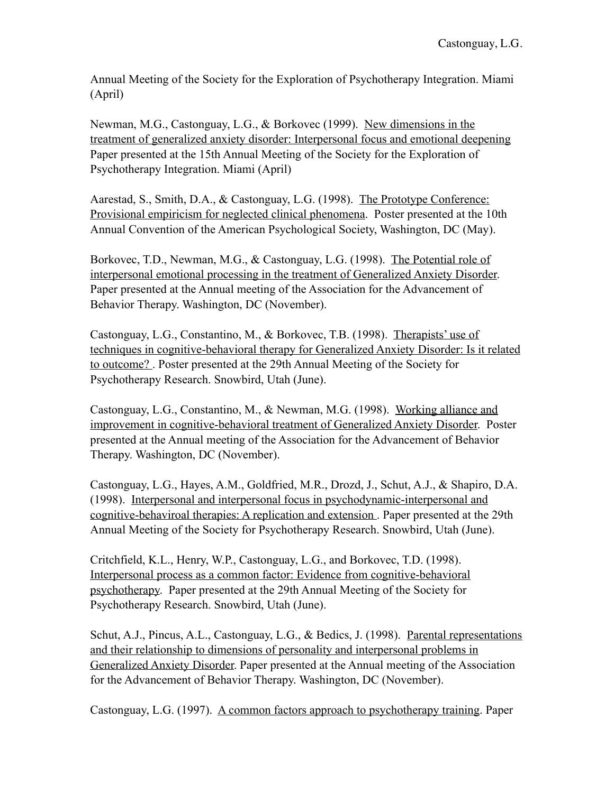Annual Meeting of the Society for the Exploration of Psychotherapy Integration. Miami (April)

Newman, M.G., Castonguay, L.G., & Borkovec (1999). New dimensions in the treatment of generalized anxiety disorder: Interpersonal focus and emotional deepening Paper presented at the 15th Annual Meeting of the Society for the Exploration of Psychotherapy Integration. Miami (April)

Aarestad, S., Smith, D.A., & Castonguay, L.G. (1998). The Prototype Conference: Provisional empiricism for neglected clinical phenomena. Poster presented at the 10th Annual Convention of the American Psychological Society, Washington, DC (May).

Borkovec, T.D., Newman, M.G., & Castonguay, L.G. (1998). The Potential role of interpersonal emotional processing in the treatment of Generalized Anxiety Disorder. Paper presented at the Annual meeting of the Association for the Advancement of Behavior Therapy. Washington, DC (November).

Castonguay, L.G., Constantino, M., & Borkovec, T.B. (1998). Therapists' use of techniques in cognitive-behavioral therapy for Generalized Anxiety Disorder: Is it related to outcome? . Poster presented at the 29th Annual Meeting of the Society for Psychotherapy Research. Snowbird, Utah (June).

Castonguay, L.G., Constantino, M., & Newman, M.G. (1998). Working alliance and improvement in cognitive-behavioral treatment of Generalized Anxiety Disorder. Poster presented at the Annual meeting of the Association for the Advancement of Behavior Therapy. Washington, DC (November).

Castonguay, L.G., Hayes, A.M., Goldfried, M.R., Drozd, J., Schut, A.J., & Shapiro, D.A. (1998). Interpersonal and interpersonal focus in psychodynamic-interpersonal and cognitive-behaviroal therapies: A replication and extension . Paper presented at the 29th Annual Meeting of the Society for Psychotherapy Research. Snowbird, Utah (June).

Critchfield, K.L., Henry, W.P., Castonguay, L.G., and Borkovec, T.D. (1998). Interpersonal process as a common factor: Evidence from cognitive-behavioral psychotherapy. Paper presented at the 29th Annual Meeting of the Society for Psychotherapy Research. Snowbird, Utah (June).

Schut, A.J., Pincus, A.L., Castonguay, L.G., & Bedics, J. (1998). Parental representations and their relationship to dimensions of personality and interpersonal problems in Generalized Anxiety Disorder. Paper presented at the Annual meeting of the Association for the Advancement of Behavior Therapy. Washington, DC (November).

Castonguay, L.G. (1997). A common factors approach to psychotherapy training. Paper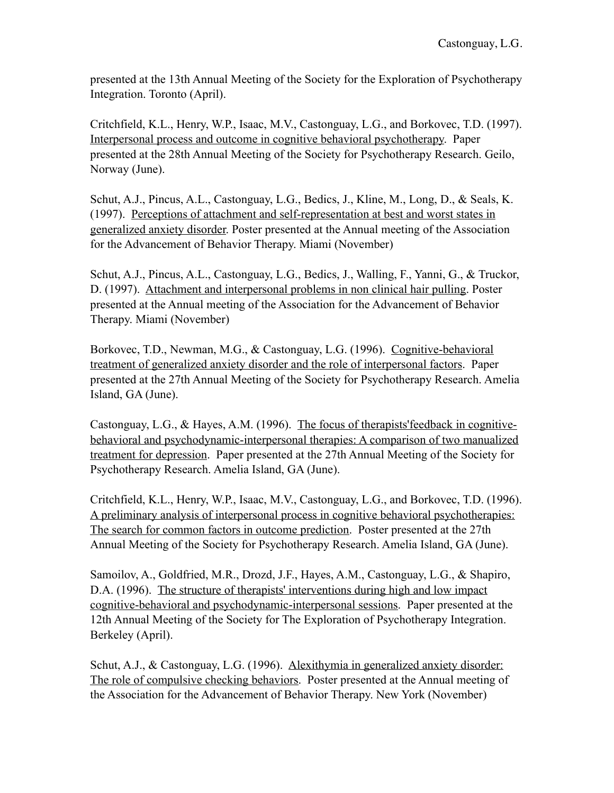presented at the 13th Annual Meeting of the Society for the Exploration of Psychotherapy Integration. Toronto (April).

Critchfield, K.L., Henry, W.P., Isaac, M.V., Castonguay, L.G., and Borkovec, T.D. (1997). Interpersonal process and outcome in cognitive behavioral psychotherapy. Paper presented at the 28th Annual Meeting of the Society for Psychotherapy Research. Geilo, Norway (June).

Schut, A.J., Pincus, A.L., Castonguay, L.G., Bedics, J., Kline, M., Long, D., & Seals, K. (1997). Perceptions of attachment and self-representation at best and worst states in generalized anxiety disorder. Poster presented at the Annual meeting of the Association for the Advancement of Behavior Therapy. Miami (November)

Schut, A.J., Pincus, A.L., Castonguay, L.G., Bedics, J., Walling, F., Yanni, G., & Truckor, D. (1997). Attachment and interpersonal problems in non clinical hair pulling. Poster presented at the Annual meeting of the Association for the Advancement of Behavior Therapy. Miami (November)

Borkovec, T.D., Newman, M.G., & Castonguay, L.G. (1996). Cognitive-behavioral treatment of generalized anxiety disorder and the role of interpersonal factors. Paper presented at the 27th Annual Meeting of the Society for Psychotherapy Research. Amelia Island, GA (June).

Castonguay, L.G., & Hayes, A.M. (1996). The focus of therapists'feedback in cognitivebehavioral and psychodynamic-interpersonal therapies: A comparison of two manualized treatment for depression. Paper presented at the 27th Annual Meeting of the Society for Psychotherapy Research. Amelia Island, GA (June).

Critchfield, K.L., Henry, W.P., Isaac, M.V., Castonguay, L.G., and Borkovec, T.D. (1996). A preliminary analysis of interpersonal process in cognitive behavioral psychotherapies: The search for common factors in outcome prediction. Poster presented at the 27th Annual Meeting of the Society for Psychotherapy Research. Amelia Island, GA (June).

Samoilov, A., Goldfried, M.R., Drozd, J.F., Hayes, A.M., Castonguay, L.G., & Shapiro, D.A. (1996). The structure of therapists' interventions during high and low impact cognitive-behavioral and psychodynamic-interpersonal sessions. Paper presented at the 12th Annual Meeting of the Society for The Exploration of Psychotherapy Integration. Berkeley (April).

Schut, A.J., & Castonguay, L.G. (1996). Alexithymia in generalized anxiety disorder: The role of compulsive checking behaviors. Poster presented at the Annual meeting of the Association for the Advancement of Behavior Therapy. New York (November)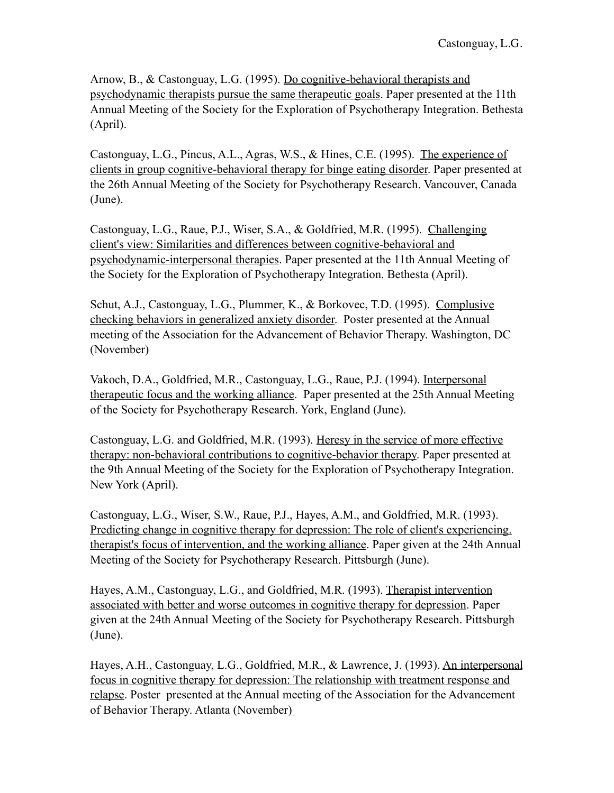Arnow, B., & Castonguay, L.G. (1995). Do cognitive-behavioral therapists and psychodynamic therapists pursue the same therapeutic goals. Paper presented at the 11th Annual Meeting of the Society for the Exploration of Psychotherapy Integration. Bethesta (April).

Castonguay, L.G., Pincus, A.L., Agras, W.S., & Hines, C.E. (1995). The experience of clients in group cognitive-behavioral therapy for binge eating disorder. Paper presented at the 26th Annual Meeting of the Society for Psychotherapy Research. Vancouver, Canada (June).

Castonguay, L.G., Raue, P.J., Wiser, S.A., & Goldfried, M.R. (1995). Challenging client's view: Similarities and differences between cognitive-behavioral and psychodynamic-interpersonal therapies. Paper presented at the 11th Annual Meeting of the Society for the Exploration of Psychotherapy Integration. Bethesta (April).

Schut, A.J., Castonguay, L.G., Plummer, K., & Borkovec, T.D. (1995). Complusive checking behaviors in generalized anxiety disorder. Poster presented at the Annual meeting of the Association for the Advancement of Behavior Therapy. Washington, DC (November)

Vakoch, D.A., Goldfried, M.R., Castonguay, L.G., Raue, P.J. (1994). Interpersonal therapeutic focus and the working alliance. Paper presented at the 25th Annual Meeting of the Society for Psychotherapy Research. York, England (June).

Castonguay, L.G. and Goldfried, M.R. (1993). Heresy in the service of more effective therapy: non-behavioral contributions to cognitive-behavior therapy. Paper presented at the 9th Annual Meeting of the Society for the Exploration of Psychotherapy Integration. New York (April).

Castonguay, L.G., Wiser, S.W., Raue, P.J., Hayes, A.M., and Goldfried, M.R. (1993). Predicting change in cognitive therapy for depression: The role of client's experiencing. therapist's focus of intervention, and the working alliance. Paper given at the 24th Annual Meeting of the Society for Psychotherapy Research. Pittsburgh (June).

Hayes, A.M., Castonguay, L.G., and Goldfried, M.R. (1993). Therapist intervention associated with better and worse outcomes in cognitive therapy for depression. Paper given at the 24th Annual Meeting of the Society for Psychotherapy Research. Pittsburgh (June).

Hayes, A.H., Castonguay, L.G., Goldfried, M.R., & Lawrence, J. (1993). An interpersonal focus in cognitive therapy for depression: The relationship with treatment response and relapse. Poster presented at the Annual meeting of the Association for the Advancement of Behavior Therapy. Atlanta (November)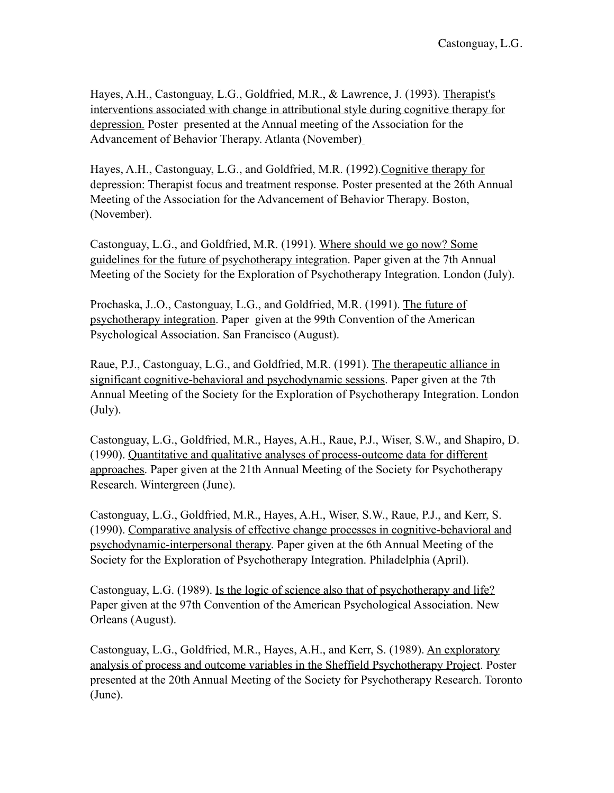Hayes, A.H., Castonguay, L.G., Goldfried, M.R., & Lawrence, J. (1993). Therapist's interventions associated with change in attributional style during cognitive therapy for depression. Poster presented at the Annual meeting of the Association for the Advancement of Behavior Therapy. Atlanta (November)

Hayes, A.H., Castonguay, L.G., and Goldfried, M.R. (1992).Cognitive therapy for depression: Therapist focus and treatment response. Poster presented at the 26th Annual Meeting of the Association for the Advancement of Behavior Therapy. Boston, (November).

Castonguay, L.G., and Goldfried, M.R. (1991). Where should we go now? Some guidelines for the future of psychotherapy integration. Paper given at the 7th Annual Meeting of the Society for the Exploration of Psychotherapy Integration. London (July).

Prochaska, J..O., Castonguay, L.G., and Goldfried, M.R. (1991). The future of psychotherapy integration. Paper given at the 99th Convention of the American Psychological Association. San Francisco (August).

Raue, P.J., Castonguay, L.G., and Goldfried, M.R. (1991). The therapeutic alliance in significant cognitive-behavioral and psychodynamic sessions. Paper given at the 7th Annual Meeting of the Society for the Exploration of Psychotherapy Integration. London (July).

Castonguay, L.G., Goldfried, M.R., Hayes, A.H., Raue, P.J., Wiser, S.W., and Shapiro, D. (1990). Quantitative and qualitative analyses of process-outcome data for different approaches. Paper given at the 21th Annual Meeting of the Society for Psychotherapy Research. Wintergreen (June).

Castonguay, L.G., Goldfried, M.R., Hayes, A.H., Wiser, S.W., Raue, P.J., and Kerr, S. (1990). Comparative analysis of effective change processes in cognitive-behavioral and psychodynamic-interpersonal therapy. Paper given at the 6th Annual Meeting of the Society for the Exploration of Psychotherapy Integration. Philadelphia (April).

Castonguay, L.G. (1989). Is the logic of science also that of psychotherapy and life? Paper given at the 97th Convention of the American Psychological Association. New Orleans (August).

Castonguay, L.G., Goldfried, M.R., Hayes, A.H., and Kerr, S. (1989). An exploratory analysis of process and outcome variables in the Sheffield Psychotherapy Project. Poster presented at the 20th Annual Meeting of the Society for Psychotherapy Research. Toronto (June).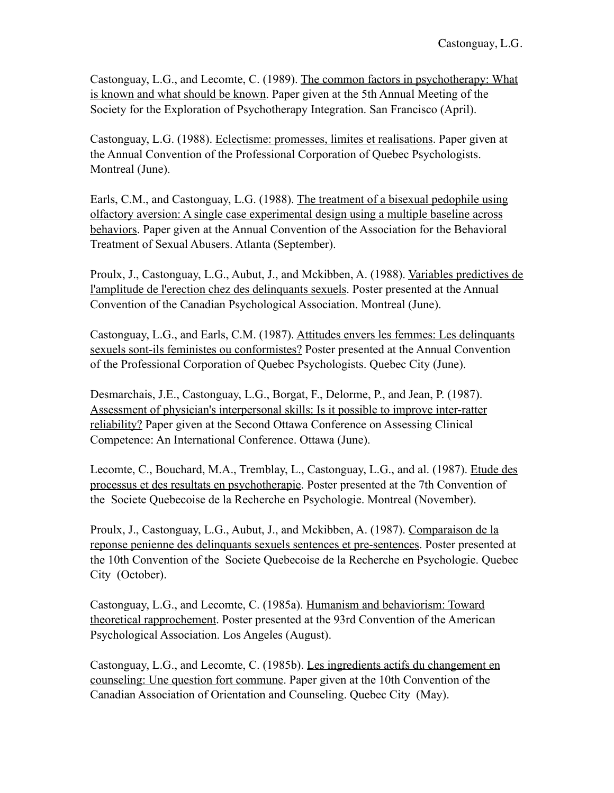Castonguay, L.G., and Lecomte, C. (1989). The common factors in psychotherapy: What is known and what should be known. Paper given at the 5th Annual Meeting of the Society for the Exploration of Psychotherapy Integration. San Francisco (April).

Castonguay, L.G. (1988). Eclectisme: promesses, limites et realisations. Paper given at the Annual Convention of the Professional Corporation of Quebec Psychologists. Montreal (June).

Earls, C.M., and Castonguay, L.G. (1988). The treatment of a bisexual pedophile using olfactory aversion: A single case experimental design using a multiple baseline across behaviors. Paper given at the Annual Convention of the Association for the Behavioral Treatment of Sexual Abusers. Atlanta (September).

Proulx, J., Castonguay, L.G., Aubut, J., and Mckibben, A. (1988). Variables predictives de l'amplitude de l'erection chez des delinquants sexuels. Poster presented at the Annual Convention of the Canadian Psychological Association. Montreal (June).

Castonguay, L.G., and Earls, C.M. (1987). Attitudes envers les femmes: Les delinquants sexuels sont-ils feministes ou conformistes? Poster presented at the Annual Convention of the Professional Corporation of Quebec Psychologists. Quebec City (June).

Desmarchais, J.E., Castonguay, L.G., Borgat, F., Delorme, P., and Jean, P. (1987). Assessment of physician's interpersonal skills: Is it possible to improve inter-ratter reliability? Paper given at the Second Ottawa Conference on Assessing Clinical Competence: An International Conference. Ottawa (June).

Lecomte, C., Bouchard, M.A., Tremblay, L., Castonguay, L.G., and al. (1987). Etude des processus et des resultats en psychotherapie. Poster presented at the 7th Convention of the Societe Quebecoise de la Recherche en Psychologie. Montreal (November).

Proulx, J., Castonguay, L.G., Aubut, J., and Mckibben, A. (1987). Comparaison de la reponse penienne des delinquants sexuels sentences et pre-sentences. Poster presented at the 10th Convention of the Societe Quebecoise de la Recherche en Psychologie. Quebec City (October).

Castonguay, L.G., and Lecomte, C. (1985a). Humanism and behaviorism: Toward theoretical rapprochement. Poster presented at the 93rd Convention of the American Psychological Association. Los Angeles (August).

Castonguay, L.G., and Lecomte, C. (1985b). Les ingredients actifs du changement en counseling: Une question fort commune. Paper given at the 10th Convention of the Canadian Association of Orientation and Counseling. Quebec City (May).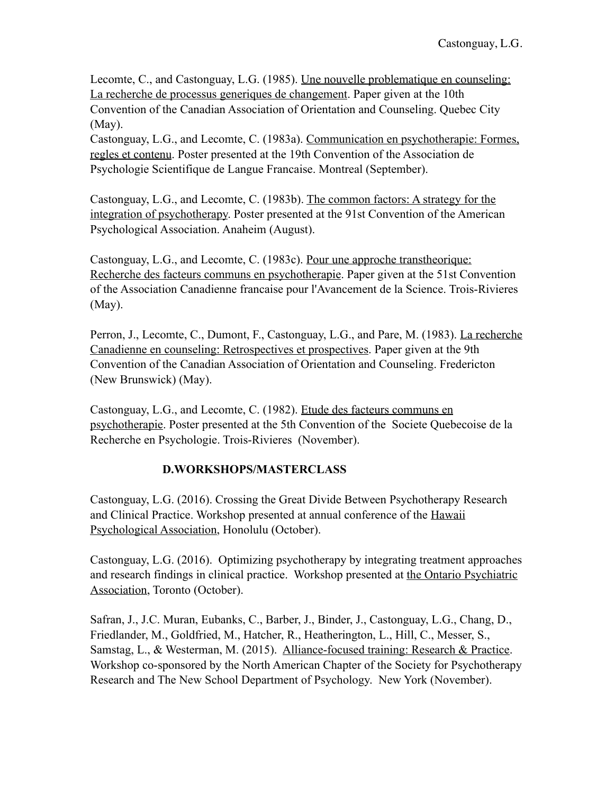Lecomte, C., and Castonguay, L.G. (1985). Une nouvelle problematique en counseling: La recherche de processus generiques de changement. Paper given at the 10th Convention of the Canadian Association of Orientation and Counseling. Quebec City (May).

Castonguay, L.G., and Lecomte, C. (1983a). Communication en psychotherapie: Formes, regles et contenu. Poster presented at the 19th Convention of the Association de Psychologie Scientifique de Langue Francaise. Montreal (September).

Castonguay, L.G., and Lecomte, C. (1983b). The common factors: A strategy for the integration of psychotherapy. Poster presented at the 91st Convention of the American Psychological Association. Anaheim (August).

Castonguay, L.G., and Lecomte, C. (1983c). Pour une approche transtheorique: Recherche des facteurs communs en psychotherapie. Paper given at the 51st Convention of the Association Canadienne francaise pour l'Avancement de la Science. Trois-Rivieres (May).

Perron, J., Lecomte, C., Dumont, F., Castonguay, L.G., and Pare, M. (1983). La recherche Canadienne en counseling: Retrospectives et prospectives. Paper given at the 9th Convention of the Canadian Association of Orientation and Counseling. Fredericton (New Brunswick) (May).

Castonguay, L.G., and Lecomte, C. (1982). Etude des facteurs communs en psychotherapie. Poster presented at the 5th Convention of the Societe Quebecoise de la Recherche en Psychologie. Trois-Rivieres (November).

# **D.WORKSHOPS/MASTERCLASS**

Castonguay, L.G. (2016). Crossing the Great Divide Between Psychotherapy Research and Clinical Practice. Workshop presented at annual conference of the Hawaii Psychological Association, Honolulu (October).

Castonguay, L.G. (2016). Optimizing psychotherapy by integrating treatment approaches and research findings in clinical practice. Workshop presented at the Ontario Psychiatric Association, Toronto (October).

Safran, J., J.C. Muran, Eubanks, C., Barber, J., Binder, J., Castonguay, L.G., Chang, D., Friedlander, M., Goldfried, M., Hatcher, R., Heatherington, L., Hill, C., Messer, S., Samstag, L., & Westerman, M. (2015). Alliance-focused training: Research & Practice. Workshop co-sponsored by the North American Chapter of the Society for Psychotherapy Research and The New School Department of Psychology. New York (November).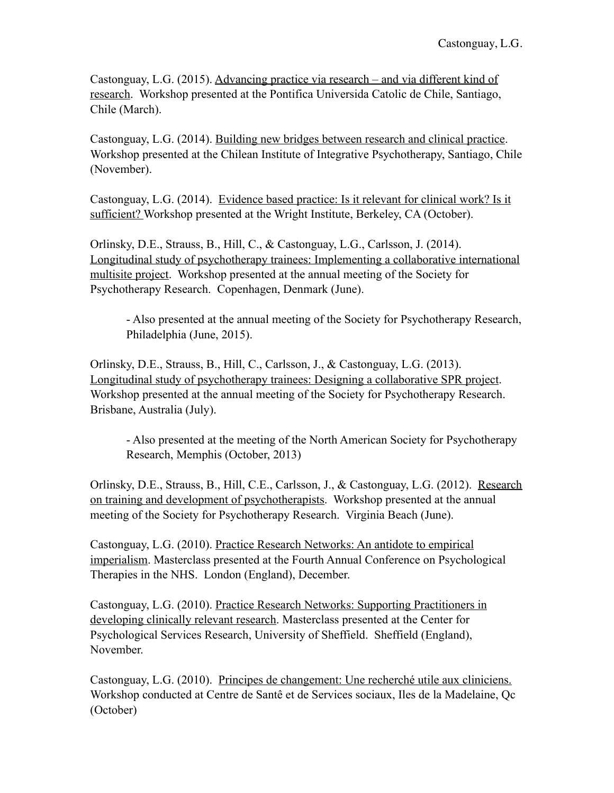Castonguay, L.G. (2015). Advancing practice via research – and via different kind of research. Workshop presented at the Pontifica Universida Catolic de Chile, Santiago, Chile (March).

Castonguay, L.G. (2014). Building new bridges between research and clinical practice. Workshop presented at the Chilean Institute of Integrative Psychotherapy, Santiago, Chile (November).

Castonguay, L.G. (2014). Evidence based practice: Is it relevant for clinical work? Is it sufficient? Workshop presented at the Wright Institute, Berkeley, CA (October).

Orlinsky, D.E., Strauss, B., Hill, C., & Castonguay, L.G., Carlsson, J. (2014). Longitudinal study of psychotherapy trainees: Implementing a collaborative international multisite project. Workshop presented at the annual meeting of the Society for Psychotherapy Research. Copenhagen, Denmark (June).

- Also presented at the annual meeting of the Society for Psychotherapy Research, Philadelphia (June, 2015).

Orlinsky, D.E., Strauss, B., Hill, C., Carlsson, J., & Castonguay, L.G. (2013). Longitudinal study of psychotherapy trainees: Designing a collaborative SPR project. Workshop presented at the annual meeting of the Society for Psychotherapy Research. Brisbane, Australia (July).

- Also presented at the meeting of the North American Society for Psychotherapy Research, Memphis (October, 2013)

Orlinsky, D.E., Strauss, B., Hill, C.E., Carlsson, J., & Castonguay, L.G. (2012). Research on training and development of psychotherapists. Workshop presented at the annual meeting of the Society for Psychotherapy Research. Virginia Beach (June).

Castonguay, L.G. (2010). Practice Research Networks: An antidote to empirical imperialism. Masterclass presented at the Fourth Annual Conference on Psychological Therapies in the NHS. London (England), December.

Castonguay, L.G. (2010). Practice Research Networks: Supporting Practitioners in developing clinically relevant research. Masterclass presented at the Center for Psychological Services Research, University of Sheffield. Sheffield (England), November.

Castonguay, L.G. (2010). Principes de changement: Une recherché utile aux cliniciens. Workshop conducted at Centre de Santê et de Services sociaux, Iles de la Madelaine, Qc (October)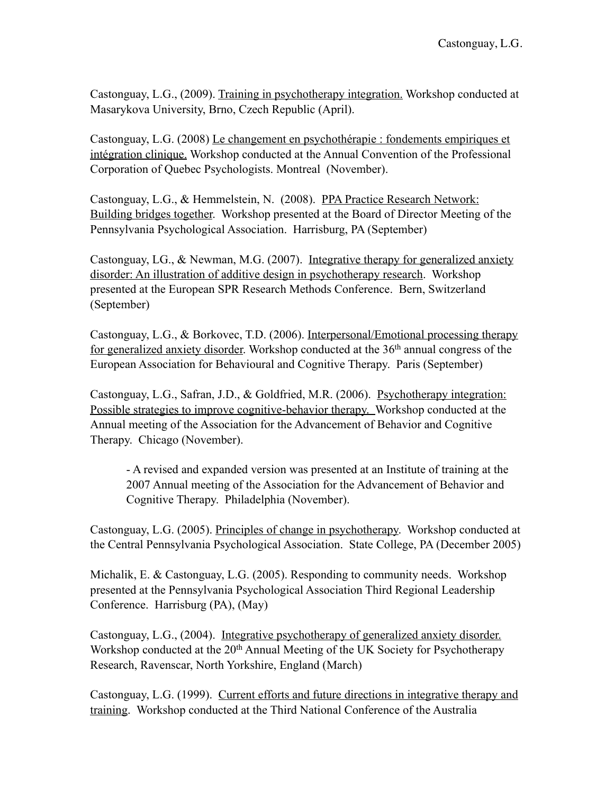Castonguay, L.G., (2009). Training in psychotherapy integration. Workshop conducted at Masarykova University, Brno, Czech Republic (April).

Castonguay, L.G. (2008) Le changement en psychothérapie : fondements empiriques et intégration clinique. Workshop conducted at the Annual Convention of the Professional Corporation of Quebec Psychologists. Montreal (November).

Castonguay, L.G., & Hemmelstein, N. (2008). PPA Practice Research Network: Building bridges together. Workshop presented at the Board of Director Meeting of the Pennsylvania Psychological Association. Harrisburg, PA (September)

Castonguay, LG., & Newman, M.G. (2007). Integrative therapy for generalized anxiety disorder: An illustration of additive design in psychotherapy research. Workshop presented at the European SPR Research Methods Conference. Bern, Switzerland (September)

Castonguay, L.G., & Borkovec, T.D. (2006). Interpersonal/Emotional processing therapy for generalized anxiety disorder. Workshop conducted at the 36<sup>th</sup> annual congress of the European Association for Behavioural and Cognitive Therapy. Paris (September)

Castonguay, L.G., Safran, J.D., & Goldfried, M.R. (2006). Psychotherapy integration: Possible strategies to improve cognitive-behavior therapy. Workshop conducted at the Annual meeting of the Association for the Advancement of Behavior and Cognitive Therapy. Chicago (November).

- A revised and expanded version was presented at an Institute of training at the 2007 Annual meeting of the Association for the Advancement of Behavior and Cognitive Therapy. Philadelphia (November).

Castonguay, L.G. (2005). Principles of change in psychotherapy. Workshop conducted at the Central Pennsylvania Psychological Association. State College, PA (December 2005)

Michalik, E. & Castonguay, L.G. (2005). Responding to community needs. Workshop presented at the Pennsylvania Psychological Association Third Regional Leadership Conference. Harrisburg (PA), (May)

Castonguay, L.G., (2004). Integrative psychotherapy of generalized anxiety disorder. Workshop conducted at the 20<sup>th</sup> Annual Meeting of the UK Society for Psychotherapy Research, Ravenscar, North Yorkshire, England (March)

Castonguay, L.G. (1999). Current efforts and future directions in integrative therapy and training. Workshop conducted at the Third National Conference of the Australia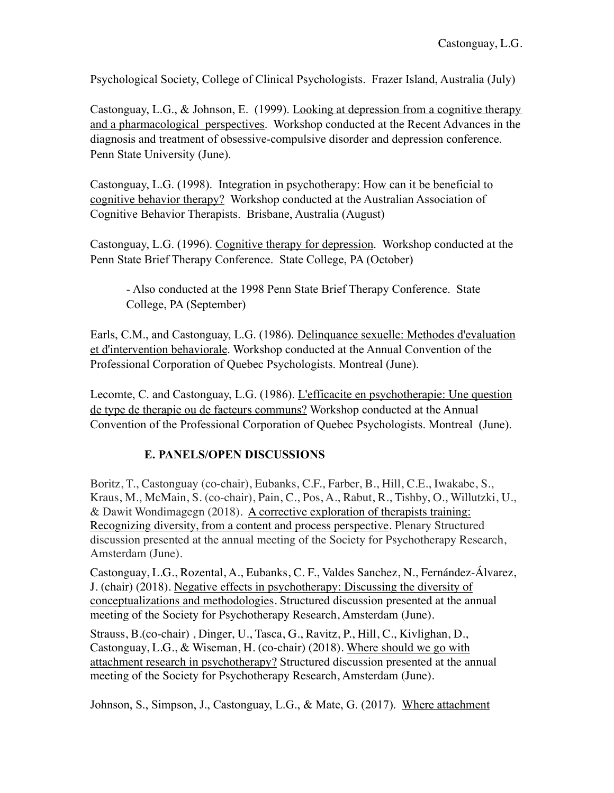Psychological Society, College of Clinical Psychologists. Frazer Island, Australia (July)

Castonguay, L.G., & Johnson, E. (1999). Looking at depression from a cognitive therapy and a pharmacological perspectives. Workshop conducted at the Recent Advances in the diagnosis and treatment of obsessive-compulsive disorder and depression conference. Penn State University (June).

Castonguay, L.G. (1998). Integration in psychotherapy: How can it be beneficial to cognitive behavior therapy? Workshop conducted at the Australian Association of Cognitive Behavior Therapists. Brisbane, Australia (August)

Castonguay, L.G. (1996). Cognitive therapy for depression. Workshop conducted at the Penn State Brief Therapy Conference. State College, PA (October)

- Also conducted at the 1998 Penn State Brief Therapy Conference. State College, PA (September)

Earls, C.M., and Castonguay, L.G. (1986). Delinquance sexuelle: Methodes d'evaluation et d'intervention behaviorale. Workshop conducted at the Annual Convention of the Professional Corporation of Quebec Psychologists. Montreal (June).

Lecomte, C. and Castonguay, L.G. (1986). L'efficacite en psychotherapie: Une question de type de therapie ou de facteurs communs? Workshop conducted at the Annual Convention of the Professional Corporation of Quebec Psychologists. Montreal (June).

## **E. PANELS/OPEN DISCUSSIONS**

Boritz, T., Castonguay (co-chair), Eubanks, C.F., Farber, B., Hill, C.E., Iwakabe, S., Kraus, M., McMain, S. (co-chair), Pain, C., Pos, A., Rabut, R., Tishby, O., Willutzki, U., & Dawit Wondimagegn (2018). A corrective exploration of therapists training: Recognizing diversity, from a content and process perspective. Plenary Structured discussion presented at the annual meeting of the Society for Psychotherapy Research, Amsterdam (June).

Castonguay, L.G., Rozental, A., Eubanks, C. F., Valdes Sanchez, N., Fernández-Álvarez, J. (chair) (2018). Negative effects in psychotherapy: Discussing the diversity of conceptualizations and methodologies. Structured discussion presented at the annual meeting of the Society for Psychotherapy Research, Amsterdam (June).

Strauss, B.(co-chair) , Dinger, U., Tasca, G., Ravitz, P., Hill, C., Kivlighan, D., Castonguay, L.G., & Wiseman, H. (co-chair) (2018). Where should we go with attachment research in psychotherapy? Structured discussion presented at the annual meeting of the Society for Psychotherapy Research, Amsterdam (June).

Johnson, S., Simpson, J., Castonguay, L.G., & Mate, G. (2017). Where attachment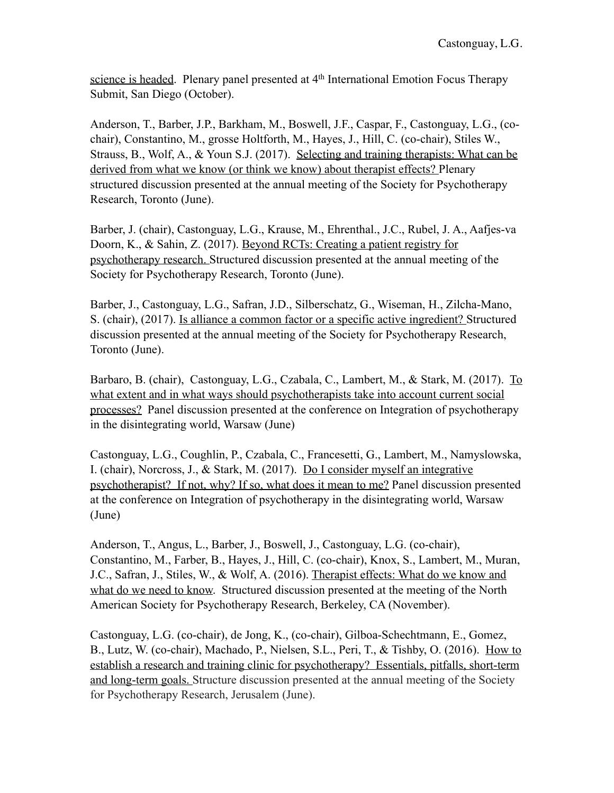science is headed. Plenary panel presented at 4<sup>th</sup> International Emotion Focus Therapy Submit, San Diego (October).

Anderson, T., Barber, J.P., Barkham, M., Boswell, J.F., Caspar, F., Castonguay, L.G., (cochair), Constantino, M., grosse Holtforth, M., Hayes, J., Hill, C. (co-chair), Stiles W., Strauss, B., Wolf, A., & Youn S.J. (2017). Selecting and training therapists: What can be derived from what we know (or think we know) about therapist effects? Plenary structured discussion presented at the annual meeting of the Society for Psychotherapy Research, Toronto (June).

Barber, J. (chair), Castonguay, L.G., Krause, M., Ehrenthal., J.C., Rubel, J. A., Aafjes-va Doorn, K., & Sahin, Z. (2017). Beyond RCTs: Creating a patient registry for psychotherapy research. Structured discussion presented at the annual meeting of the Society for Psychotherapy Research, Toronto (June).

Barber, J., Castonguay, L.G., Safran, J.D., Silberschatz, G., Wiseman, H., Zilcha-Mano, S. (chair), (2017). Is alliance a common factor or a specific active ingredient? Structured discussion presented at the annual meeting of the Society for Psychotherapy Research, Toronto (June).

Barbaro, B. (chair), Castonguay, L.G., Czabala, C., Lambert, M., & Stark, M. (2017). To what extent and in what ways should psychotherapists take into account current social processes? Panel discussion presented at the conference on Integration of psychotherapy in the disintegrating world, Warsaw (June)

Castonguay, L.G., Coughlin, P., Czabala, C., Francesetti, G., Lambert, M., Namyslowska, I. (chair), Norcross, J., & Stark, M. (2017). Do I consider myself an integrative psychotherapist? If not, why? If so, what does it mean to me? Panel discussion presented at the conference on Integration of psychotherapy in the disintegrating world, Warsaw (June)

Anderson, T., Angus, L., Barber, J., Boswell, J., Castonguay, L.G. (co-chair), Constantino, M., Farber, B., Hayes, J., Hill, C. (co-chair), Knox, S., Lambert, M., Muran, J.C., Safran, J., Stiles, W., & Wolf, A. (2016). Therapist effects: What do we know and what do we need to know. Structured discussion presented at the meeting of the North American Society for Psychotherapy Research, Berkeley, CA (November).

Castonguay, L.G. (co-chair), de Jong, K., (co-chair), Gilboa-Schechtmann, E., Gomez, B., Lutz, W. (co-chair), Machado, P., Nielsen, S.L., Peri, T., & Tishby, O. (2016). How to establish a research and training clinic for psychotherapy? Essentials, pitfalls, short-term and long-term goals. Structure discussion presented at the annual meeting of the Society for Psychotherapy Research, Jerusalem (June).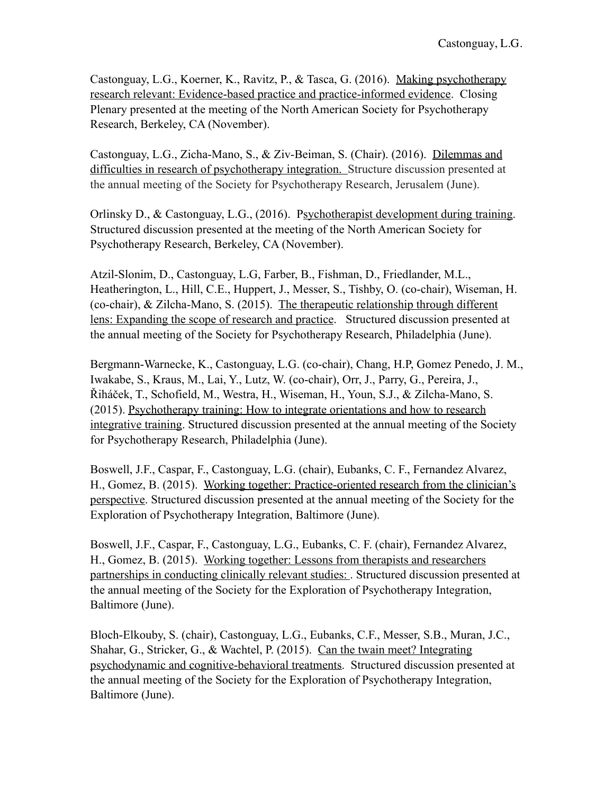Castonguay, L.G., Koerner, K., Ravitz, P., & Tasca, G. (2016). Making psychotherapy research relevant: Evidence-based practice and practice-informed evidence. Closing Plenary presented at the meeting of the North American Society for Psychotherapy Research, Berkeley, CA (November).

Castonguay, L.G., Zicha-Mano, S., & Ziv-Beiman, S. (Chair). (2016). Dilemmas and difficulties in research of psychotherapy integration. Structure discussion presented at the annual meeting of the Society for Psychotherapy Research, Jerusalem (June).

Orlinsky D., & Castonguay, L.G., (2016). Psychotherapist development during training. Structured discussion presented at the meeting of the North American Society for Psychotherapy Research, Berkeley, CA (November).

Atzil-Slonim, D., Castonguay, L.G, Farber, B., Fishman, D., Friedlander, M.L., Heatherington, L., Hill, C.E., Huppert, J., Messer, S., Tishby, O. (co-chair), Wiseman, H. (co-chair), & Zilcha-Mano, S. (2015). The therapeutic relationship through different lens: Expanding the scope of research and practice. Structured discussion presented at the annual meeting of the Society for Psychotherapy Research, Philadelphia (June).

Bergmann-Warnecke, K., Castonguay, L.G. (co-chair), Chang, H.P, Gomez Penedo, J. M., Iwakabe, S., Kraus, M., Lai, Y., Lutz, W. (co-chair), Orr, J., Parry, G., Pereira, J., Řiháček, T., Schofield, M., Westra, H., Wiseman, H., Youn, S.J., & Zilcha-Mano, S. (2015). Psychotherapy training: How to integrate orientations and how to research integrative training. Structured discussion presented at the annual meeting of the Society for Psychotherapy Research, Philadelphia (June).

Boswell, J.F., Caspar, F., Castonguay, L.G. (chair), Eubanks, C. F., Fernandez Alvarez, H., Gomez, B. (2015). Working together: Practice-oriented research from the clinician's perspective. Structured discussion presented at the annual meeting of the Society for the Exploration of Psychotherapy Integration, Baltimore (June).

Boswell, J.F., Caspar, F., Castonguay, L.G., Eubanks, C. F. (chair), Fernandez Alvarez, H., Gomez, B. (2015). Working together: Lessons from therapists and researchers partnerships in conducting clinically relevant studies: . Structured discussion presented at the annual meeting of the Society for the Exploration of Psychotherapy Integration, Baltimore (June).

Bloch-Elkouby, S. (chair), Castonguay, L.G., Eubanks, C.F., Messer, S.B., Muran, J.C., Shahar, G., Stricker, G., & Wachtel, P. (2015). Can the twain meet? Integrating psychodynamic and cognitive-behavioral treatments. Structured discussion presented at the annual meeting of the Society for the Exploration of Psychotherapy Integration, Baltimore (June).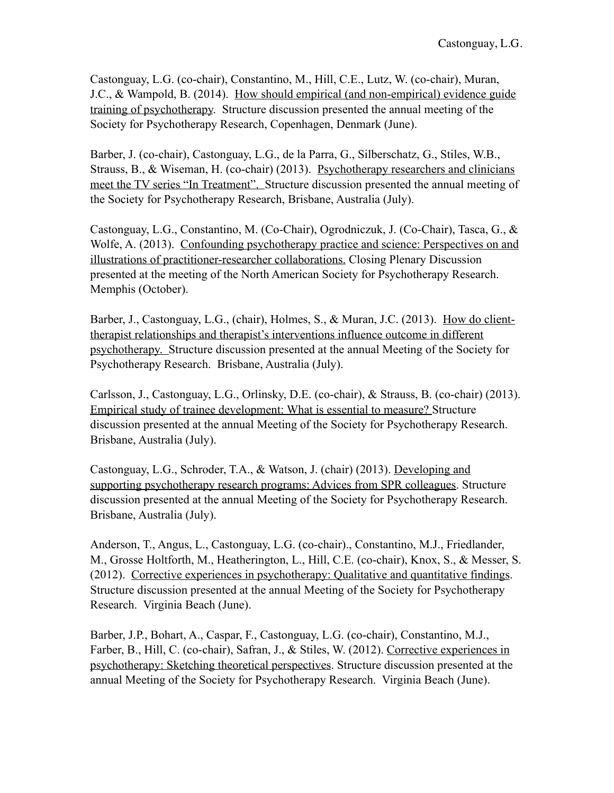Castonguay, L.G. (co-chair), Constantino, M., Hill, C.E., Lutz, W. (co-chair), Muran, J.C., & Wampold, B. (2014). How should empirical (and non-empirical) evidence guide training of psychotherapy. Structure discussion presented the annual meeting of the Society for Psychotherapy Research, Copenhagen, Denmark (June).

Barber, J. (co-chair), Castonguay, L.G., de la Parra, G., Silberschatz, G., Stiles, W.B., Strauss, B., & Wiseman, H. (co-chair) (2013). Psychotherapy researchers and clinicians meet the TV series "In Treatment". Structure discussion presented the annual meeting of the Society for Psychotherapy Research, Brisbane, Australia (July).

Castonguay, L.G., Constantino, M. (Co-Chair), Ogrodniczuk, J. (Co-Chair), Tasca, G., & Wolfe, A. (2013). Confounding psychotherapy practice and science: Perspectives on and illustrations of practitioner-researcher collaborations. Closing Plenary Discussion presented at the meeting of the North American Society for Psychotherapy Research. Memphis (October).

Barber, J., Castonguay, L.G., (chair), Holmes, S., & Muran, J.C. (2013). How do clienttherapist relationships and therapist's interventions influence outcome in different psychotherapy. Structure discussion presented at the annual Meeting of the Society for Psychotherapy Research. Brisbane, Australia (July).

Carlsson, J., Castonguay, L.G., Orlinsky, D.E. (co-chair), & Strauss, B. (co-chair) (2013). Empirical study of trainee development: What is essential to measure? Structure discussion presented at the annual Meeting of the Society for Psychotherapy Research. Brisbane, Australia (July).

Castonguay, L.G., Schroder, T.A., & Watson, J. (chair) (2013). Developing and supporting psychotherapy research programs: Advices from SPR colleagues. Structure discussion presented at the annual Meeting of the Society for Psychotherapy Research. Brisbane, Australia (July).

Anderson, T., Angus, L., Castonguay, L.G. (co-chair)., Constantino, M.J., Friedlander, M., Grosse Holtforth, M., Heatherington, L., Hill, C.E. (co-chair), Knox, S., & Messer, S. (2012). Corrective experiences in psychotherapy: Qualitative and quantitative findings. Structure discussion presented at the annual Meeting of the Society for Psychotherapy Research. Virginia Beach (June).

Barber, J.P., Bohart, A., Caspar, F., Castonguay, L.G. (co-chair), Constantino, M.J., Farber, B., Hill, C. (co-chair), Safran, J., & Stiles, W. (2012). Corrective experiences in psychotherapy: Sketching theoretical perspectives. Structure discussion presented at the annual Meeting of the Society for Psychotherapy Research. Virginia Beach (June).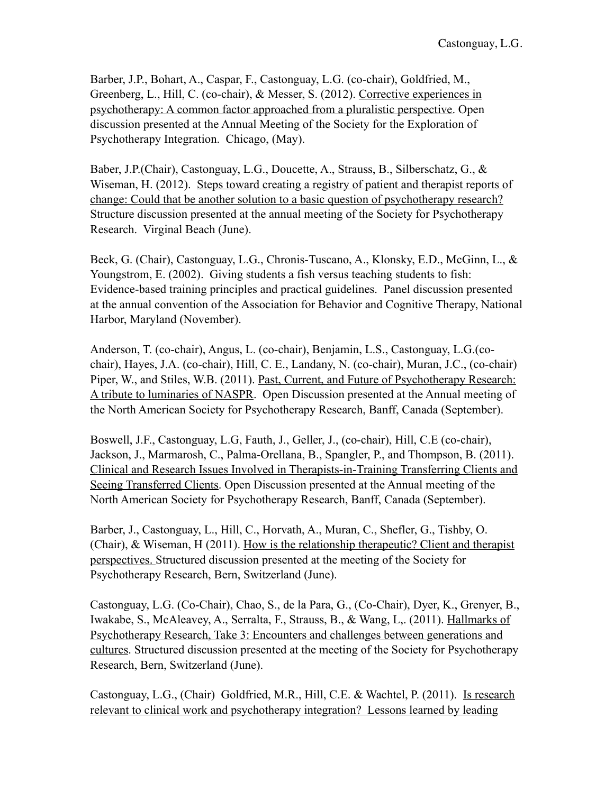Barber, J.P., Bohart, A., Caspar, F., Castonguay, L.G. (co-chair), Goldfried, M., Greenberg, L., Hill, C. (co-chair), & Messer, S. (2012). Corrective experiences in psychotherapy: A common factor approached from a pluralistic perspective. Open discussion presented at the Annual Meeting of the Society for the Exploration of Psychotherapy Integration. Chicago, (May).

Baber, J.P.(Chair), Castonguay, L.G., Doucette, A., Strauss, B., Silberschatz, G., & Wiseman, H. (2012). Steps toward creating a registry of patient and therapist reports of change: Could that be another solution to a basic question of psychotherapy research? Structure discussion presented at the annual meeting of the Society for Psychotherapy Research. Virginal Beach (June).

Beck, G. (Chair), Castonguay, L.G., Chronis-Tuscano, A., Klonsky, E.D., McGinn, L., & Youngstrom, E. (2002). Giving students a fish versus teaching students to fish: Evidence-based training principles and practical guidelines. Panel discussion presented at the annual convention of the Association for Behavior and Cognitive Therapy, National Harbor, Maryland (November).

Anderson, T. (co-chair), Angus, L. (co-chair), Benjamin, L.S., Castonguay, L.G.(cochair), Hayes, J.A. (co-chair), Hill, C. E., Landany, N. (co-chair), Muran, J.C., (co-chair) Piper, W., and Stiles, W.B. (2011). Past, Current, and Future of Psychotherapy Research: A tribute to luminaries of NASPR. Open Discussion presented at the Annual meeting of the North American Society for Psychotherapy Research, Banff, Canada (September).

Boswell, J.F., Castonguay, L.G, Fauth, J., Geller, J., (co-chair), Hill, C.E (co-chair), Jackson, J., Marmarosh, C., Palma-Orellana, B., Spangler, P., and Thompson, B. (2011). Clinical and Research Issues Involved in Therapists-in-Training Transferring Clients and Seeing Transferred Clients. Open Discussion presented at the Annual meeting of the North American Society for Psychotherapy Research, Banff, Canada (September).

Barber, J., Castonguay, L., Hill, C., Horvath, A., Muran, C., Shefler, G., Tishby, O. (Chair), & Wiseman, H (2011). How is the relationship therapeutic? Client and therapist perspectives. Structured discussion presented at the meeting of the Society for Psychotherapy Research, Bern, Switzerland (June).

Castonguay, L.G. (Co-Chair), Chao, S., de la Para, G., (Co-Chair), Dyer, K., Grenyer, B., Iwakabe, S., McAleavey, A., Serralta, F., Strauss, B., & Wang, L,. (2011). Hallmarks of Psychotherapy Research, Take 3: Encounters and challenges between generations and cultures. Structured discussion presented at the meeting of the Society for Psychotherapy Research, Bern, Switzerland (June).

Castonguay, L.G., (Chair) Goldfried, M.R., Hill, C.E. & Wachtel, P. (2011). Is research relevant to clinical work and psychotherapy integration? Lessons learned by leading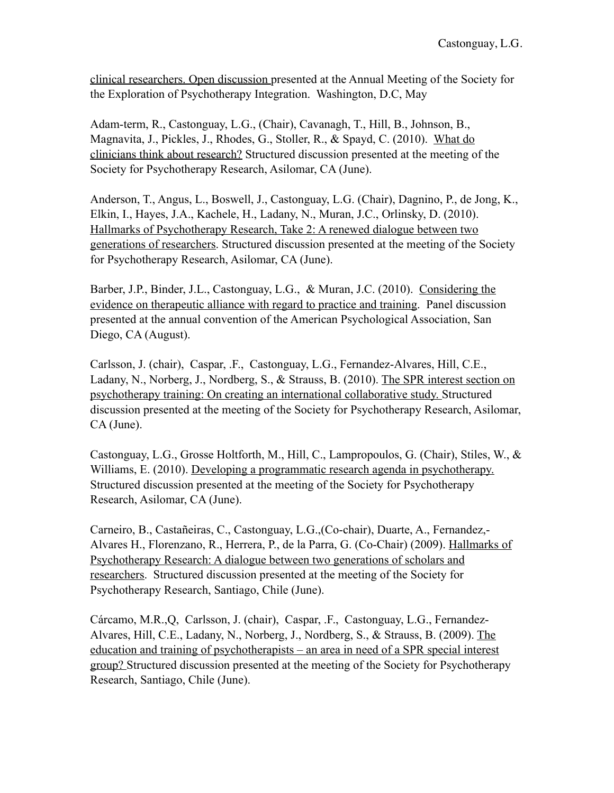clinical researchers. Open discussion presented at the Annual Meeting of the Society for the Exploration of Psychotherapy Integration. Washington, D.C, May

Adam-term, R., Castonguay, L.G., (Chair), Cavanagh, T., Hill, B., Johnson, B., Magnavita, J., Pickles, J., Rhodes, G., Stoller, R., & Spayd, C. (2010). What do clinicians think about research? Structured discussion presented at the meeting of the Society for Psychotherapy Research, Asilomar, CA (June).

Anderson, T., Angus, L., Boswell, J., Castonguay, L.G. (Chair), Dagnino, P., de Jong, K., Elkin, I., Hayes, J.A., Kachele, H., Ladany, N., Muran, J.C., Orlinsky, D. (2010). Hallmarks of Psychotherapy Research, Take 2: A renewed dialogue between two generations of researchers. Structured discussion presented at the meeting of the Society for Psychotherapy Research, Asilomar, CA (June).

Barber, J.P., Binder, J.L., Castonguay, L.G., & Muran, J.C. (2010). Considering the evidence on therapeutic alliance with regard to practice and training. Panel discussion presented at the annual convention of the American Psychological Association, San Diego, CA (August).

Carlsson, J. (chair), Caspar, .F., Castonguay, L.G., Fernandez-Alvares, Hill, C.E., Ladany, N., Norberg, J., Nordberg, S., & Strauss, B. (2010). The SPR interest section on psychotherapy training: On creating an international collaborative study. Structured discussion presented at the meeting of the Society for Psychotherapy Research, Asilomar, CA (June).

Castonguay, L.G., Grosse Holtforth, M., Hill, C., Lampropoulos, G. (Chair), Stiles, W., & Williams, E. (2010). Developing a programmatic research agenda in psychotherapy. Structured discussion presented at the meeting of the Society for Psychotherapy Research, Asilomar, CA (June).

Carneiro, B., Castañeiras, C., Castonguay, L.G.,(Co-chair), Duarte, A., Fernandez,- Alvares H., Florenzano, R., Herrera, P., de la Parra, G. (Co-Chair) (2009). Hallmarks of Psychotherapy Research: A dialogue between two generations of scholars and researchers. Structured discussion presented at the meeting of the Society for Psychotherapy Research, Santiago, Chile (June).

Cárcamo, M.R.,Q, Carlsson, J. (chair), Caspar, .F., Castonguay, L.G., Fernandez-Alvares, Hill, C.E., Ladany, N., Norberg, J., Nordberg, S., & Strauss, B. (2009). The education and training of psychotherapists – an area in need of a SPR special interest group? Structured discussion presented at the meeting of the Society for Psychotherapy Research, Santiago, Chile (June).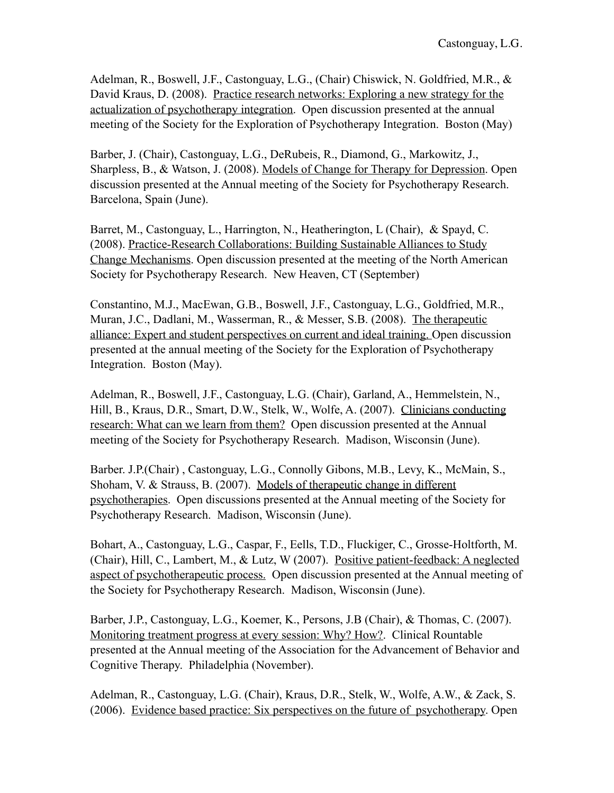Adelman, R., Boswell, J.F., Castonguay, L.G., (Chair) Chiswick, N. Goldfried, M.R., & David Kraus, D. (2008). Practice research networks: Exploring a new strategy for the actualization of psychotherapy integration. Open discussion presented at the annual meeting of the Society for the Exploration of Psychotherapy Integration. Boston (May)

Barber, J. (Chair), Castonguay, L.G., DeRubeis, R., Diamond, G., Markowitz, J., Sharpless, B., & Watson, J. (2008). Models of Change for Therapy for Depression. Open discussion presented at the Annual meeting of the Society for Psychotherapy Research. Barcelona, Spain (June).

Barret, M., Castonguay, L., Harrington, N., Heatherington, L (Chair), & Spayd, C. (2008). Practice-Research Collaborations: Building Sustainable Alliances to Study Change Mechanisms. Open discussion presented at the meeting of the North American Society for Psychotherapy Research. New Heaven, CT (September)

Constantino, M.J., MacEwan, G.B., Boswell, J.F., Castonguay, L.G., Goldfried, M.R., Muran, J.C., Dadlani, M., Wasserman, R., & Messer, S.B. (2008). The therapeutic alliance: Expert and student perspectives on current and ideal training. Open discussion presented at the annual meeting of the Society for the Exploration of Psychotherapy Integration. Boston (May).

Adelman, R., Boswell, J.F., Castonguay, L.G. (Chair), Garland, A., Hemmelstein, N., Hill, B., Kraus, D.R., Smart, D.W., Stelk, W., Wolfe, A. (2007). Clinicians conducting research: What can we learn from them? Open discussion presented at the Annual meeting of the Society for Psychotherapy Research. Madison, Wisconsin (June).

Barber. J.P.(Chair) , Castonguay, L.G., Connolly Gibons, M.B., Levy, K., McMain, S., Shoham, V. & Strauss, B. (2007). Models of therapeutic change in different psychotherapies. Open discussions presented at the Annual meeting of the Society for Psychotherapy Research. Madison, Wisconsin (June).

Bohart, A., Castonguay, L.G., Caspar, F., Eells, T.D., Fluckiger, C., Grosse-Holtforth, M. (Chair), Hill, C., Lambert, M., & Lutz, W (2007). Positive patient-feedback: A neglected aspect of psychotherapeutic process. Open discussion presented at the Annual meeting of the Society for Psychotherapy Research. Madison, Wisconsin (June).

Barber, J.P., Castonguay, L.G., Koemer, K., Persons, J.B (Chair), & Thomas, C. (2007). Monitoring treatment progress at every session: Why? How?. Clinical Rountable presented at the Annual meeting of the Association for the Advancement of Behavior and Cognitive Therapy. Philadelphia (November).

Adelman, R., Castonguay, L.G. (Chair), Kraus, D.R., Stelk, W., Wolfe, A.W., & Zack, S. (2006). Evidence based practice: Six perspectives on the future of psychotherapy. Open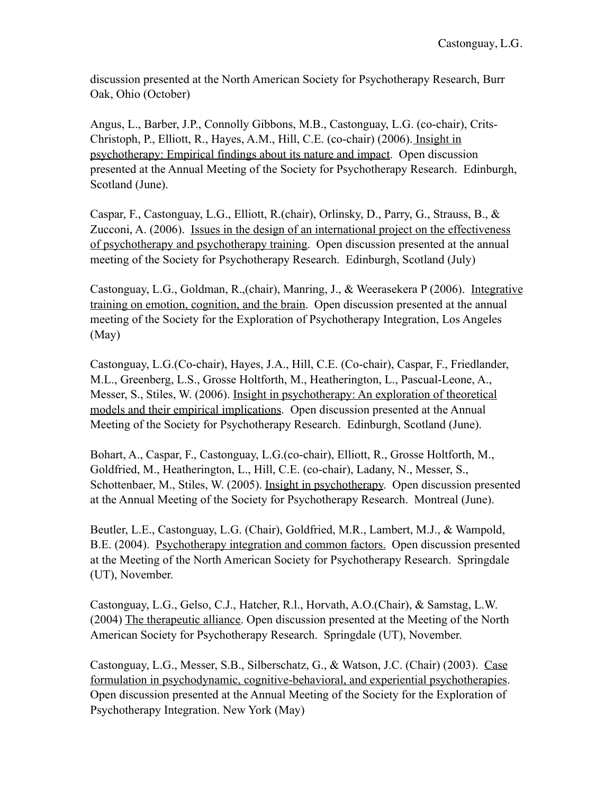discussion presented at the North American Society for Psychotherapy Research, Burr Oak, Ohio (October)

Angus, L., Barber, J.P., Connolly Gibbons, M.B., Castonguay, L.G. (co-chair), Crits-Christoph, P., Elliott, R., Hayes, A.M., Hill, C.E. (co-chair) (2006). Insight in psychotherapy: Empirical findings about its nature and impact. Open discussion presented at the Annual Meeting of the Society for Psychotherapy Research. Edinburgh, Scotland (June).

Caspar, F., Castonguay, L.G., Elliott, R.(chair), Orlinsky, D., Parry, G., Strauss, B., & Zucconi, A. (2006). Issues in the design of an international project on the effectiveness of psychotherapy and psychotherapy training. Open discussion presented at the annual meeting of the Society for Psychotherapy Research. Edinburgh, Scotland (July)

Castonguay, L.G., Goldman, R.,(chair), Manring, J., & Weerasekera P (2006). Integrative training on emotion, cognition, and the brain. Open discussion presented at the annual meeting of the Society for the Exploration of Psychotherapy Integration, Los Angeles (May)

Castonguay, L.G.(Co-chair), Hayes, J.A., Hill, C.E. (Co-chair), Caspar, F., Friedlander, M.L., Greenberg, L.S., Grosse Holtforth, M., Heatherington, L., Pascual-Leone, A., Messer, S., Stiles, W. (2006). Insight in psychotherapy: An exploration of theoretical models and their empirical implications. Open discussion presented at the Annual Meeting of the Society for Psychotherapy Research. Edinburgh, Scotland (June).

Bohart, A., Caspar, F., Castonguay, L.G.(co-chair), Elliott, R., Grosse Holtforth, M., Goldfried, M., Heatherington, L., Hill, C.E. (co-chair), Ladany, N., Messer, S., Schottenbaer, M., Stiles, W. (2005). Insight in psychotherapy. Open discussion presented at the Annual Meeting of the Society for Psychotherapy Research. Montreal (June).

Beutler, L.E., Castonguay, L.G. (Chair), Goldfried, M.R., Lambert, M.J., & Wampold, B.E. (2004). Psychotherapy integration and common factors. Open discussion presented at the Meeting of the North American Society for Psychotherapy Research. Springdale (UT), November.

Castonguay, L.G., Gelso, C.J., Hatcher, R.l., Horvath, A.O.(Chair), & Samstag, L.W. (2004) The therapeutic alliance. Open discussion presented at the Meeting of the North American Society for Psychotherapy Research. Springdale (UT), November.

Castonguay, L.G., Messer, S.B., Silberschatz, G., & Watson, J.C. (Chair) (2003). Case formulation in psychodynamic, cognitive-behavioral, and experiential psychotherapies. Open discussion presented at the Annual Meeting of the Society for the Exploration of Psychotherapy Integration. New York (May)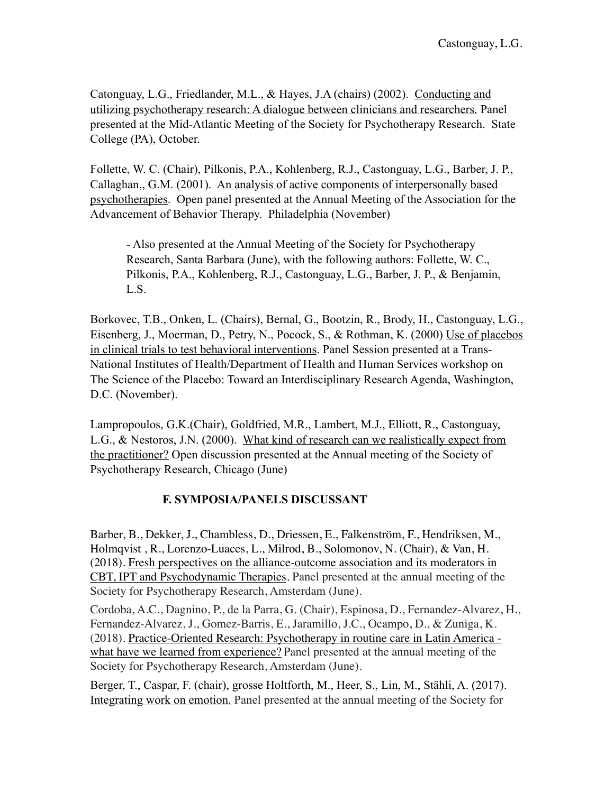Catonguay, L.G., Friedlander, M.L., & Hayes, J.A (chairs) (2002). Conducting and utilizing psychotherapy research: A dialogue between clinicians and researchers. Panel presented at the Mid-Atlantic Meeting of the Society for Psychotherapy Research. State College (PA), October.

Follette, W. C. (Chair), Pilkonis, P.A., Kohlenberg, R.J., Castonguay, L.G., Barber, J. P., Callaghan,, G.M. (2001). An analysis of active components of interpersonally based psychotherapies. Open panel presented at the Annual Meeting of the Association for the Advancement of Behavior Therapy. Philadelphia (November)

- Also presented at the Annual Meeting of the Society for Psychotherapy Research, Santa Barbara (June), with the following authors: Follette, W. C., Pilkonis, P.A., Kohlenberg, R.J., Castonguay, L.G., Barber, J. P., & Benjamin, L.S.

Borkovec, T.B., Onken, L. (Chairs), Bernal, G., Bootzin, R., Brody, H., Castonguay, L.G., Eisenberg, J., Moerman, D., Petry, N., Pocock, S., & Rothman, K. (2000) Use of placebos in clinical trials to test behavioral interventions. Panel Session presented at a Trans-National Institutes of Health/Department of Health and Human Services workshop on The Science of the Placebo: Toward an Interdisciplinary Research Agenda, Washington, D.C. (November).

Lampropoulos, G.K.(Chair), Goldfried, M.R., Lambert, M.J., Elliott, R., Castonguay, L.G., & Nestoros, J.N. (2000). What kind of research can we realistically expect from the practitioner? Open discussion presented at the Annual meeting of the Society of Psychotherapy Research, Chicago (June)

## **F. SYMPOSIA/PANELS DISCUSSANT**

Barber, B., Dekker, J., Chambless, D., Driessen, E., Falkenström, F., Hendriksen, M., Holmqvist , R., Lorenzo-Luaces, L., Milrod, B., Solomonov, N. (Chair), & Van, H. (2018). Fresh perspectives on the alliance-outcome association and its moderators in CBT, IPT and Psychodynamic Therapies. Panel presented at the annual meeting of the Society for Psychotherapy Research, Amsterdam (June).

Cordoba, A.C., Dagnino, P., de la Parra, G. (Chair), Espinosa, D., Fernandez-Alvarez, H., Fernandez-Alvarez, J., Gomez-Barris, E., Jaramillo, J.C., Ocampo, D., & Zuniga, K. (2018). Practice-Oriented Research: Psychotherapy in routine care in Latin America what have we learned from experience? Panel presented at the annual meeting of the Society for Psychotherapy Research, Amsterdam (June).

Berger, T., Caspar, F. (chair), grosse Holtforth, M., Heer, S., Lin, M., Stähli, A. (2017). Integrating work on emotion. Panel presented at the annual meeting of the Society for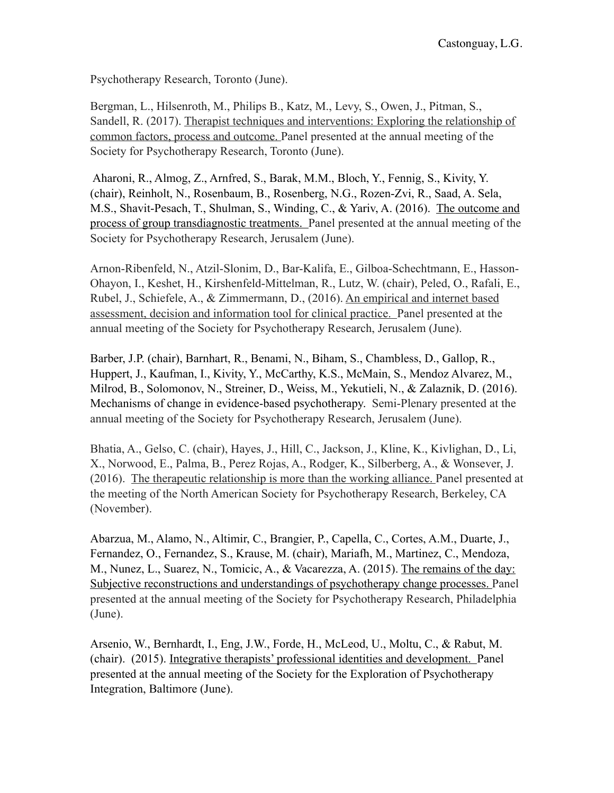Psychotherapy Research, Toronto (June).

Bergman, L., Hilsenroth, M., Philips B., Katz, M., Levy, S., Owen, J., Pitman, S., Sandell, R. (2017). Therapist techniques and interventions: Exploring the relationship of common factors, process and outcome. Panel presented at the annual meeting of the Society for Psychotherapy Research, Toronto (June).

 Aharoni, R., Almog, Z., Arnfred, S., Barak, M.M., Bloch, Y., Fennig, S., Kivity, Y. (chair), Reinholt, N., Rosenbaum, B., Rosenberg, N.G., Rozen-Zvi, R., Saad, A. Sela, M.S., Shavit-Pesach, T., Shulman, S., Winding, C., & Yariv, A. (2016). The outcome and process of group transdiagnostic treatments. Panel presented at the annual meeting of the Society for Psychotherapy Research, Jerusalem (June).

Arnon-Ribenfeld, N., Atzil-Slonim, D., Bar-Kalifa, E., Gilboa-Schechtmann, E., Hasson-Ohayon, I., Keshet, H., Kirshenfeld-Mittelman, R., Lutz, W. (chair), Peled, O., Rafali, E., Rubel, J., Schiefele, A., & Zimmermann, D., (2016). An empirical and internet based assessment, decision and information tool for clinical practice. Panel presented at the annual meeting of the Society for Psychotherapy Research, Jerusalem (June).

Barber, J.P. (chair), Barnhart, R., Benami, N., Biham, S., Chambless, D., Gallop, R., Huppert, J., Kaufman, I., Kivity, Y., McCarthy, K.S., McMain, S., Mendoz Alvarez, M., Milrod, B., Solomonov, N., Streiner, D., Weiss, M., Yekutieli, N., & Zalaznik, D. (2016). Mechanisms of change in evidence-based psychotherapy. Semi-Plenary presented at the annual meeting of the Society for Psychotherapy Research, Jerusalem (June).

Bhatia, A., Gelso, C. (chair), Hayes, J., Hill, C., Jackson, J., Kline, K., Kivlighan, D., Li, X., Norwood, E., Palma, B., Perez Rojas, A., Rodger, K., Silberberg, A., & Wonsever, J. (2016). The therapeutic relationship is more than the working alliance. Panel presented at the meeting of the North American Society for Psychotherapy Research, Berkeley, CA (November).

Abarzua, M., Alamo, N., Altimir, C., Brangier, P., Capella, C., Cortes, A.M., Duarte, J., Fernandez, O., Fernandez, S., Krause, M. (chair), Mariafh, M., Martinez, C., Mendoza, M., Nunez, L., Suarez, N., Tomicic, A., & Vacarezza, A. (2015). The remains of the day: Subjective reconstructions and understandings of psychotherapy change processes. Panel presented at the annual meeting of the Society for Psychotherapy Research, Philadelphia (June).

Arsenio, W., Bernhardt, I., Eng, J.W., Forde, H., McLeod, U., Moltu, C., & Rabut, M. (chair). (2015). Integrative therapists' professional identities and development. Panel presented at the annual meeting of the Society for the Exploration of Psychotherapy Integration, Baltimore (June).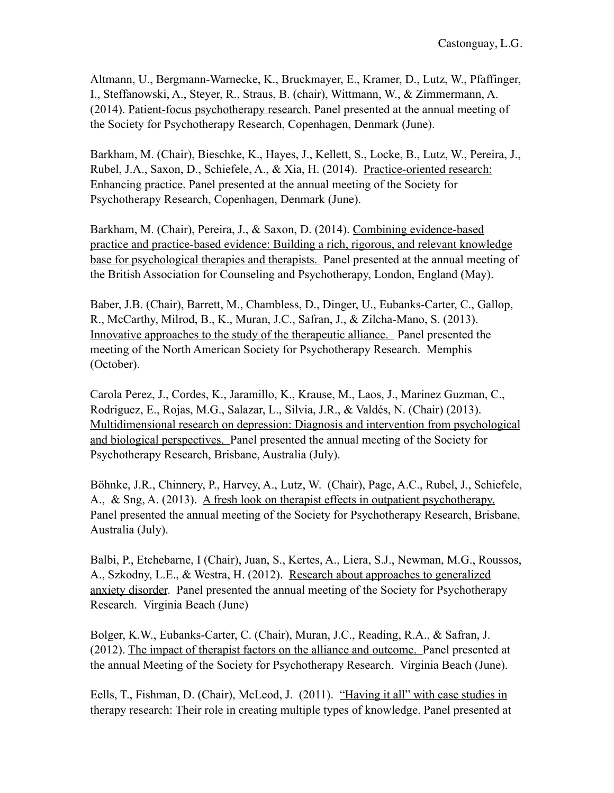Altmann, U., Bergmann-Warnecke, K., Bruckmayer, E., Kramer, D., Lutz, W., Pfaffinger, I., Steffanowski, A., Steyer, R., Straus, B. (chair), Wittmann, W., & Zimmermann, A. (2014). Patient-focus psychotherapy research. Panel presented at the annual meeting of the Society for Psychotherapy Research, Copenhagen, Denmark (June).

Barkham, M. (Chair), Bieschke, K., Hayes, J., Kellett, S., Locke, B., Lutz, W., Pereira, J., Rubel, J.A., Saxon, D., Schiefele, A., & Xia, H. (2014). Practice-oriented research: Enhancing practice. Panel presented at the annual meeting of the Society for Psychotherapy Research, Copenhagen, Denmark (June).

Barkham, M. (Chair), Pereira, J., & Saxon, D. (2014). Combining evidence-based practice and practice-based evidence: Building a rich, rigorous, and relevant knowledge base for psychological therapies and therapists. Panel presented at the annual meeting of the British Association for Counseling and Psychotherapy, London, England (May).

Baber, J.B. (Chair), Barrett, M., Chambless, D., Dinger, U., Eubanks-Carter, C., Gallop, R., McCarthy, Milrod, B., K., Muran, J.C., Safran, J., & Zilcha-Mano, S. (2013). Innovative approaches to the study of the therapeutic alliance. Panel presented the meeting of the North American Society for Psychotherapy Research. Memphis (October).

Carola Perez, J., Cordes, K., Jaramillo, K., Krause, M., Laos, J., Marinez Guzman, C., Rodriguez, E., Rojas, M.G., Salazar, L., Silvia, J.R., & Valdés, N. (Chair) (2013). Multidimensional research on depression: Diagnosis and intervention from psychological and biological perspectives. Panel presented the annual meeting of the Society for Psychotherapy Research, Brisbane, Australia (July).

Böhnke, J.R., Chinnery, P., Harvey, A., Lutz, W. (Chair), Page, A.C., Rubel, J., Schiefele, A., & Sng, A. (2013). A fresh look on therapist effects in outpatient psychotherapy. Panel presented the annual meeting of the Society for Psychotherapy Research, Brisbane, Australia (July).

Balbi, P., Etchebarne, I (Chair), Juan, S., Kertes, A., Liera, S.J., Newman, M.G., Roussos, A., Szkodny, L.E., & Westra, H. (2012). Research about approaches to generalized anxiety disorder. Panel presented the annual meeting of the Society for Psychotherapy Research. Virginia Beach (June)

Bolger, K.W., Eubanks-Carter, C. (Chair), Muran, J.C., Reading, R.A., & Safran, J. (2012). The impact of therapist factors on the alliance and outcome. Panel presented at the annual Meeting of the Society for Psychotherapy Research. Virginia Beach (June).

Eells, T., Fishman, D. (Chair), McLeod, J. (2011). "Having it all" with case studies in therapy research: Their role in creating multiple types of knowledge. Panel presented at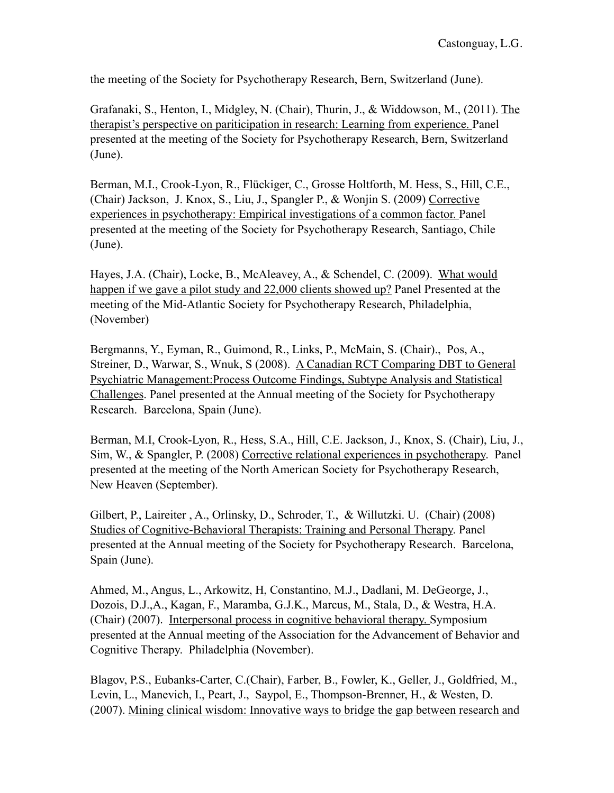the meeting of the Society for Psychotherapy Research, Bern, Switzerland (June).

Grafanaki, S., Henton, I., Midgley, N. (Chair), Thurin, J., & Widdowson, M., (2011). The therapist's perspective on pariticipation in research: Learning from experience. Panel presented at the meeting of the Society for Psychotherapy Research, Bern, Switzerland (June).

Berman, M.I., Crook-Lyon, R., Flückiger, C., Grosse Holtforth, M. Hess, S., Hill, C.E., (Chair) Jackson, J. Knox, S., Liu, J., Spangler P., & Wonjin S. (2009) Corrective experiences in psychotherapy: Empirical investigations of a common factor. Panel presented at the meeting of the Society for Psychotherapy Research, Santiago, Chile (June).

Hayes, J.A. (Chair), Locke, B., McAleavey, A., & Schendel, C. (2009). What would happen if we gave a pilot study and 22,000 clients showed up? Panel Presented at the meeting of the Mid-Atlantic Society for Psychotherapy Research, Philadelphia, (November)

Bergmanns, Y., Eyman, R., Guimond, R., Links, P., McMain, S. (Chair)., Pos, A., Streiner, D., Warwar, S., Wnuk, S (2008). A Canadian RCT Comparing DBT to General Psychiatric Management:Process Outcome Findings, Subtype Analysis and Statistical Challenges. Panel presented at the Annual meeting of the Society for Psychotherapy Research. Barcelona, Spain (June).

Berman, M.I, Crook-Lyon, R., Hess, S.A., Hill, C.E. Jackson, J., Knox, S. (Chair), Liu, J., Sim, W., & Spangler, P. (2008) Corrective relational experiences in psychotherapy. Panel presented at the meeting of the North American Society for Psychotherapy Research, New Heaven (September).

Gilbert, P., Laireiter , A., Orlinsky, D., Schroder, T., & Willutzki. U. (Chair) (2008) Studies of Cognitive-Behavioral Therapists: Training and Personal Therapy. Panel presented at the Annual meeting of the Society for Psychotherapy Research. Barcelona, Spain (June).

Ahmed, M., Angus, L., Arkowitz, H, Constantino, M.J., Dadlani, M. DeGeorge, J., Dozois, D.J.,A., Kagan, F., Maramba, G.J.K., Marcus, M., Stala, D., & Westra, H.A. (Chair) (2007). Interpersonal process in cognitive behavioral therapy. Symposium presented at the Annual meeting of the Association for the Advancement of Behavior and Cognitive Therapy. Philadelphia (November).

Blagov, P.S., Eubanks-Carter, C.(Chair), Farber, B., Fowler, K., Geller, J., Goldfried, M., Levin, L., Manevich, I., Peart, J., Saypol, E., Thompson-Brenner, H., & Westen, D. (2007). Mining clinical wisdom: Innovative ways to bridge the gap between research and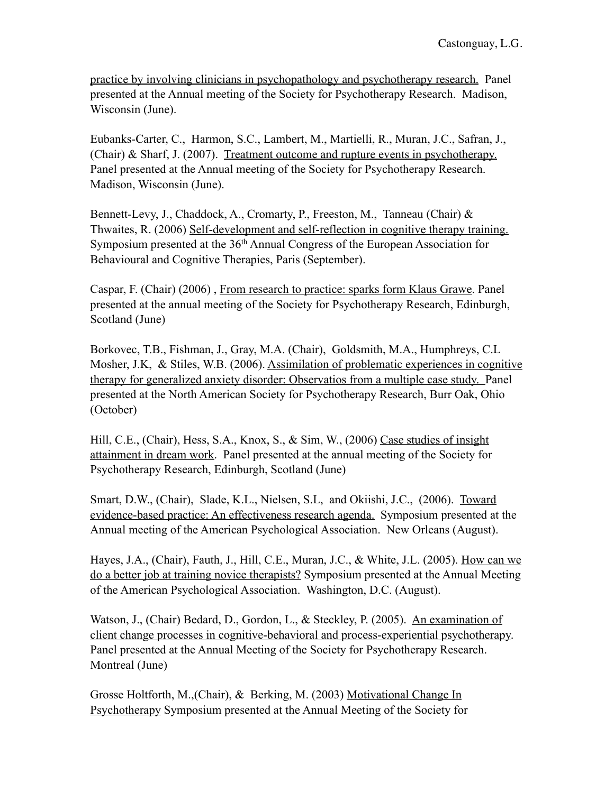practice by involving clinicians in psychopathology and psychotherapy research. Panel presented at the Annual meeting of the Society for Psychotherapy Research. Madison, Wisconsin (June).

Eubanks-Carter, C., Harmon, S.C., Lambert, M., Martielli, R., Muran, J.C., Safran, J., (Chair) & Sharf, J. (2007). Treatment outcome and rupture events in psychotherapy. Panel presented at the Annual meeting of the Society for Psychotherapy Research. Madison, Wisconsin (June).

Bennett-Levy, J., Chaddock, A., Cromarty, P., Freeston, M., Tanneau (Chair) & Thwaites, R. (2006) Self-development and self-reflection in cognitive therapy training. Symposium presented at the 36<sup>th</sup> Annual Congress of the European Association for Behavioural and Cognitive Therapies, Paris (September).

Caspar, F. (Chair) (2006) , From research to practice: sparks form Klaus Grawe. Panel presented at the annual meeting of the Society for Psychotherapy Research, Edinburgh, Scotland (June)

Borkovec, T.B., Fishman, J., Gray, M.A. (Chair), Goldsmith, M.A., Humphreys, C.L Mosher, J.K, & Stiles, W.B. (2006). Assimilation of problematic experiences in cognitive therapy for generalized anxiety disorder: Observatios from a multiple case study. Panel presented at the North American Society for Psychotherapy Research, Burr Oak, Ohio (October)

Hill, C.E., (Chair), Hess, S.A., Knox, S., & Sim, W., (2006) Case studies of insight attainment in dream work. Panel presented at the annual meeting of the Society for Psychotherapy Research, Edinburgh, Scotland (June)

Smart, D.W., (Chair), Slade, K.L., Nielsen, S.L, and Okiishi, J.C., (2006). Toward evidence-based practice: An effectiveness research agenda. Symposium presented at the Annual meeting of the American Psychological Association. New Orleans (August).

Hayes, J.A., (Chair), Fauth, J., Hill, C.E., Muran, J.C., & White, J.L. (2005). How can we do a better job at training novice therapists? Symposium presented at the Annual Meeting of the American Psychological Association. Washington, D.C. (August).

Watson, J., (Chair) Bedard, D., Gordon, L., & Steckley, P. (2005). An examination of client change processes in cognitive-behavioral and process-experiential psychotherapy. Panel presented at the Annual Meeting of the Society for Psychotherapy Research. Montreal (June)

Grosse Holtforth, M.,(Chair), & Berking, M. (2003) Motivational Change In Psychotherapy Symposium presented at the Annual Meeting of the Society for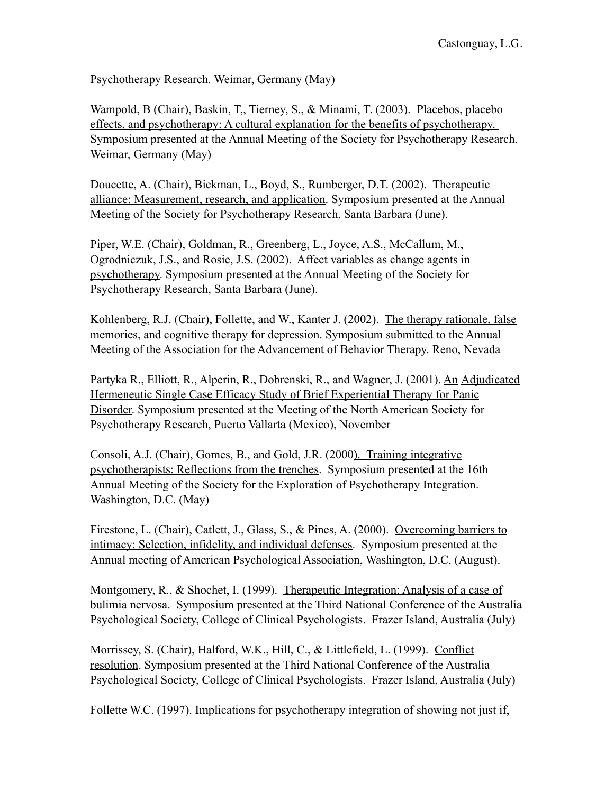Psychotherapy Research. Weimar, Germany (May)

Wampold, B (Chair), Baskin, T,, Tierney, S., & Minami, T. (2003). Placebos, placebo effects, and psychotherapy: A cultural explanation for the benefits of psychotherapy. Symposium presented at the Annual Meeting of the Society for Psychotherapy Research. Weimar, Germany (May)

Doucette, A. (Chair), Bickman, L., Boyd, S., Rumberger, D.T. (2002). Therapeutic alliance: Measurement, research, and application. Symposium presented at the Annual Meeting of the Society for Psychotherapy Research, Santa Barbara (June).

Piper, W.E. (Chair), Goldman, R., Greenberg, L., Joyce, A.S., McCallum, M., Ogrodniczuk, J.S., and Rosie, J.S. (2002). Affect variables as change agents in psychotherapy. Symposium presented at the Annual Meeting of the Society for Psychotherapy Research, Santa Barbara (June).

Kohlenberg, R.J. (Chair), Follette, and W., Kanter J. (2002). The therapy rationale, false memories, and cognitive therapy for depression. Symposium submitted to the Annual Meeting of the Association for the Advancement of Behavior Therapy. Reno, Nevada

Partyka R., Elliott, R., Alperin, R., Dobrenski, R., and Wagner, J. (2001). An Adjudicated Hermeneutic Single Case Efficacy Study of Brief Experiential Therapy for Panic Disorder. Symposium presented at the Meeting of the North American Society for Psychotherapy Research, Puerto Vallarta (Mexico), November

Consoli, A.J. (Chair), Gomes, B., and Gold, J.R. (2000). Training integrative psychotherapists: Reflections from the trenches. Symposium presented at the 16th Annual Meeting of the Society for the Exploration of Psychotherapy Integration. Washington, D.C. (May)

Firestone, L. (Chair), Catlett, J., Glass, S., & Pines, A. (2000). Overcoming barriers to intimacy: Selection, infidelity, and individual defenses. Symposium presented at the Annual meeting of American Psychological Association, Washington, D.C. (August).

Montgomery, R., & Shochet, I. (1999). Therapeutic Integration: Analysis of a case of bulimia nervosa. Symposium presented at the Third National Conference of the Australia Psychological Society, College of Clinical Psychologists. Frazer Island, Australia (July)

Morrissey, S. (Chair), Halford, W.K., Hill, C., & Littlefield, L. (1999). Conflict resolution. Symposium presented at the Third National Conference of the Australia Psychological Society, College of Clinical Psychologists. Frazer Island, Australia (July)

Follette W.C. (1997). Implications for psychotherapy integration of showing not just if,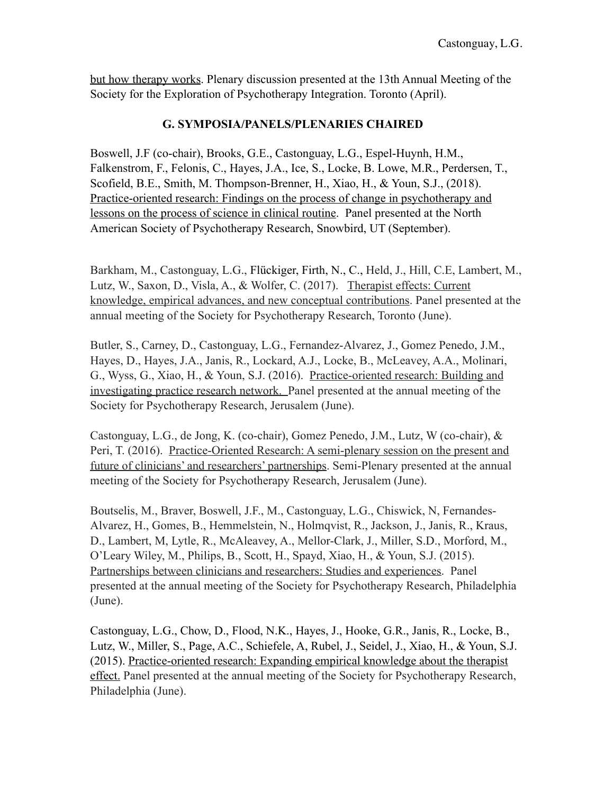but how therapy works. Plenary discussion presented at the 13th Annual Meeting of the Society for the Exploration of Psychotherapy Integration. Toronto (April).

## **G. SYMPOSIA/PANELS/PLENARIES CHAIRED**

Boswell, J.F (co-chair), Brooks, G.E., Castonguay, L.G., Espel-Huynh, H.M., Falkenstrom, F., Felonis, C., Hayes, J.A., Ice, S., Locke, B. Lowe, M.R., Perdersen, T., Scofield, B.E., Smith, M. Thompson-Brenner, H., Xiao, H., & Youn, S.J., (2018). Practice-oriented research: Findings on the process of change in psychotherapy and lessons on the process of science in clinical routine. Panel presented at the North American Society of Psychotherapy Research, Snowbird, UT (September).

Barkham, M., Castonguay, L.G., Flückiger, Firth, N., C., Held, J., Hill, C.E, Lambert, M., Lutz, W., Saxon, D., Visla, A., & Wolfer, C. (2017). Therapist effects: Current knowledge, empirical advances, and new conceptual contributions. Panel presented at the annual meeting of the Society for Psychotherapy Research, Toronto (June).

Butler, S., Carney, D., Castonguay, L.G., Fernandez-Alvarez, J., Gomez Penedo, J.M., Hayes, D., Hayes, J.A., Janis, R., Lockard, A.J., Locke, B., McLeavey, A.A., Molinari, G., Wyss, G., Xiao, H., & Youn, S.J. (2016). Practice-oriented research: Building and investigating practice research network. Panel presented at the annual meeting of the Society for Psychotherapy Research, Jerusalem (June).

Castonguay, L.G., de Jong, K. (co-chair), Gomez Penedo, J.M., Lutz, W (co-chair), & Peri, T. (2016). Practice-Oriented Research: A semi-plenary session on the present and future of clinicians' and researchers' partnerships. Semi-Plenary presented at the annual meeting of the Society for Psychotherapy Research, Jerusalem (June).

Boutselis, M., Braver, Boswell, J.F., M., Castonguay, L.G., Chiswick, N, Fernandes-Alvarez, H., Gomes, B., Hemmelstein, N., Holmqvist, R., Jackson, J., Janis, R., Kraus, D., Lambert, M, Lytle, R., McAleavey, A., Mellor-Clark, J., Miller, S.D., Morford, M., O'Leary Wiley, M., Philips, B., Scott, H., Spayd, Xiao, H., & Youn, S.J. (2015). Partnerships between clinicians and researchers: Studies and experiences. Panel presented at the annual meeting of the Society for Psychotherapy Research, Philadelphia (June).

Castonguay, L.G., Chow, D., Flood, N.K., Hayes, J., Hooke, G.R., Janis, R., Locke, B., Lutz, W., Miller, S., Page, A.C., Schiefele, A, Rubel, J., Seidel, J., Xiao, H., & Youn, S.J. (2015). Practice-oriented research: Expanding empirical knowledge about the therapist effect. Panel presented at the annual meeting of the Society for Psychotherapy Research, Philadelphia (June).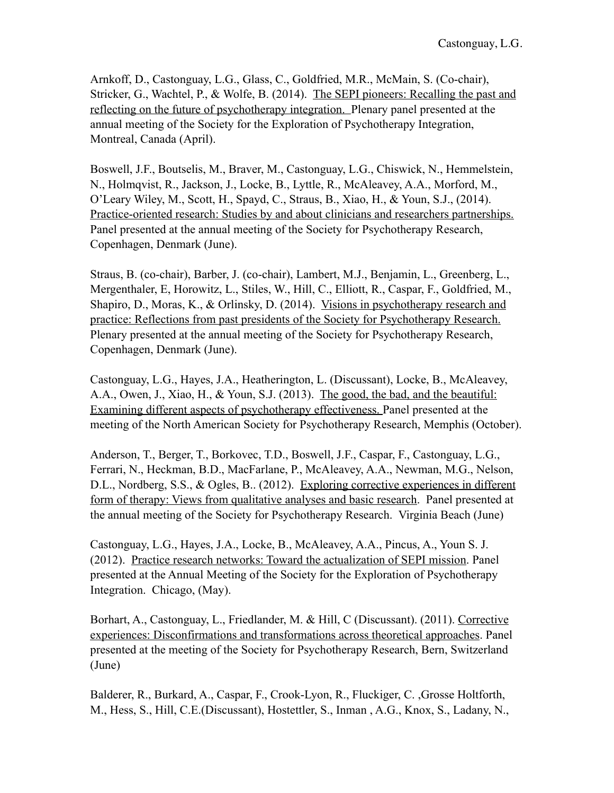Arnkoff, D., Castonguay, L.G., Glass, C., Goldfried, M.R., McMain, S. (Co-chair), Stricker, G., Wachtel, P., & Wolfe, B. (2014). The SEPI pioneers: Recalling the past and reflecting on the future of psychotherapy integration. Plenary panel presented at the annual meeting of the Society for the Exploration of Psychotherapy Integration, Montreal, Canada (April).

Boswell, J.F., Boutselis, M., Braver, M., Castonguay, L.G., Chiswick, N., Hemmelstein, N., Holmqvist, R., Jackson, J., Locke, B., Lyttle, R., McAleavey, A.A., Morford, M., O'Leary Wiley, M., Scott, H., Spayd, C., Straus, B., Xiao, H., & Youn, S.J., (2014). Practice-oriented research: Studies by and about clinicians and researchers partnerships. Panel presented at the annual meeting of the Society for Psychotherapy Research, Copenhagen, Denmark (June).

Straus, B. (co-chair), Barber, J. (co-chair), Lambert, M.J., Benjamin, L., Greenberg, L., Mergenthaler, E, Horowitz, L., Stiles, W., Hill, C., Elliott, R., Caspar, F., Goldfried, M., Shapiro, D., Moras, K., & Orlinsky, D. (2014). Visions in psychotherapy research and practice: Reflections from past presidents of the Society for Psychotherapy Research. Plenary presented at the annual meeting of the Society for Psychotherapy Research, Copenhagen, Denmark (June).

Castonguay, L.G., Hayes, J.A., Heatherington, L. (Discussant), Locke, B., McAleavey, A.A., Owen, J., Xiao, H., & Youn, S.J. (2013). The good, the bad, and the beautiful: Examining different aspects of psychotherapy effectiveness. Panel presented at the meeting of the North American Society for Psychotherapy Research, Memphis (October).

Anderson, T., Berger, T., Borkovec, T.D., Boswell, J.F., Caspar, F., Castonguay, L.G., Ferrari, N., Heckman, B.D., MacFarlane, P., McAleavey, A.A., Newman, M.G., Nelson, D.L., Nordberg, S.S., & Ogles, B. (2012). Exploring corrective experiences in different form of therapy: Views from qualitative analyses and basic research. Panel presented at the annual meeting of the Society for Psychotherapy Research. Virginia Beach (June)

Castonguay, L.G., Hayes, J.A., Locke, B., McAleavey, A.A., Pincus, A., Youn S. J. (2012). Practice research networks: Toward the actualization of SEPI mission. Panel presented at the Annual Meeting of the Society for the Exploration of Psychotherapy Integration. Chicago, (May).

Borhart, A., Castonguay, L., Friedlander, M. & Hill, C (Discussant). (2011). Corrective experiences: Disconfirmations and transformations across theoretical approaches. Panel presented at the meeting of the Society for Psychotherapy Research, Bern, Switzerland (June)

Balderer, R., Burkard, A., Caspar, F., Crook-Lyon, R., Fluckiger, C. ,Grosse Holtforth, M., Hess, S., Hill, C.E.(Discussant), Hostettler, S., Inman , A.G., Knox, S., Ladany, N.,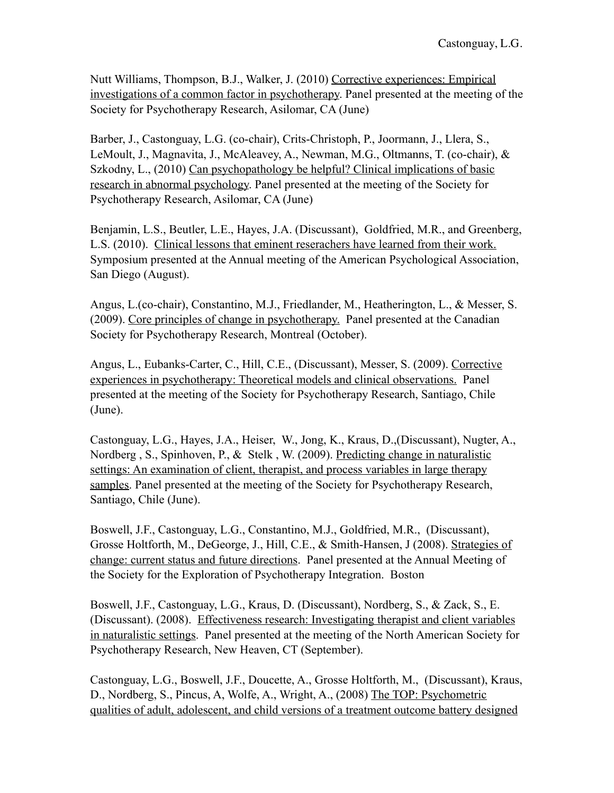Nutt Williams, Thompson, B.J., Walker, J. (2010) Corrective experiences: Empirical investigations of a common factor in psychotherapy. Panel presented at the meeting of the Society for Psychotherapy Research, Asilomar, CA (June)

Barber, J., Castonguay, L.G. (co-chair), Crits-Christoph, P., Joormann, J., Llera, S., LeMoult, J., Magnavita, J., McAleavey, A., Newman, M.G., Oltmanns, T. (co-chair), & Szkodny, L., (2010) Can psychopathology be helpful? Clinical implications of basic research in abnormal psychology. Panel presented at the meeting of the Society for Psychotherapy Research, Asilomar, CA (June)

Benjamin, L.S., Beutler, L.E., Hayes, J.A. (Discussant), Goldfried, M.R., and Greenberg, L.S. (2010). Clinical lessons that eminent reserachers have learned from their work. Symposium presented at the Annual meeting of the American Psychological Association, San Diego (August).

Angus, L.(co-chair), Constantino, M.J., Friedlander, M., Heatherington, L., & Messer, S. (2009). Core principles of change in psychotherapy. Panel presented at the Canadian Society for Psychotherapy Research, Montreal (October).

Angus, L., Eubanks-Carter, C., Hill, C.E., (Discussant), Messer, S. (2009). Corrective experiences in psychotherapy: Theoretical models and clinical observations. Panel presented at the meeting of the Society for Psychotherapy Research, Santiago, Chile (June).

Castonguay, L.G., Hayes, J.A., Heiser, W., Jong, K., Kraus, D.,(Discussant), Nugter, A., Nordberg , S., Spinhoven, P., & Stelk , W. (2009). Predicting change in naturalistic settings: An examination of client, therapist, and process variables in large therapy samples. Panel presented at the meeting of the Society for Psychotherapy Research, Santiago, Chile (June).

Boswell, J.F., Castonguay, L.G., Constantino, M.J., Goldfried, M.R., (Discussant), Grosse Holtforth, M., DeGeorge, J., Hill, C.E., & Smith-Hansen, J (2008). Strategies of change: current status and future directions. Panel presented at the Annual Meeting of the Society for the Exploration of Psychotherapy Integration. Boston

Boswell, J.F., Castonguay, L.G., Kraus, D. (Discussant), Nordberg, S., & Zack, S., E. (Discussant). (2008). Effectiveness research: Investigating therapist and client variables in naturalistic settings. Panel presented at the meeting of the North American Society for Psychotherapy Research, New Heaven, CT (September).

Castonguay, L.G., Boswell, J.F., Doucette, A., Grosse Holtforth, M., (Discussant), Kraus, D., Nordberg, S., Pincus, A, Wolfe, A., Wright, A., (2008) The TOP: Psychometric qualities of adult, adolescent, and child versions of a treatment outcome battery designed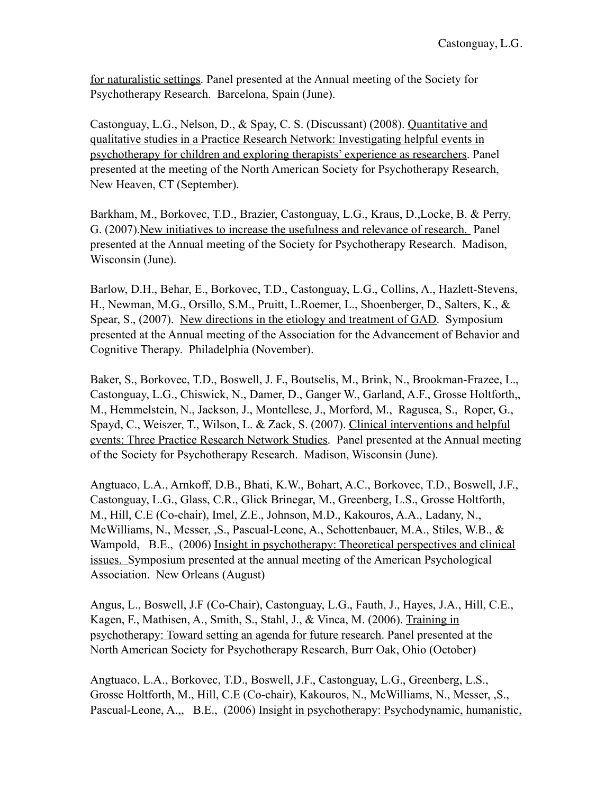for naturalistic settings. Panel presented at the Annual meeting of the Society for Psychotherapy Research. Barcelona, Spain (June).

Castonguay, L.G., Nelson, D., & Spay, C. S. (Discussant) (2008). Quantitative and qualitative studies in a Practice Research Network: Investigating helpful events in psychotherapy for children and exploring therapists' experience as researchers. Panel presented at the meeting of the North American Society for Psychotherapy Research, New Heaven, CT (September).

Barkham, M., Borkovec, T.D., Brazier, Castonguay, L.G., Kraus, D.,Locke, B. & Perry, G. (2007).New initiatives to increase the usefulness and relevance of research. Panel presented at the Annual meeting of the Society for Psychotherapy Research. Madison, Wisconsin (June).

Barlow, D.H., Behar, E., Borkovec, T.D., Castonguay, L.G., Collins, A., Hazlett-Stevens, H., Newman, M.G., Orsillo, S.M., Pruitt, L.Roemer, L., Shoenberger, D., Salters, K., & Spear, S., (2007). New directions in the etiology and treatment of GAD. Symposium presented at the Annual meeting of the Association for the Advancement of Behavior and Cognitive Therapy. Philadelphia (November).

Baker, S., Borkovec, T.D., Boswell, J. F., Boutselis, M., Brink, N., Brookman-Frazee, L., Castonguay, L.G., Chiswick, N., Damer, D., Ganger W., Garland, A.F., Grosse Holtforth,, M., Hemmelstein, N., Jackson, J., Montellese, J., Morford, M., Ragusea, S., Roper, G., Spayd, C., Weiszer, T., Wilson, L. & Zack, S. (2007). Clinical interventions and helpful events: Three Practice Research Network Studies. Panel presented at the Annual meeting of the Society for Psychotherapy Research. Madison, Wisconsin (June).

Angtuaco, L.A., Arnkoff, D.B., Bhati, K.W., Bohart, A.C., Borkovec, T.D., Boswell, J.F., Castonguay, L.G., Glass, C.R., Glick Brinegar, M., Greenberg, L.S., Grosse Holtforth, M., Hill, C.E (Co-chair), Imel, Z.E., Johnson, M.D., Kakouros, A.A., Ladany, N., McWilliams, N., Messer, ,S., Pascual-Leone, A., Schottenbauer, M.A., Stiles, W.B., & Wampold, B.E., (2006) Insight in psychotherapy: Theoretical perspectives and clinical issues. Symposium presented at the annual meeting of the American Psychological Association. New Orleans (August)

Angus, L., Boswell, J.F (Co-Chair), Castonguay, L.G., Fauth, J., Hayes, J.A., Hill, C.E., Kagen, F., Mathisen, A., Smith, S., Stahl, J., & Vinca, M. (2006). Training in psychotherapy: Toward setting an agenda for future research. Panel presented at the North American Society for Psychotherapy Research, Burr Oak, Ohio (October)

Angtuaco, L.A., Borkovec, T.D., Boswell, J.F., Castonguay, L.G., Greenberg, L.S., Grosse Holtforth, M., Hill, C.E (Co-chair), Kakouros, N., McWilliams, N., Messer, ,S., Pascual-Leone, A.,, B.E., (2006) Insight in psychotherapy: Psychodynamic, humanistic,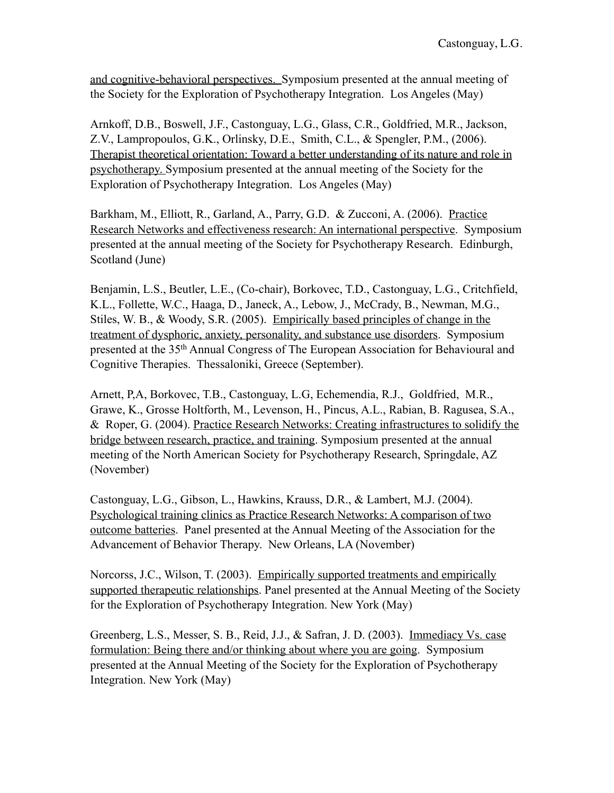and cognitive-behavioral perspectives. Symposium presented at the annual meeting of the Society for the Exploration of Psychotherapy Integration. Los Angeles (May)

Arnkoff, D.B., Boswell, J.F., Castonguay, L.G., Glass, C.R., Goldfried, M.R., Jackson, Z.V., Lampropoulos, G.K., Orlinsky, D.E., Smith, C.L., & Spengler, P.M., (2006). Therapist theoretical orientation: Toward a better understanding of its nature and role in psychotherapy. Symposium presented at the annual meeting of the Society for the Exploration of Psychotherapy Integration. Los Angeles (May)

Barkham, M., Elliott, R., Garland, A., Parry, G.D. & Zucconi, A. (2006). Practice Research Networks and effectiveness research: An international perspective. Symposium presented at the annual meeting of the Society for Psychotherapy Research. Edinburgh, Scotland (June)

Benjamin, L.S., Beutler, L.E., (Co-chair), Borkovec, T.D., Castonguay, L.G., Critchfield, K.L., Follette, W.C., Haaga, D., Janeck, A., Lebow, J., McCrady, B., Newman, M.G., Stiles, W. B., & Woody, S.R. (2005). Empirically based principles of change in the treatment of dysphoric, anxiety, personality, and substance use disorders. Symposium presented at the 35th Annual Congress of The European Association for Behavioural and Cognitive Therapies. Thessaloniki, Greece (September).

Arnett, P,A, Borkovec, T.B., Castonguay, L.G, Echemendia, R.J., Goldfried, M.R., Grawe, K., Grosse Holtforth, M., Levenson, H., Pincus, A.L., Rabian, B. Ragusea, S.A., & Roper, G. (2004). Practice Research Networks: Creating infrastructures to solidify the bridge between research, practice, and training. Symposium presented at the annual meeting of the North American Society for Psychotherapy Research, Springdale, AZ (November)

Castonguay, L.G., Gibson, L., Hawkins, Krauss, D.R., & Lambert, M.J. (2004). Psychological training clinics as Practice Research Networks: A comparison of two outcome batteries. Panel presented at the Annual Meeting of the Association for the Advancement of Behavior Therapy. New Orleans, LA (November)

Norcorss, J.C., Wilson, T. (2003). Empirically supported treatments and empirically supported therapeutic relationships. Panel presented at the Annual Meeting of the Society for the Exploration of Psychotherapy Integration. New York (May)

Greenberg, L.S., Messer, S. B., Reid, J.J., & Safran, J. D. (2003). Immediacy Vs. case formulation: Being there and/or thinking about where you are going. Symposium presented at the Annual Meeting of the Society for the Exploration of Psychotherapy Integration. New York (May)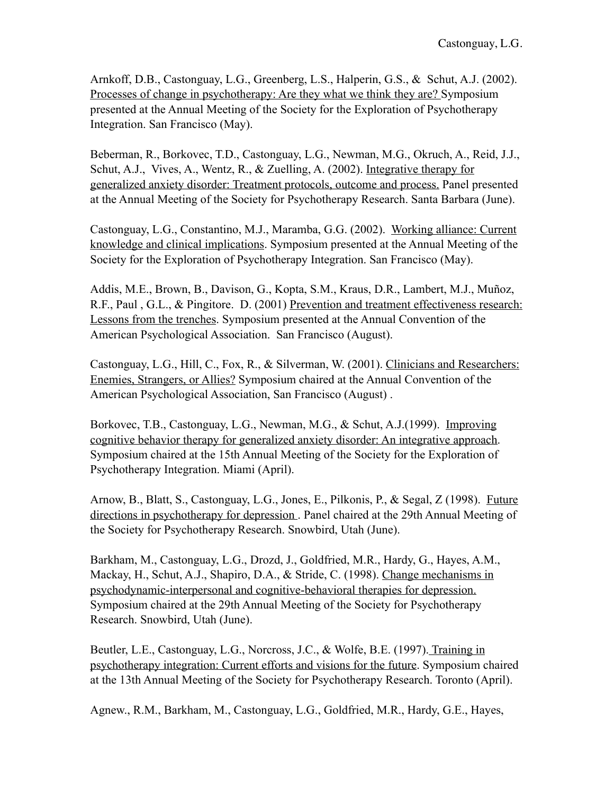Arnkoff, D.B., Castonguay, L.G., Greenberg, L.S., Halperin, G.S., & Schut, A.J. (2002). Processes of change in psychotherapy: Are they what we think they are? Symposium presented at the Annual Meeting of the Society for the Exploration of Psychotherapy Integration. San Francisco (May).

Beberman, R., Borkovec, T.D., Castonguay, L.G., Newman, M.G., Okruch, A., Reid, J.J., Schut, A.J., Vives, A., Wentz, R., & Zuelling, A. (2002). Integrative therapy for generalized anxiety disorder: Treatment protocols, outcome and process. Panel presented at the Annual Meeting of the Society for Psychotherapy Research. Santa Barbara (June).

Castonguay, L.G., Constantino, M.J., Maramba, G.G. (2002). Working alliance: Current knowledge and clinical implications. Symposium presented at the Annual Meeting of the Society for the Exploration of Psychotherapy Integration. San Francisco (May).

Addis, M.E., Brown, B., Davison, G., Kopta, S.M., Kraus, D.R., Lambert, M.J., Muñoz, R.F., Paul , G.L., & Pingitore. D. (2001) Prevention and treatment effectiveness research: Lessons from the trenches. Symposium presented at the Annual Convention of the American Psychological Association. San Francisco (August).

Castonguay, L.G., Hill, C., Fox, R., & Silverman, W. (2001). Clinicians and Researchers: Enemies, Strangers, or Allies? Symposium chaired at the Annual Convention of the American Psychological Association, San Francisco (August) .

Borkovec, T.B., Castonguay, L.G., Newman, M.G., & Schut, A.J.(1999). Improving cognitive behavior therapy for generalized anxiety disorder: An integrative approach. Symposium chaired at the 15th Annual Meeting of the Society for the Exploration of Psychotherapy Integration. Miami (April).

Arnow, B., Blatt, S., Castonguay, L.G., Jones, E., Pilkonis, P., & Segal, Z (1998). Future directions in psychotherapy for depression . Panel chaired at the 29th Annual Meeting of the Society for Psychotherapy Research. Snowbird, Utah (June).

Barkham, M., Castonguay, L.G., Drozd, J., Goldfried, M.R., Hardy, G., Hayes, A.M., Mackay, H., Schut, A.J., Shapiro, D.A., & Stride, C. (1998). Change mechanisms in psychodynamic-interpersonal and cognitive-behavioral therapies for depression. Symposium chaired at the 29th Annual Meeting of the Society for Psychotherapy Research. Snowbird, Utah (June).

Beutler, L.E., Castonguay, L.G., Norcross, J.C., & Wolfe, B.E. (1997). Training in psychotherapy integration: Current efforts and visions for the future. Symposium chaired at the 13th Annual Meeting of the Society for Psychotherapy Research. Toronto (April).

Agnew., R.M., Barkham, M., Castonguay, L.G., Goldfried, M.R., Hardy, G.E., Hayes,